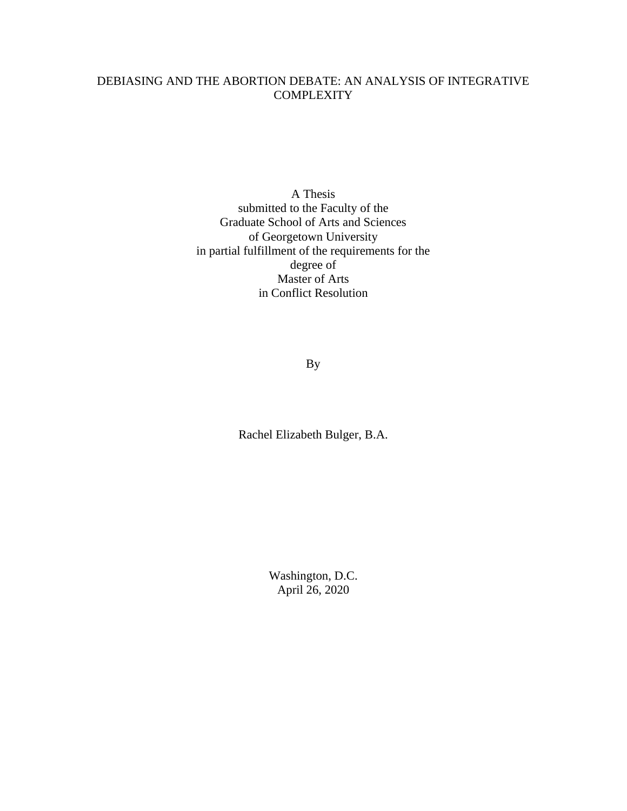# DEBIASING AND THE ABORTION DEBATE: AN ANALYSIS OF INTEGRATIVE **COMPLEXITY**

A Thesis submitted to the Faculty of the Graduate School of Arts and Sciences of Georgetown University in partial fulfillment of the requirements for the degree of Master of Arts in Conflict Resolution

By

Rachel Elizabeth Bulger, B.A.

Washington, D.C. April 26, 2020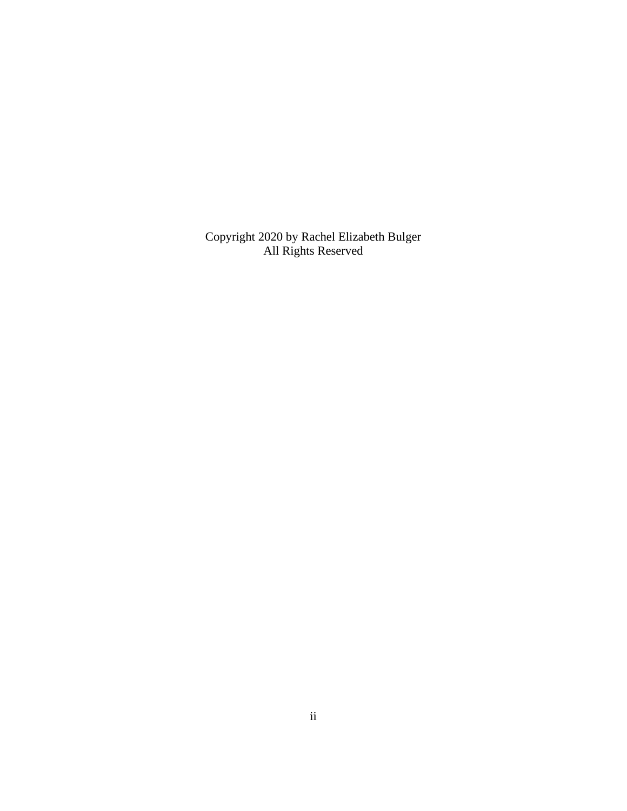Copyright 2020 by Rachel Elizabeth Bulger All Rights Reserved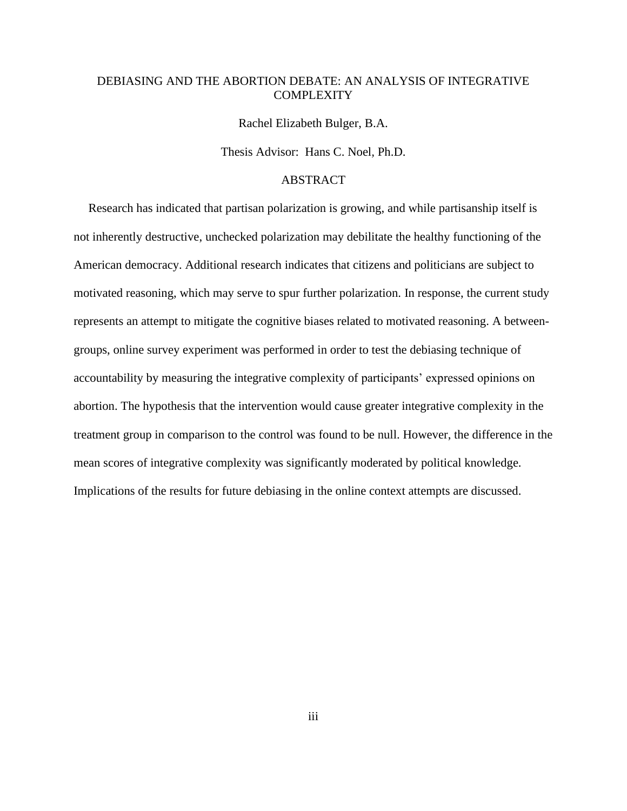# DEBIASING AND THE ABORTION DEBATE: AN ANALYSIS OF INTEGRATIVE COMPLEXITY

Rachel Elizabeth Bulger, B.A.

Thesis Advisor:Hans C. Noel*,* Ph.D.

# ABSTRACT

Research has indicated that partisan polarization is growing, and while partisanship itself is not inherently destructive, unchecked polarization may debilitate the healthy functioning of the American democracy. Additional research indicates that citizens and politicians are subject to motivated reasoning, which may serve to spur further polarization. In response, the current study represents an attempt to mitigate the cognitive biases related to motivated reasoning. A betweengroups, online survey experiment was performed in order to test the debiasing technique of accountability by measuring the integrative complexity of participants' expressed opinions on abortion. The hypothesis that the intervention would cause greater integrative complexity in the treatment group in comparison to the control was found to be null. However, the difference in the mean scores of integrative complexity was significantly moderated by political knowledge. Implications of the results for future debiasing in the online context attempts are discussed.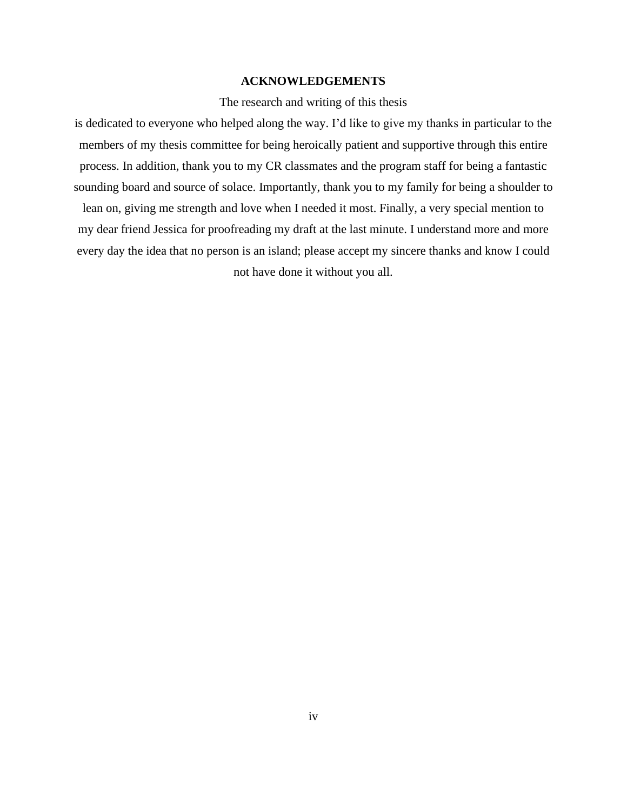# **ACKNOWLEDGEMENTS**

# The research and writing of this thesis

is dedicated to everyone who helped along the way. I'd like to give my thanks in particular to the members of my thesis committee for being heroically patient and supportive through this entire process. In addition, thank you to my CR classmates and the program staff for being a fantastic sounding board and source of solace. Importantly, thank you to my family for being a shoulder to lean on, giving me strength and love when I needed it most. Finally, a very special mention to my dear friend Jessica for proofreading my draft at the last minute. I understand more and more every day the idea that no person is an island; please accept my sincere thanks and know I could not have done it without you all.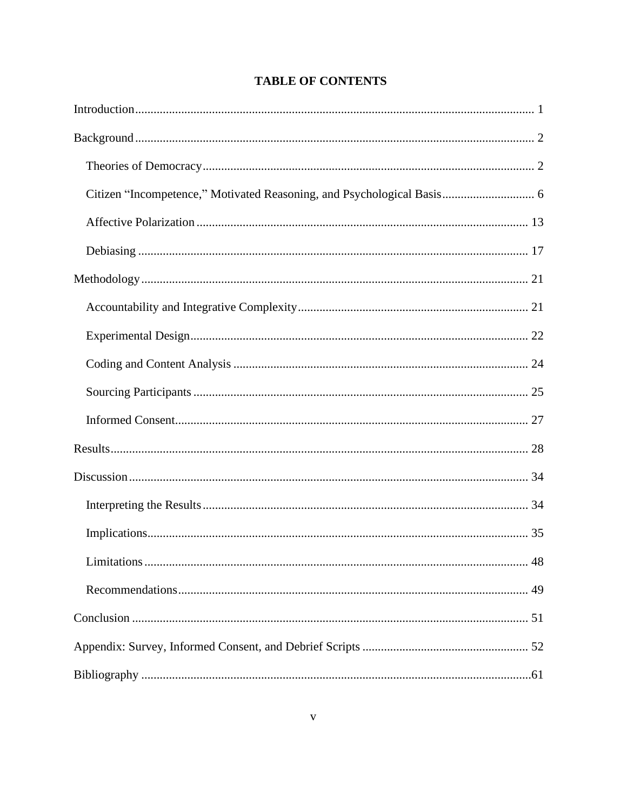| Citizen "Incompetence," Motivated Reasoning, and Psychological Basis 6 |  |
|------------------------------------------------------------------------|--|
|                                                                        |  |
|                                                                        |  |
|                                                                        |  |
|                                                                        |  |
|                                                                        |  |
|                                                                        |  |
|                                                                        |  |
|                                                                        |  |
|                                                                        |  |
|                                                                        |  |
|                                                                        |  |
|                                                                        |  |
|                                                                        |  |
|                                                                        |  |
|                                                                        |  |
|                                                                        |  |
|                                                                        |  |

# **TABLE OF CONTENTS**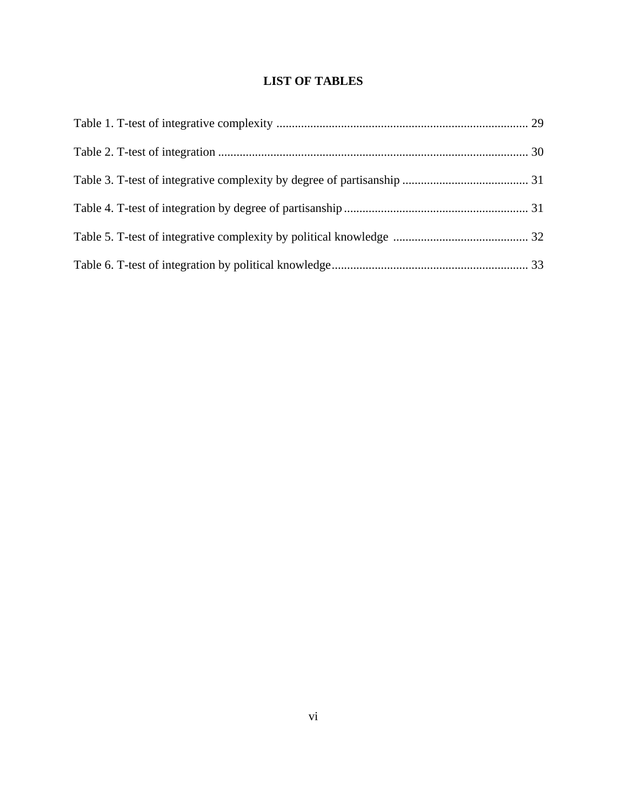# **LIST OF TABLES**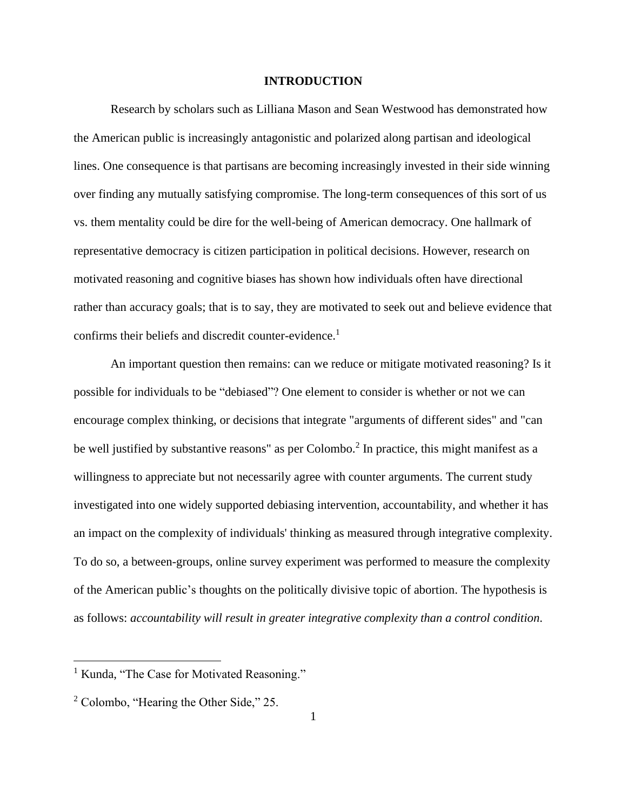#### **INTRODUCTION**

Research by scholars such as Lilliana Mason and Sean Westwood has demonstrated how the American public is increasingly antagonistic and polarized along partisan and ideological lines. One consequence is that partisans are becoming increasingly invested in their side winning over finding any mutually satisfying compromise. The long-term consequences of this sort of us vs. them mentality could be dire for the well-being of American democracy. One hallmark of representative democracy is citizen participation in political decisions. However, research on motivated reasoning and cognitive biases has shown how individuals often have directional rather than accuracy goals; that is to say, they are motivated to seek out and believe evidence that confirms their beliefs and discredit counter-evidence.<sup>1</sup>

An important question then remains: can we reduce or mitigate motivated reasoning? Is it possible for individuals to be "debiased"? One element to consider is whether or not we can encourage complex thinking, or decisions that integrate "arguments of different sides" and "can be well justified by substantive reasons" as per Colombo.<sup>2</sup> In practice, this might manifest as a willingness to appreciate but not necessarily agree with counter arguments. The current study investigated into one widely supported debiasing intervention, accountability, and whether it has an impact on the complexity of individuals' thinking as measured through integrative complexity. To do so, a between-groups, online survey experiment was performed to measure the complexity of the American public's thoughts on the politically divisive topic of abortion. The hypothesis is as follows: *accountability will result in greater integrative complexity than a control condition.*

<sup>&</sup>lt;sup>1</sup> Kunda, "The Case for Motivated Reasoning."

<sup>2</sup> Colombo, "Hearing the Other Side," 25.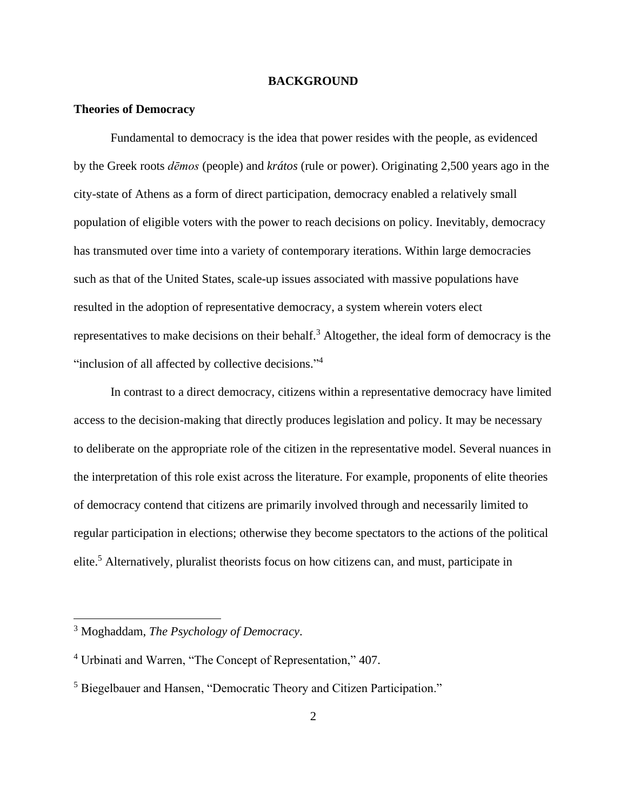#### **BACKGROUND**

#### **Theories of Democracy**

Fundamental to democracy is the idea that power resides with the people, as evidenced by the Greek roots *dēmos* (people) and *krátos* (rule or power). Originating 2,500 years ago in the city-state of Athens as a form of direct participation, democracy enabled a relatively small population of eligible voters with the power to reach decisions on policy. Inevitably, democracy has transmuted over time into a variety of contemporary iterations. Within large democracies such as that of the United States, scale-up issues associated with massive populations have resulted in the adoption of representative democracy, a system wherein voters elect representatives to make decisions on their behalf.<sup>3</sup> Altogether, the ideal form of democracy is the "inclusion of all affected by collective decisions."<sup>4</sup>

In contrast to a direct democracy, citizens within a representative democracy have limited access to the decision-making that directly produces legislation and policy. It may be necessary to deliberate on the appropriate role of the citizen in the representative model. Several nuances in the interpretation of this role exist across the literature. For example, proponents of elite theories of democracy contend that citizens are primarily involved through and necessarily limited to regular participation in elections; otherwise they become spectators to the actions of the political elite.<sup>5</sup> Alternatively, pluralist theorists focus on how citizens can, and must, participate in

<sup>3</sup> Moghaddam, *The Psychology of Democracy*.

<sup>4</sup> Urbinati and Warren, "The Concept of Representation," 407.

<sup>5</sup> Biegelbauer and Hansen, "Democratic Theory and Citizen Participation."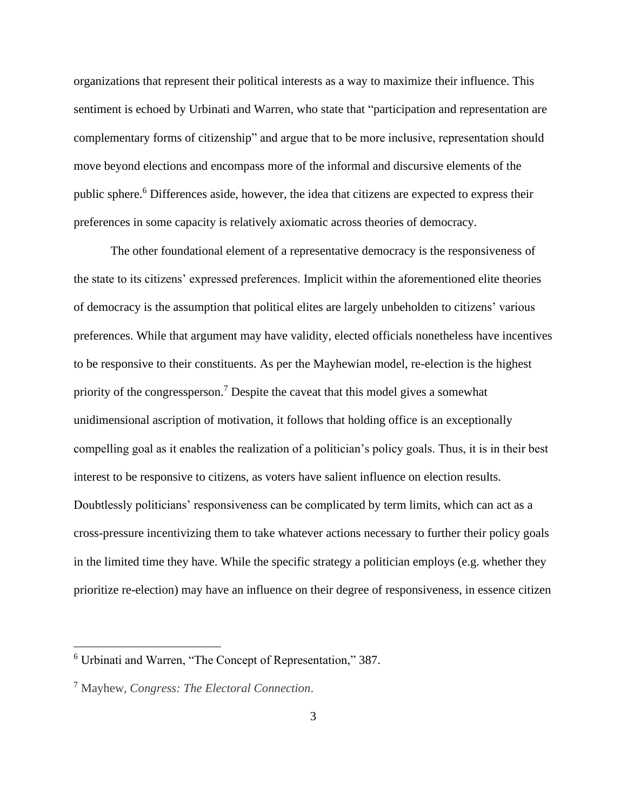organizations that represent their political interests as a way to maximize their influence. This sentiment is echoed by Urbinati and Warren, who state that "participation and representation are complementary forms of citizenship" and argue that to be more inclusive, representation should move beyond elections and encompass more of the informal and discursive elements of the public sphere. <sup>6</sup> Differences aside, however, the idea that citizens are expected to express their preferences in some capacity is relatively axiomatic across theories of democracy.

The other foundational element of a representative democracy is the responsiveness of the state to its citizens' expressed preferences. Implicit within the aforementioned elite theories of democracy is the assumption that political elites are largely unbeholden to citizens' various preferences. While that argument may have validity, elected officials nonetheless have incentives to be responsive to their constituents. As per the Mayhewian model, re-election is the highest priority of the congressperson.<sup>7</sup> Despite the caveat that this model gives a somewhat unidimensional ascription of motivation, it follows that holding office is an exceptionally compelling goal as it enables the realization of a politician's policy goals. Thus, it is in their best interest to be responsive to citizens, as voters have salient influence on election results. Doubtlessly politicians' responsiveness can be complicated by term limits, which can act as a cross-pressure incentivizing them to take whatever actions necessary to further their policy goals in the limited time they have. While the specific strategy a politician employs (e.g. whether they prioritize re-election) may have an influence on their degree of responsiveness, in essence citizen

<sup>6</sup> Urbinati and Warren, "The Concept of Representation," 387.

<sup>7</sup> Mayhew, *Congress: The Electoral Connection*.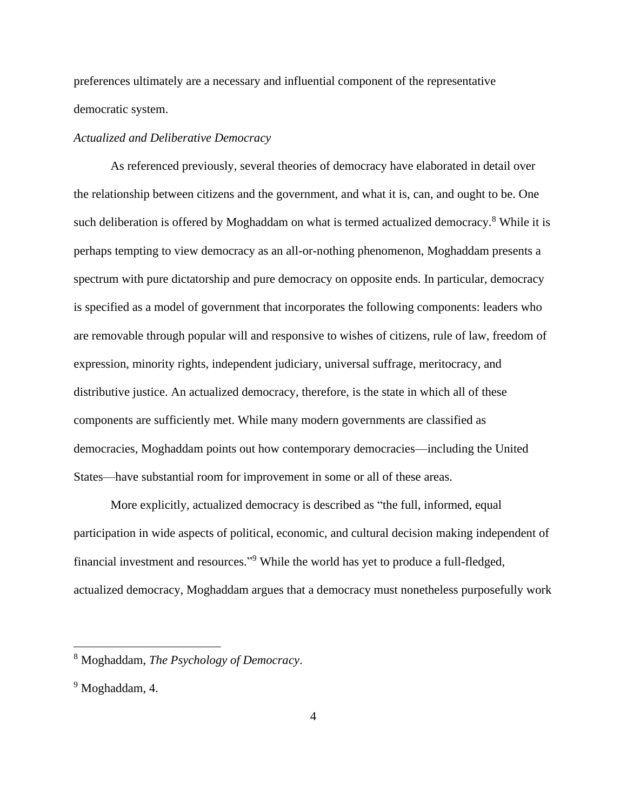preferences ultimately are a necessary and influential component of the representative democratic system.

# *Actualized and Deliberative Democracy*

As referenced previously, several theories of democracy have elaborated in detail over the relationship between citizens and the government, and what it is, can, and ought to be. One such deliberation is offered by Moghaddam on what is termed actualized democracy.<sup>8</sup> While it is perhaps tempting to view democracy as an all-or-nothing phenomenon, Moghaddam presents a spectrum with pure dictatorship and pure democracy on opposite ends. In particular, democracy is specified as a model of government that incorporates the following components: leaders who are removable through popular will and responsive to wishes of citizens, rule of law, freedom of expression, minority rights, independent judiciary, universal suffrage, meritocracy, and distributive justice. An actualized democracy, therefore, is the state in which all of these components are sufficiently met. While many modern governments are classified as democracies, Moghaddam points out how contemporary democracies—including the United States—have substantial room for improvement in some or all of these areas.

More explicitly, actualized democracy is described as "the full, informed, equal participation in wide aspects of political, economic, and cultural decision making independent of financial investment and resources." <sup>9</sup> While the world has yet to produce a full-fledged, actualized democracy, Moghaddam argues that a democracy must nonetheless purposefully work

<sup>8</sup> Moghaddam, *The Psychology of Democracy*.

<sup>&</sup>lt;sup>9</sup> Moghaddam, 4.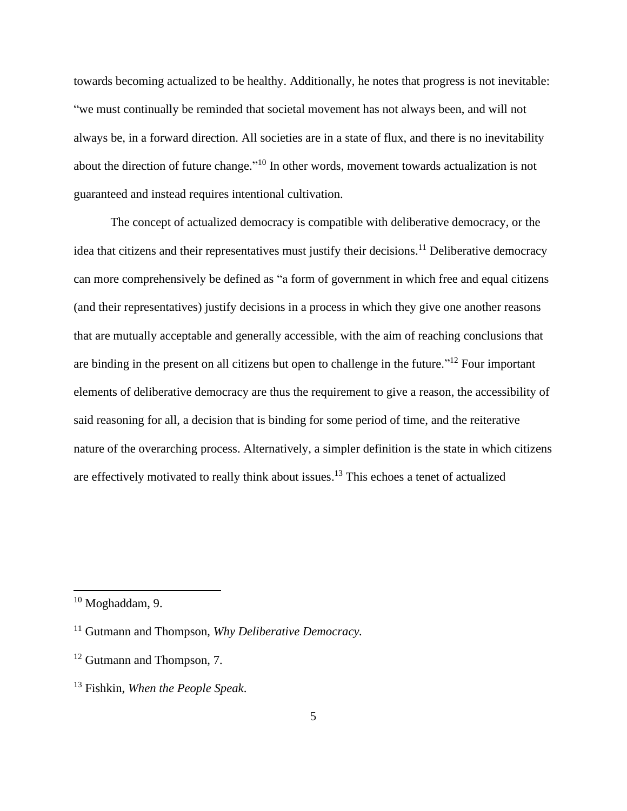towards becoming actualized to be healthy. Additionally, he notes that progress is not inevitable: "we must continually be reminded that societal movement has not always been, and will not always be, in a forward direction. All societies are in a state of flux, and there is no inevitability about the direction of future change."<sup>10</sup> In other words, movement towards actualization is not guaranteed and instead requires intentional cultivation.

The concept of actualized democracy is compatible with deliberative democracy, or the idea that citizens and their representatives must justify their decisions.<sup>11</sup> Deliberative democracy can more comprehensively be defined as "a form of government in which free and equal citizens (and their representatives) justify decisions in a process in which they give one another reasons that are mutually acceptable and generally accessible, with the aim of reaching conclusions that are binding in the present on all citizens but open to challenge in the future."<sup>12</sup> Four important elements of deliberative democracy are thus the requirement to give a reason, the accessibility of said reasoning for all, a decision that is binding for some period of time, and the reiterative nature of the overarching process. Alternatively, a simpler definition is the state in which citizens are effectively motivated to really think about issues.<sup>13</sup> This echoes a tenet of actualized

<sup>10</sup> Moghaddam, 9.

<sup>11</sup> Gutmann and Thompson, *Why Deliberative Democracy.*

<sup>&</sup>lt;sup>12</sup> Gutmann and Thompson, 7.

<sup>13</sup> Fishkin, *When the People Speak*.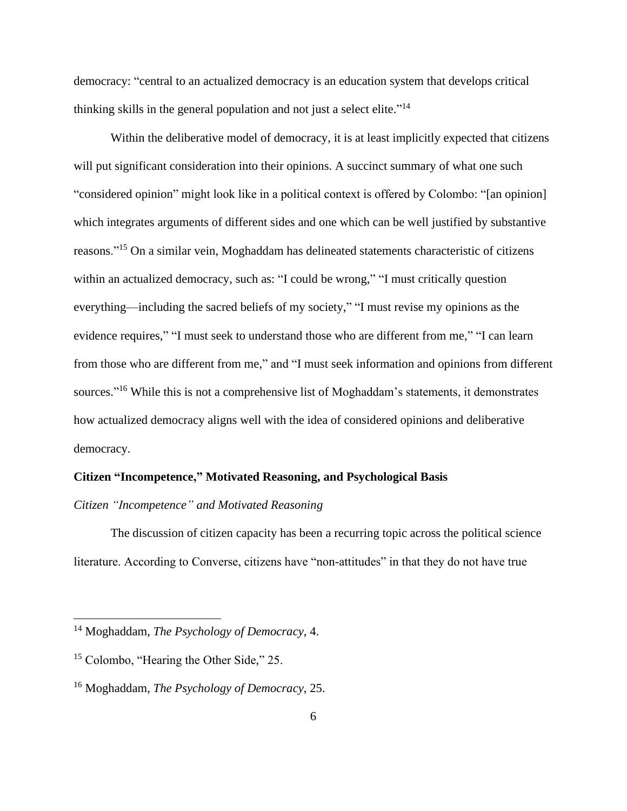democracy: "central to an actualized democracy is an education system that develops critical thinking skills in the general population and not just a select elite."<sup>14</sup>

Within the deliberative model of democracy, it is at least implicitly expected that citizens will put significant consideration into their opinions. A succinct summary of what one such "considered opinion" might look like in a political context is offered by Colombo: "[an opinion] which integrates arguments of different sides and one which can be well justified by substantive reasons."<sup>15</sup> On a similar vein, Moghaddam has delineated statements characteristic of citizens within an actualized democracy, such as: "I could be wrong," "I must critically question everything—including the sacred beliefs of my society," "I must revise my opinions as the evidence requires," "I must seek to understand those who are different from me," "I can learn from those who are different from me," and "I must seek information and opinions from different sources."<sup>16</sup> While this is not a comprehensive list of Moghaddam's statements, it demonstrates how actualized democracy aligns well with the idea of considered opinions and deliberative democracy.

#### **Citizen "Incompetence," Motivated Reasoning, and Psychological Basis**

*Citizen "Incompetence" and Motivated Reasoning*

The discussion of citizen capacity has been a recurring topic across the political science literature. According to Converse, citizens have "non-attitudes" in that they do not have true

<sup>14</sup> Moghaddam, *The Psychology of Democracy*, 4.

<sup>&</sup>lt;sup>15</sup> Colombo, "Hearing the Other Side," 25.

<sup>16</sup> Moghaddam, *The Psychology of Democracy*, 25.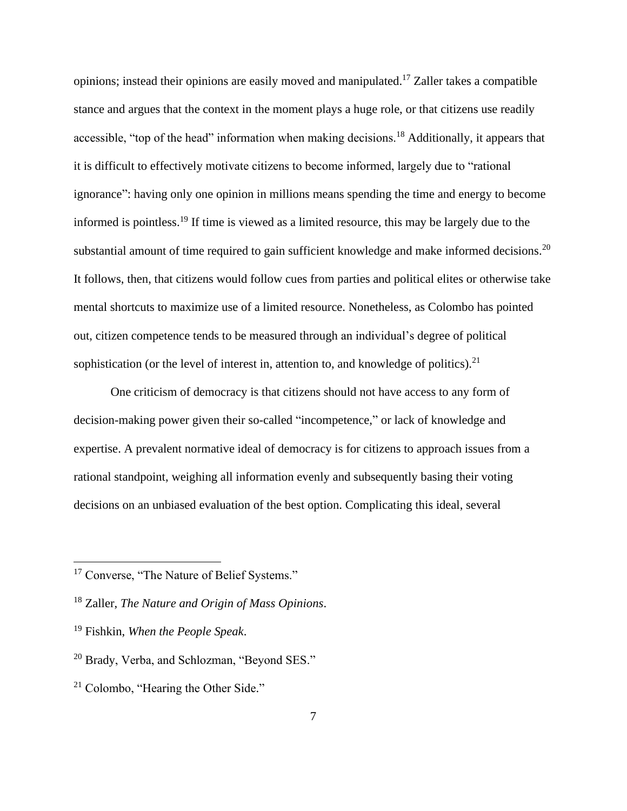opinions; instead their opinions are easily moved and manipulated. <sup>17</sup> Zaller takes a compatible stance and argues that the context in the moment plays a huge role, or that citizens use readily accessible, "top of the head" information when making decisions.<sup>18</sup> Additionally, it appears that it is difficult to effectively motivate citizens to become informed, largely due to "rational ignorance": having only one opinion in millions means spending the time and energy to become informed is pointless. <sup>19</sup> If time is viewed as a limited resource, this may be largely due to the substantial amount of time required to gain sufficient knowledge and make informed decisions.<sup>20</sup> It follows, then, that citizens would follow cues from parties and political elites or otherwise take mental shortcuts to maximize use of a limited resource. Nonetheless, as Colombo has pointed out, citizen competence tends to be measured through an individual's degree of political sophistication (or the level of interest in, attention to, and knowledge of politics).<sup>21</sup>

One criticism of democracy is that citizens should not have access to any form of decision-making power given their so-called "incompetence," or lack of knowledge and expertise. A prevalent normative ideal of democracy is for citizens to approach issues from a rational standpoint, weighing all information evenly and subsequently basing their voting decisions on an unbiased evaluation of the best option. Complicating this ideal, several

<sup>19</sup> Fishkin, *When the People Speak*.

<sup>&</sup>lt;sup>17</sup> Converse, "The Nature of Belief Systems."

<sup>18</sup> Zaller, *The Nature and Origin of Mass Opinions*.

<sup>20</sup> Brady, Verba, and Schlozman, "Beyond SES."

<sup>&</sup>lt;sup>21</sup> Colombo, "Hearing the Other Side."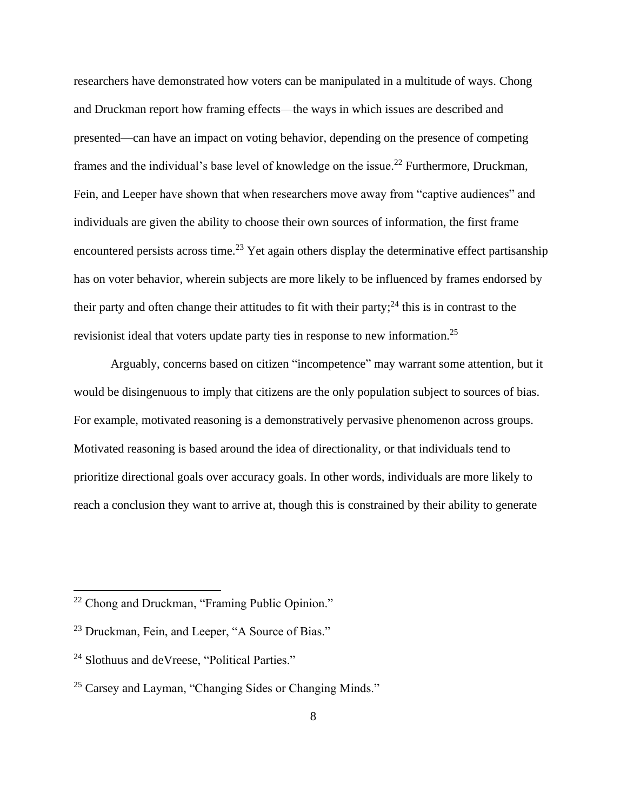researchers have demonstrated how voters can be manipulated in a multitude of ways. Chong and Druckman report how framing effects—the ways in which issues are described and presented—can have an impact on voting behavior, depending on the presence of competing frames and the individual's base level of knowledge on the issue.<sup>22</sup> Furthermore, Druckman, Fein, and Leeper have shown that when researchers move away from "captive audiences" and individuals are given the ability to choose their own sources of information, the first frame encountered persists across time.<sup>23</sup> Yet again others display the determinative effect partisanship has on voter behavior, wherein subjects are more likely to be influenced by frames endorsed by their party and often change their attitudes to fit with their party; $^{24}$  this is in contrast to the revisionist ideal that voters update party ties in response to new information.<sup>25</sup>

Arguably, concerns based on citizen "incompetence" may warrant some attention, but it would be disingenuous to imply that citizens are the only population subject to sources of bias. For example, motivated reasoning is a demonstratively pervasive phenomenon across groups. Motivated reasoning is based around the idea of directionality, or that individuals tend to prioritize directional goals over accuracy goals. In other words, individuals are more likely to reach a conclusion they want to arrive at, though this is constrained by their ability to generate

<sup>&</sup>lt;sup>22</sup> Chong and Druckman, "Framing Public Opinion."

<sup>&</sup>lt;sup>23</sup> Druckman, Fein, and Leeper, "A Source of Bias."

<sup>24</sup> Slothuus and deVreese, "Political Parties."

<sup>&</sup>lt;sup>25</sup> Carsey and Layman, "Changing Sides or Changing Minds."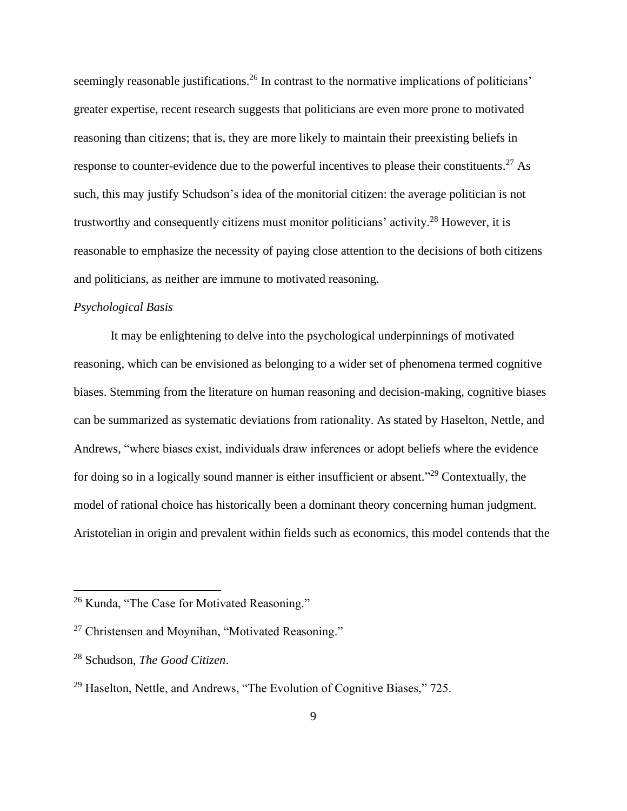seemingly reasonable justifications.<sup>26</sup> In contrast to the normative implications of politicians' greater expertise, recent research suggests that politicians are even more prone to motivated reasoning than citizens; that is, they are more likely to maintain their preexisting beliefs in response to counter-evidence due to the powerful incentives to please their constituents.<sup>27</sup> As such, this may justify Schudson's idea of the monitorial citizen: the average politician is not trustworthy and consequently citizens must monitor politicians' activity.<sup>28</sup> However, it is reasonable to emphasize the necessity of paying close attention to the decisions of both citizens and politicians, as neither are immune to motivated reasoning.

# *Psychological Basis*

It may be enlightening to delve into the psychological underpinnings of motivated reasoning, which can be envisioned as belonging to a wider set of phenomena termed cognitive biases. Stemming from the literature on human reasoning and decision-making, cognitive biases can be summarized as systematic deviations from rationality. As stated by Haselton, Nettle, and Andrews, "where biases exist, individuals draw inferences or adopt beliefs where the evidence for doing so in a logically sound manner is either insufficient or absent."<sup>29</sup> Contextually, the model of rational choice has historically been a dominant theory concerning human judgment. Aristotelian in origin and prevalent within fields such as economics, this model contends that the

<sup>&</sup>lt;sup>26</sup> Kunda, "The Case for Motivated Reasoning."

 $27$  Christensen and Movnihan, "Motivated Reasoning."

<sup>28</sup> Schudson, *The Good Citizen*.

 $29$  Haselton, Nettle, and Andrews, "The Evolution of Cognitive Biases," 725.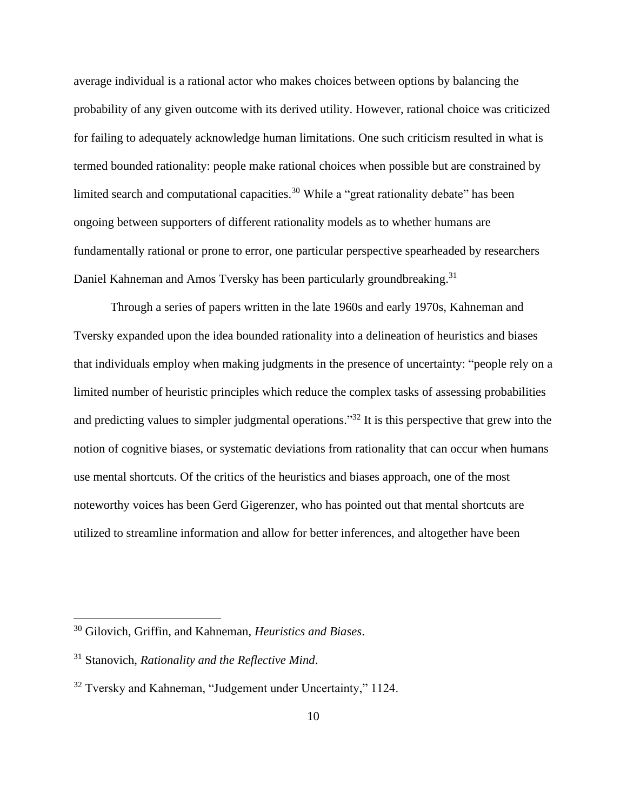average individual is a rational actor who makes choices between options by balancing the probability of any given outcome with its derived utility. However, rational choice was criticized for failing to adequately acknowledge human limitations. One such criticism resulted in what is termed bounded rationality: people make rational choices when possible but are constrained by limited search and computational capacities.<sup>30</sup> While a "great rationality debate" has been ongoing between supporters of different rationality models as to whether humans are fundamentally rational or prone to error, one particular perspective spearheaded by researchers Daniel Kahneman and Amos Tversky has been particularly groundbreaking.<sup>31</sup>

Through a series of papers written in the late 1960s and early 1970s, Kahneman and Tversky expanded upon the idea bounded rationality into a delineation of heuristics and biases that individuals employ when making judgments in the presence of uncertainty: "people rely on a limited number of heuristic principles which reduce the complex tasks of assessing probabilities and predicting values to simpler judgmental operations."<sup>32</sup> It is this perspective that grew into the notion of cognitive biases, or systematic deviations from rationality that can occur when humans use mental shortcuts. Of the critics of the heuristics and biases approach, one of the most noteworthy voices has been Gerd Gigerenzer, who has pointed out that mental shortcuts are utilized to streamline information and allow for better inferences, and altogether have been

<sup>30</sup> Gilovich, Griffin, and Kahneman, *Heuristics and Biases*.

<sup>31</sup> Stanovich, *Rationality and the Reflective Mind*.

<sup>&</sup>lt;sup>32</sup> Tversky and Kahneman, "Judgement under Uncertainty," 1124.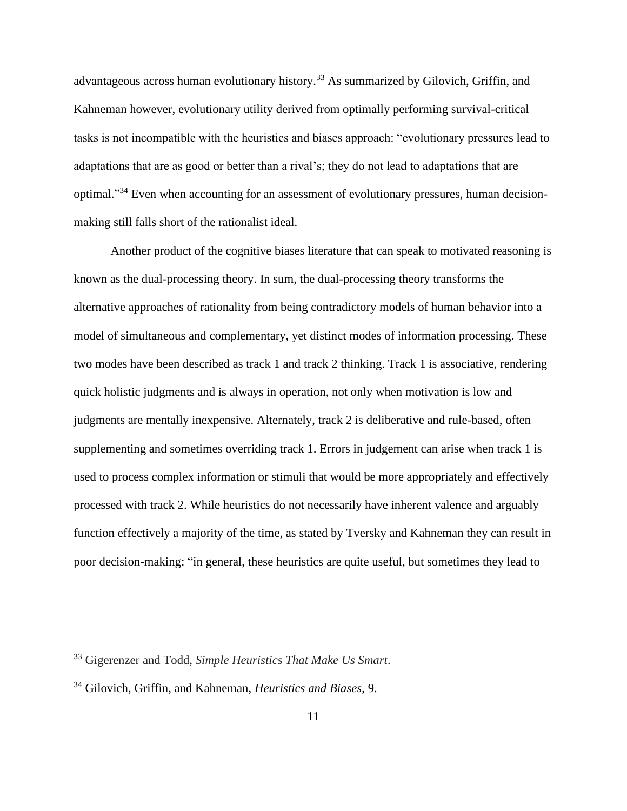advantageous across human evolutionary history.<sup>33</sup> As summarized by Gilovich, Griffin, and Kahneman however, evolutionary utility derived from optimally performing survival-critical tasks is not incompatible with the heuristics and biases approach: "evolutionary pressures lead to adaptations that are as good or better than a rival's; they do not lead to adaptations that are optimal."<sup>34</sup> Even when accounting for an assessment of evolutionary pressures, human decisionmaking still falls short of the rationalist ideal.

Another product of the cognitive biases literature that can speak to motivated reasoning is known as the dual-processing theory. In sum, the dual-processing theory transforms the alternative approaches of rationality from being contradictory models of human behavior into a model of simultaneous and complementary, yet distinct modes of information processing. These two modes have been described as track 1 and track 2 thinking. Track 1 is associative, rendering quick holistic judgments and is always in operation, not only when motivation is low and judgments are mentally inexpensive. Alternately, track 2 is deliberative and rule-based, often supplementing and sometimes overriding track 1. Errors in judgement can arise when track 1 is used to process complex information or stimuli that would be more appropriately and effectively processed with track 2. While heuristics do not necessarily have inherent valence and arguably function effectively a majority of the time, as stated by Tversky and Kahneman they can result in poor decision-making: "in general, these heuristics are quite useful, but sometimes they lead to

<sup>33</sup> Gigerenzer and Todd, *Simple Heuristics That Make Us Smart*.

<sup>34</sup> Gilovich, Griffin, and Kahneman, *Heuristics and Biases*, 9.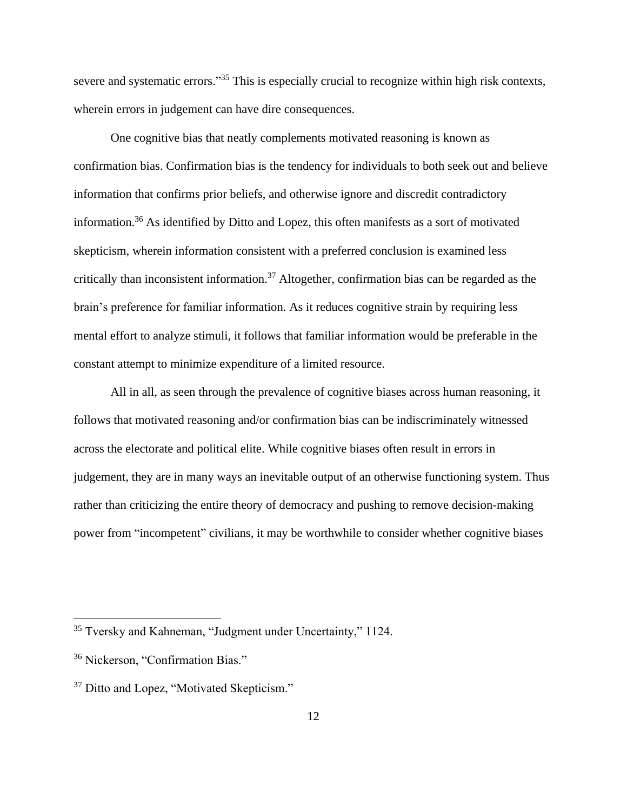severe and systematic errors."<sup>35</sup> This is especially crucial to recognize within high risk contexts, wherein errors in judgement can have dire consequences.

One cognitive bias that neatly complements motivated reasoning is known as confirmation bias. Confirmation bias is the tendency for individuals to both seek out and believe information that confirms prior beliefs, and otherwise ignore and discredit contradictory information. <sup>36</sup> As identified by Ditto and Lopez, this often manifests as a sort of motivated skepticism, wherein information consistent with a preferred conclusion is examined less critically than inconsistent information.<sup>37</sup> Altogether, confirmation bias can be regarded as the brain's preference for familiar information. As it reduces cognitive strain by requiring less mental effort to analyze stimuli, it follows that familiar information would be preferable in the constant attempt to minimize expenditure of a limited resource.

All in all, as seen through the prevalence of cognitive biases across human reasoning, it follows that motivated reasoning and/or confirmation bias can be indiscriminately witnessed across the electorate and political elite. While cognitive biases often result in errors in judgement, they are in many ways an inevitable output of an otherwise functioning system. Thus rather than criticizing the entire theory of democracy and pushing to remove decision-making power from "incompetent" civilians, it may be worthwhile to consider whether cognitive biases

<sup>&</sup>lt;sup>35</sup> Tversky and Kahneman, "Judgment under Uncertainty," 1124.

<sup>36</sup> Nickerson, "Confirmation Bias."

<sup>&</sup>lt;sup>37</sup> Ditto and Lopez, "Motivated Skepticism."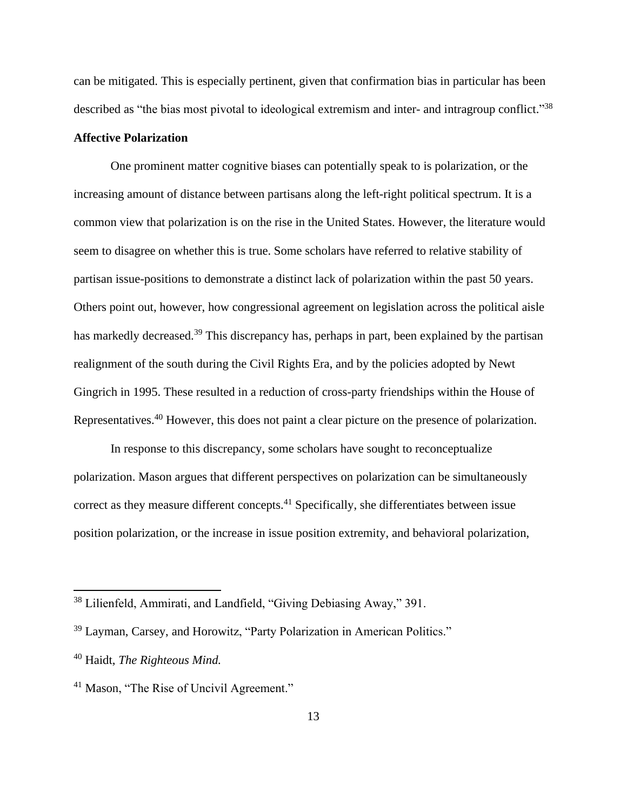can be mitigated. This is especially pertinent, given that confirmation bias in particular has been described as "the bias most pivotal to ideological extremism and inter- and intragroup conflict."<sup>38</sup>

## **Affective Polarization**

One prominent matter cognitive biases can potentially speak to is polarization, or the increasing amount of distance between partisans along the left-right political spectrum. It is a common view that polarization is on the rise in the United States. However, the literature would seem to disagree on whether this is true. Some scholars have referred to relative stability of partisan issue-positions to demonstrate a distinct lack of polarization within the past 50 years. Others point out, however, how congressional agreement on legislation across the political aisle has markedly decreased.<sup>39</sup> This discrepancy has, perhaps in part, been explained by the partisan realignment of the south during the Civil Rights Era, and by the policies adopted by Newt Gingrich in 1995. These resulted in a reduction of cross-party friendships within the House of Representatives.<sup>40</sup> However, this does not paint a clear picture on the presence of polarization.

In response to this discrepancy, some scholars have sought to reconceptualize polarization. Mason argues that different perspectives on polarization can be simultaneously correct as they measure different concepts.<sup>41</sup> Specifically, she differentiates between issue position polarization, or the increase in issue position extremity, and behavioral polarization,

<sup>38</sup> Lilienfeld, Ammirati, and Landfield, "Giving Debiasing Away," 391.

<sup>&</sup>lt;sup>39</sup> Layman, Carsey, and Horowitz, "Party Polarization in American Politics."

<sup>40</sup> Haidt, *The Righteous Mind.*

<sup>&</sup>lt;sup>41</sup> Mason, "The Rise of Uncivil Agreement."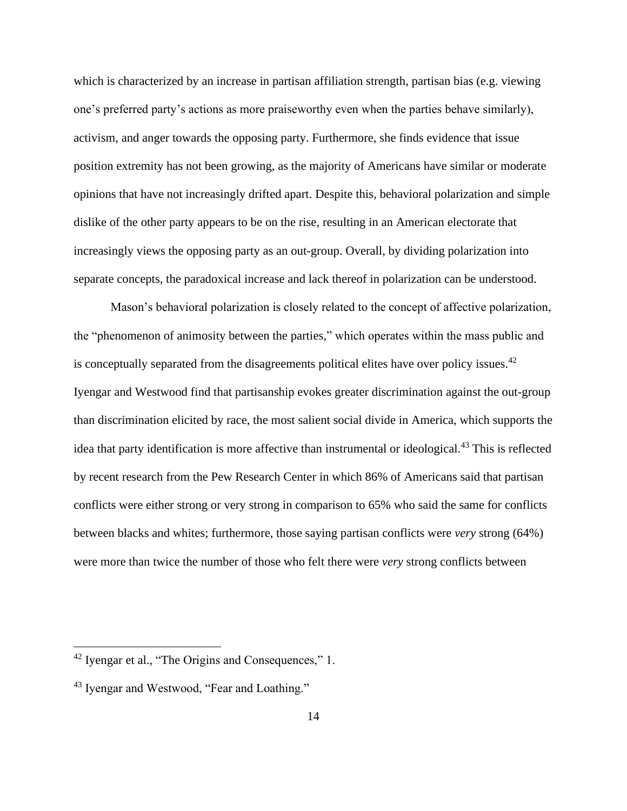which is characterized by an increase in partisan affiliation strength, partisan bias (e.g. viewing one's preferred party's actions as more praiseworthy even when the parties behave similarly), activism, and anger towards the opposing party. Furthermore, she finds evidence that issue position extremity has not been growing, as the majority of Americans have similar or moderate opinions that have not increasingly drifted apart. Despite this, behavioral polarization and simple dislike of the other party appears to be on the rise, resulting in an American electorate that increasingly views the opposing party as an out-group. Overall, by dividing polarization into separate concepts, the paradoxical increase and lack thereof in polarization can be understood.

Mason's behavioral polarization is closely related to the concept of affective polarization, the "phenomenon of animosity between the parties," which operates within the mass public and is conceptually separated from the disagreements political elites have over policy issues.<sup>42</sup> Iyengar and Westwood find that partisanship evokes greater discrimination against the out-group than discrimination elicited by race, the most salient social divide in America, which supports the idea that party identification is more affective than instrumental or ideological.<sup>43</sup> This is reflected by recent research from the Pew Research Center in which 86% of Americans said that partisan conflicts were either strong or very strong in comparison to 65% who said the same for conflicts between blacks and whites; furthermore, those saying partisan conflicts were *very* strong (64%) were more than twice the number of those who felt there were *very* strong conflicts between

<sup>&</sup>lt;sup>42</sup> Ivengar et al., "The Origins and Consequences," 1.

<sup>43</sup> Iyengar and Westwood, "Fear and Loathing."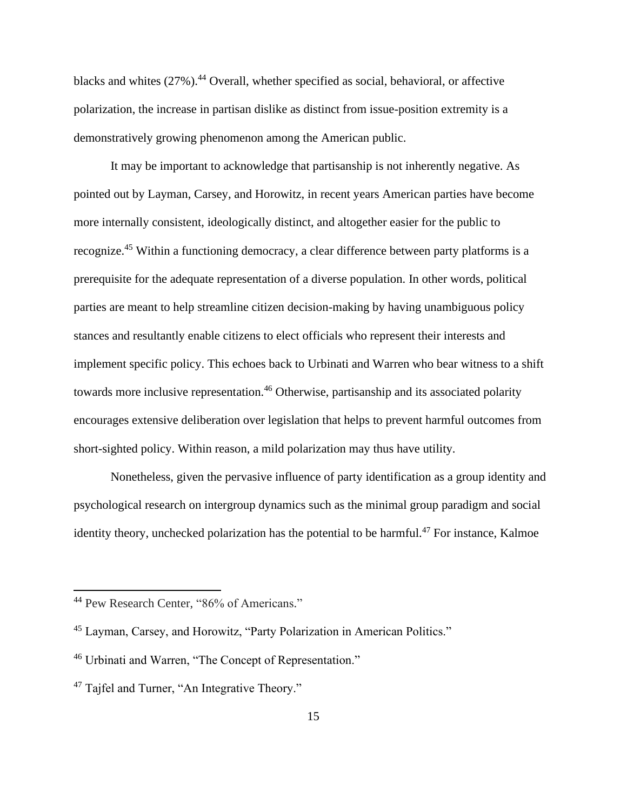blacks and whites  $(27\%)$ .<sup>44</sup> Overall, whether specified as social, behavioral, or affective polarization, the increase in partisan dislike as distinct from issue-position extremity is a demonstratively growing phenomenon among the American public.

It may be important to acknowledge that partisanship is not inherently negative. As pointed out by Layman, Carsey, and Horowitz, in recent years American parties have become more internally consistent, ideologically distinct, and altogether easier for the public to recognize.<sup>45</sup> Within a functioning democracy, a clear difference between party platforms is a prerequisite for the adequate representation of a diverse population. In other words, political parties are meant to help streamline citizen decision-making by having unambiguous policy stances and resultantly enable citizens to elect officials who represent their interests and implement specific policy. This echoes back to Urbinati and Warren who bear witness to a shift towards more inclusive representation.<sup>46</sup> Otherwise, partisanship and its associated polarity encourages extensive deliberation over legislation that helps to prevent harmful outcomes from short-sighted policy. Within reason, a mild polarization may thus have utility.

Nonetheless, given the pervasive influence of party identification as a group identity and psychological research on intergroup dynamics such as the minimal group paradigm and social identity theory, unchecked polarization has the potential to be harmful.<sup>47</sup> For instance, Kalmoe

<sup>&</sup>lt;sup>44</sup> Pew Research Center, "86% of Americans."

<sup>45</sup> Layman, Carsey, and Horowitz, "Party Polarization in American Politics."

<sup>46</sup> Urbinati and Warren, "The Concept of Representation."

<sup>&</sup>lt;sup>47</sup> Tajfel and Turner, "An Integrative Theory."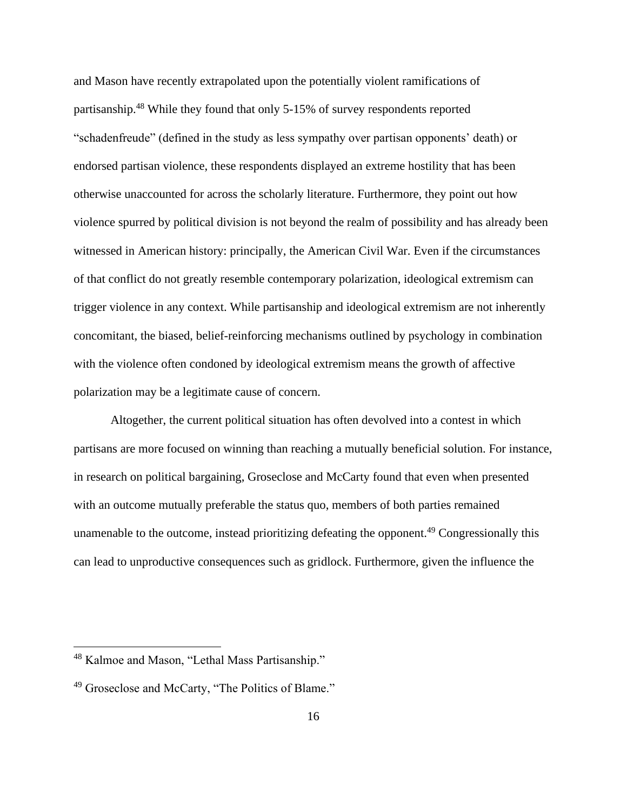and Mason have recently extrapolated upon the potentially violent ramifications of partisanship.<sup>48</sup> While they found that only 5-15% of survey respondents reported "schadenfreude" (defined in the study as less sympathy over partisan opponents' death) or endorsed partisan violence, these respondents displayed an extreme hostility that has been otherwise unaccounted for across the scholarly literature. Furthermore, they point out how violence spurred by political division is not beyond the realm of possibility and has already been witnessed in American history: principally, the American Civil War. Even if the circumstances of that conflict do not greatly resemble contemporary polarization, ideological extremism can trigger violence in any context. While partisanship and ideological extremism are not inherently concomitant, the biased, belief-reinforcing mechanisms outlined by psychology in combination with the violence often condoned by ideological extremism means the growth of affective polarization may be a legitimate cause of concern.

Altogether, the current political situation has often devolved into a contest in which partisans are more focused on winning than reaching a mutually beneficial solution. For instance, in research on political bargaining, Groseclose and McCarty found that even when presented with an outcome mutually preferable the status quo, members of both parties remained unamenable to the outcome, instead prioritizing defeating the opponent.<sup>49</sup> Congressionally this can lead to unproductive consequences such as gridlock. Furthermore, given the influence the

<sup>48</sup> Kalmoe and Mason, "Lethal Mass Partisanship."

<sup>49</sup> Groseclose and McCarty, "The Politics of Blame."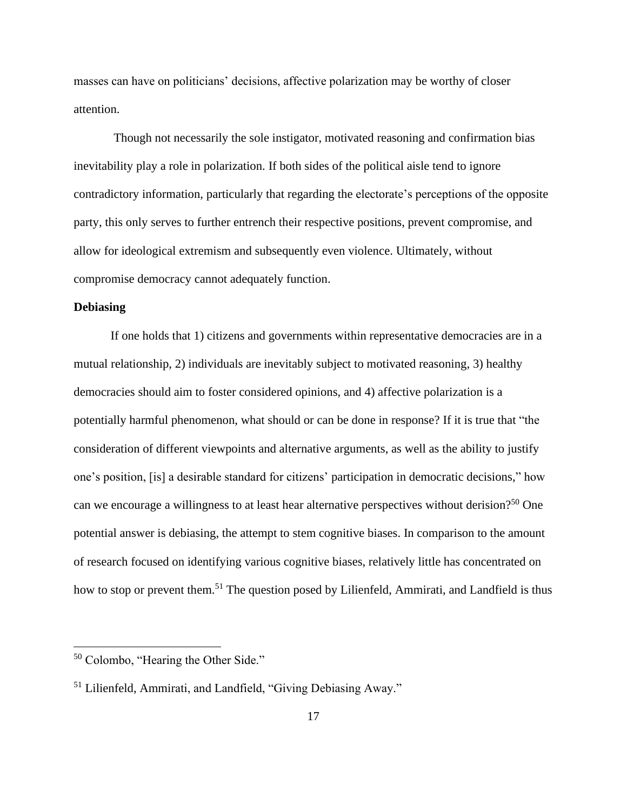masses can have on politicians' decisions, affective polarization may be worthy of closer attention.

Though not necessarily the sole instigator, motivated reasoning and confirmation bias inevitability play a role in polarization. If both sides of the political aisle tend to ignore contradictory information, particularly that regarding the electorate's perceptions of the opposite party, this only serves to further entrench their respective positions, prevent compromise, and allow for ideological extremism and subsequently even violence. Ultimately, without compromise democracy cannot adequately function.

## **Debiasing**

If one holds that 1) citizens and governments within representative democracies are in a mutual relationship, 2) individuals are inevitably subject to motivated reasoning, 3) healthy democracies should aim to foster considered opinions, and 4) affective polarization is a potentially harmful phenomenon, what should or can be done in response? If it is true that "the consideration of different viewpoints and alternative arguments, as well as the ability to justify one's position, [is] a desirable standard for citizens' participation in democratic decisions," how can we encourage a willingness to at least hear alternative perspectives without derision?<sup>50</sup> One potential answer is debiasing, the attempt to stem cognitive biases. In comparison to the amount of research focused on identifying various cognitive biases, relatively little has concentrated on how to stop or prevent them.<sup>51</sup> The question posed by Lilienfeld, Ammirati, and Landfield is thus

<sup>50</sup> Colombo, "Hearing the Other Side."

<sup>51</sup> Lilienfeld, Ammirati, and Landfield, "Giving Debiasing Away."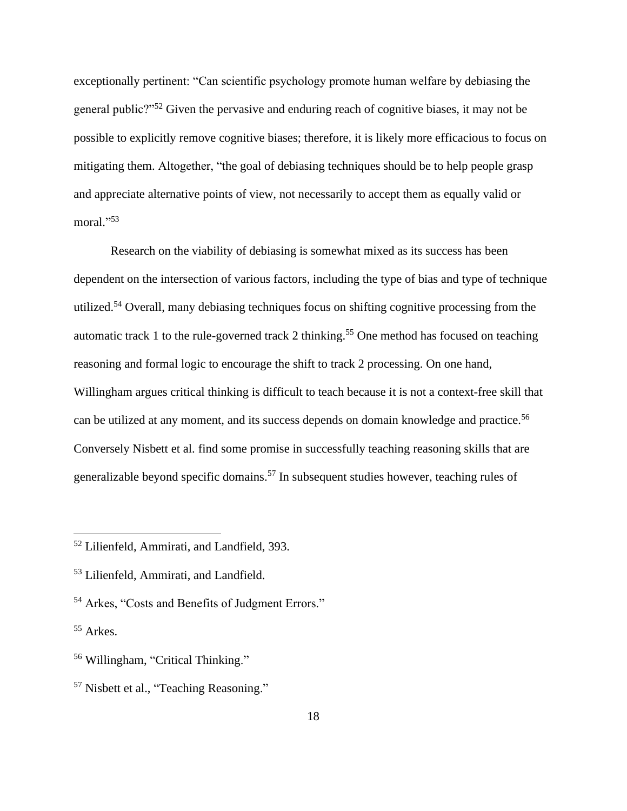exceptionally pertinent: "Can scientific psychology promote human welfare by debiasing the general public?"<sup>52</sup> Given the pervasive and enduring reach of cognitive biases, it may not be possible to explicitly remove cognitive biases; therefore, it is likely more efficacious to focus on mitigating them. Altogether, "the goal of debiasing techniques should be to help people grasp and appreciate alternative points of view, not necessarily to accept them as equally valid or moral." 53

Research on the viability of debiasing is somewhat mixed as its success has been dependent on the intersection of various factors, including the type of bias and type of technique utilized.<sup>54</sup> Overall, many debiasing techniques focus on shifting cognitive processing from the automatic track 1 to the rule-governed track 2 thinking.<sup>55</sup> One method has focused on teaching reasoning and formal logic to encourage the shift to track 2 processing. On one hand, Willingham argues critical thinking is difficult to teach because it is not a context-free skill that can be utilized at any moment, and its success depends on domain knowledge and practice.<sup>56</sup> Conversely Nisbett et al. find some promise in successfully teaching reasoning skills that are generalizable beyond specific domains.<sup>57</sup> In subsequent studies however, teaching rules of

<sup>55</sup> Arkes.

<sup>52</sup> Lilienfeld, Ammirati, and Landfield, 393.

<sup>53</sup> Lilienfeld, Ammirati, and Landfield.

<sup>54</sup> Arkes, "Costs and Benefits of Judgment Errors."

<sup>56</sup> Willingham, "Critical Thinking."

<sup>57</sup> Nisbett et al., "Teaching Reasoning."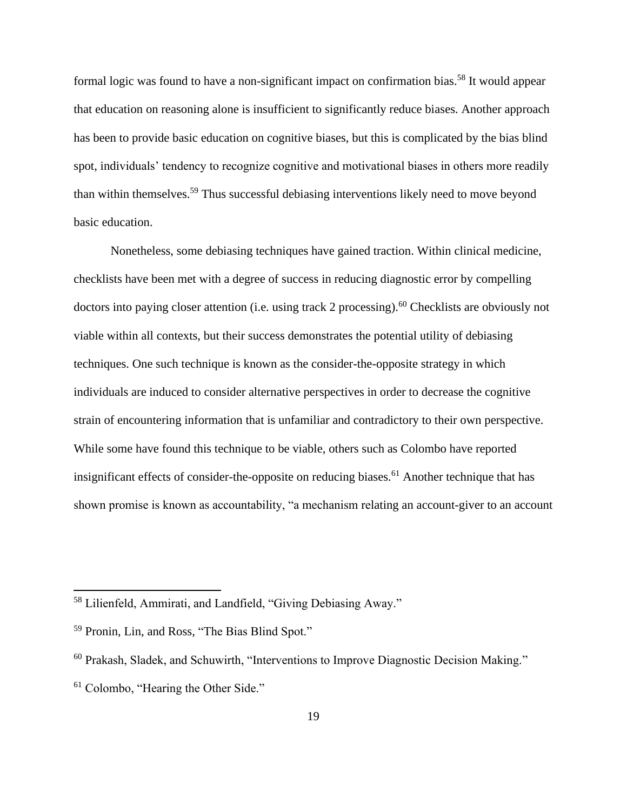formal logic was found to have a non-significant impact on confirmation bias.<sup>58</sup> It would appear that education on reasoning alone is insufficient to significantly reduce biases. Another approach has been to provide basic education on cognitive biases, but this is complicated by the bias blind spot, individuals' tendency to recognize cognitive and motivational biases in others more readily than within themselves.<sup>59</sup> Thus successful debiasing interventions likely need to move beyond basic education.

Nonetheless, some debiasing techniques have gained traction. Within clinical medicine, checklists have been met with a degree of success in reducing diagnostic error by compelling doctors into paying closer attention (i.e. using track 2 processing).<sup>60</sup> Checklists are obviously not viable within all contexts, but their success demonstrates the potential utility of debiasing techniques. One such technique is known as the consider-the-opposite strategy in which individuals are induced to consider alternative perspectives in order to decrease the cognitive strain of encountering information that is unfamiliar and contradictory to their own perspective. While some have found this technique to be viable, others such as Colombo have reported insignificant effects of consider-the-opposite on reducing biases.<sup>61</sup> Another technique that has shown promise is known as accountability, "a mechanism relating an account-giver to an account

<sup>58</sup> Lilienfeld, Ammirati, and Landfield, "Giving Debiasing Away."

<sup>59</sup> Pronin, Lin, and Ross, "The Bias Blind Spot."

<sup>&</sup>lt;sup>60</sup> Prakash, Sladek, and Schuwirth, "Interventions to Improve Diagnostic Decision Making."

<sup>&</sup>lt;sup>61</sup> Colombo, "Hearing the Other Side."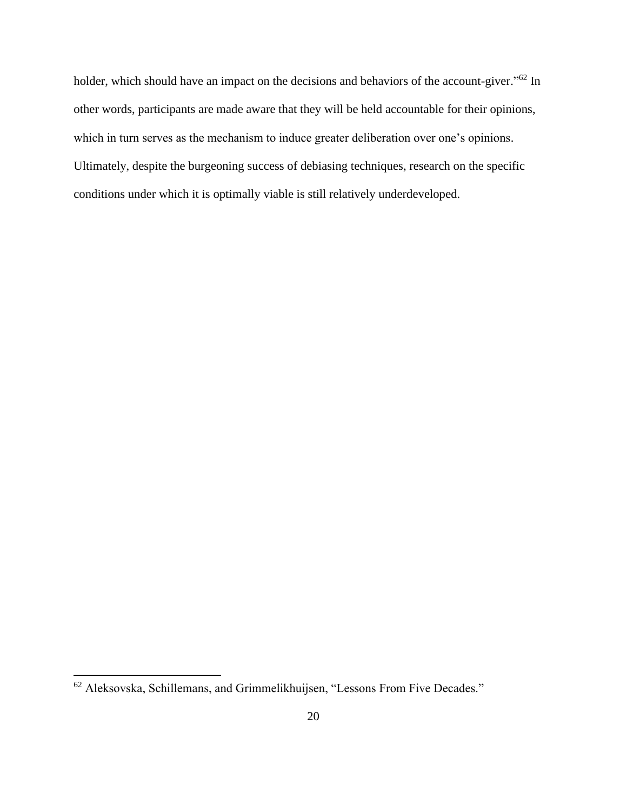holder, which should have an impact on the decisions and behaviors of the account-giver."<sup>62</sup> In other words, participants are made aware that they will be held accountable for their opinions, which in turn serves as the mechanism to induce greater deliberation over one's opinions. Ultimately, despite the burgeoning success of debiasing techniques, research on the specific conditions under which it is optimally viable is still relatively underdeveloped.

<sup>62</sup> Aleksovska, Schillemans, and Grimmelikhuijsen, "Lessons From Five Decades."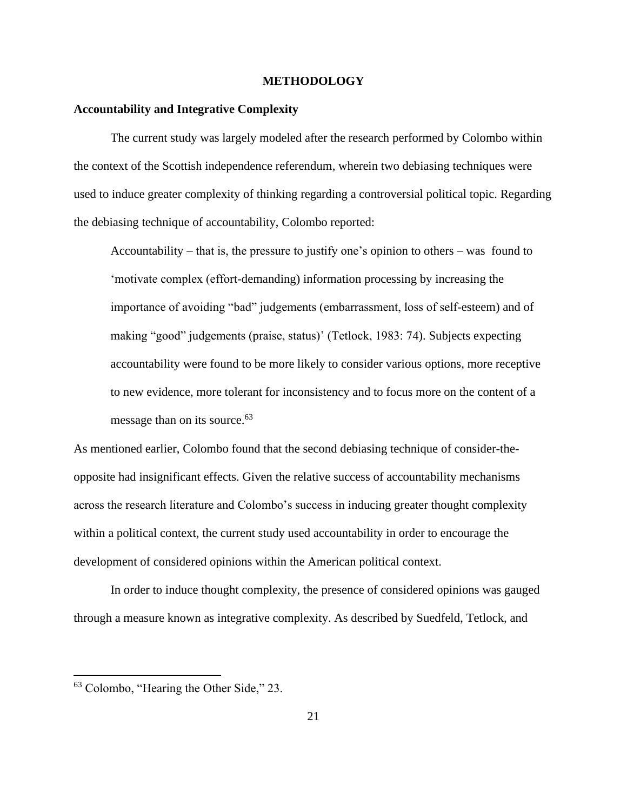#### **METHODOLOGY**

#### **Accountability and Integrative Complexity**

The current study was largely modeled after the research performed by Colombo within the context of the Scottish independence referendum, wherein two debiasing techniques were used to induce greater complexity of thinking regarding a controversial political topic. Regarding the debiasing technique of accountability, Colombo reported:

Accountability – that is, the pressure to justify one's opinion to others – was found to 'motivate complex (effort-demanding) information processing by increasing the importance of avoiding "bad" judgements (embarrassment, loss of self-esteem) and of making "good" judgements (praise, status)' (Tetlock, 1983: 74). Subjects expecting accountability were found to be more likely to consider various options, more receptive to new evidence, more tolerant for inconsistency and to focus more on the content of a message than on its source.<sup>63</sup>

As mentioned earlier, Colombo found that the second debiasing technique of consider-theopposite had insignificant effects. Given the relative success of accountability mechanisms across the research literature and Colombo's success in inducing greater thought complexity within a political context, the current study used accountability in order to encourage the development of considered opinions within the American political context.

In order to induce thought complexity, the presence of considered opinions was gauged through a measure known as integrative complexity. As described by Suedfeld, Tetlock, and

<sup>63</sup> Colombo, "Hearing the Other Side," 23.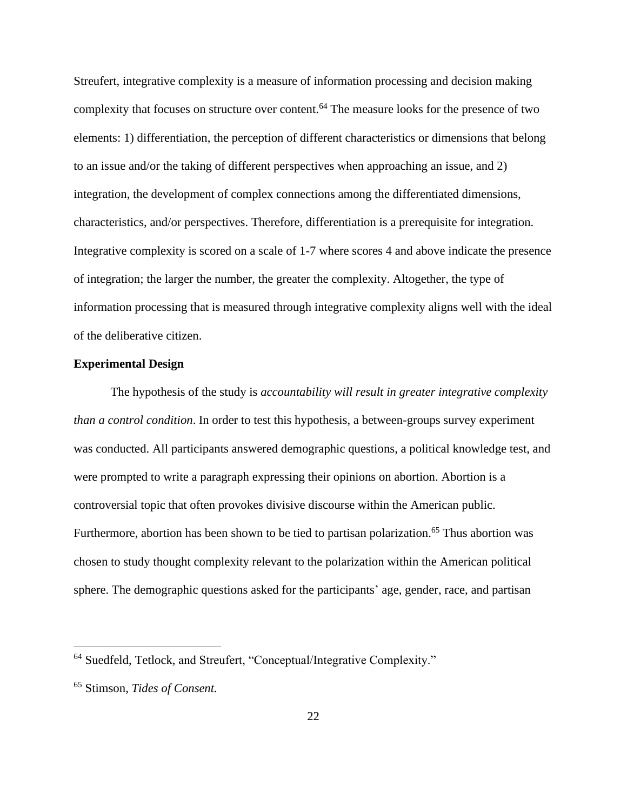Streufert, integrative complexity is a measure of information processing and decision making complexity that focuses on structure over content.<sup>64</sup> The measure looks for the presence of two elements: 1) differentiation, the perception of different characteristics or dimensions that belong to an issue and/or the taking of different perspectives when approaching an issue, and 2) integration, the development of complex connections among the differentiated dimensions, characteristics, and/or perspectives. Therefore, differentiation is a prerequisite for integration. Integrative complexity is scored on a scale of 1-7 where scores 4 and above indicate the presence of integration; the larger the number, the greater the complexity. Altogether, the type of information processing that is measured through integrative complexity aligns well with the ideal of the deliberative citizen.

## **Experimental Design**

The hypothesis of the study is *accountability will result in greater integrative complexity than a control condition*. In order to test this hypothesis, a between-groups survey experiment was conducted. All participants answered demographic questions, a political knowledge test, and were prompted to write a paragraph expressing their opinions on abortion. Abortion is a controversial topic that often provokes divisive discourse within the American public. Furthermore, abortion has been shown to be tied to partisan polarization.<sup>65</sup> Thus abortion was chosen to study thought complexity relevant to the polarization within the American political sphere. The demographic questions asked for the participants' age, gender, race, and partisan

<sup>64</sup> Suedfeld, Tetlock, and Streufert, "Conceptual/Integrative Complexity."

<sup>65</sup> Stimson, *Tides of Consent.*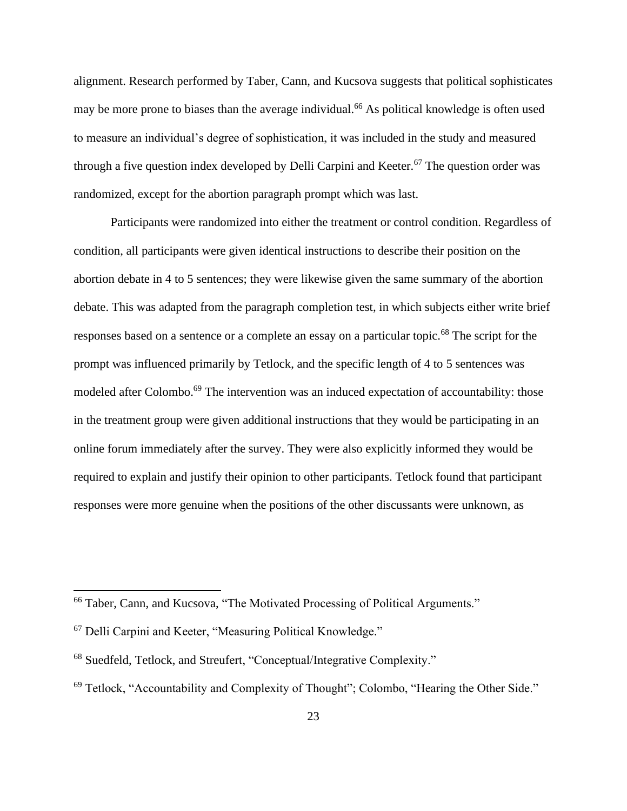alignment. Research performed by Taber, Cann, and Kucsova suggests that political sophisticates may be more prone to biases than the average individual.<sup>66</sup> As political knowledge is often used to measure an individual's degree of sophistication, it was included in the study and measured through a five question index developed by Delli Carpini and Keeter.<sup>67</sup> The question order was randomized, except for the abortion paragraph prompt which was last.

Participants were randomized into either the treatment or control condition. Regardless of condition, all participants were given identical instructions to describe their position on the abortion debate in 4 to 5 sentences; they were likewise given the same summary of the abortion debate. This was adapted from the paragraph completion test, in which subjects either write brief responses based on a sentence or a complete an essay on a particular topic.<sup>68</sup> The script for the prompt was influenced primarily by Tetlock, and the specific length of 4 to 5 sentences was modeled after Colombo.<sup>69</sup> The intervention was an induced expectation of accountability: those in the treatment group were given additional instructions that they would be participating in an online forum immediately after the survey. They were also explicitly informed they would be required to explain and justify their opinion to other participants. Tetlock found that participant responses were more genuine when the positions of the other discussants were unknown, as

<sup>66</sup> Taber, Cann, and Kucsova, "The Motivated Processing of Political Arguments."

<sup>67</sup> Delli Carpini and Keeter, "Measuring Political Knowledge."

<sup>68</sup> Suedfeld, Tetlock, and Streufert, "Conceptual/Integrative Complexity."

 $69$  Tetlock, "Accountability and Complexity of Thought"; Colombo, "Hearing the Other Side."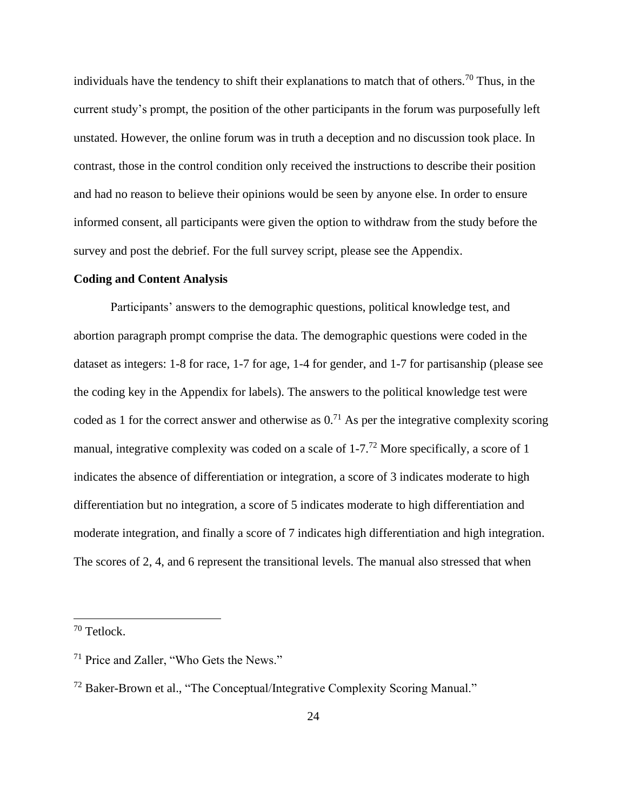individuals have the tendency to shift their explanations to match that of others.<sup>70</sup> Thus, in the current study's prompt, the position of the other participants in the forum was purposefully left unstated. However, the online forum was in truth a deception and no discussion took place. In contrast, those in the control condition only received the instructions to describe their position and had no reason to believe their opinions would be seen by anyone else. In order to ensure informed consent, all participants were given the option to withdraw from the study before the survey and post the debrief. For the full survey script, please see the Appendix.

#### **Coding and Content Analysis**

Participants' answers to the demographic questions, political knowledge test, and abortion paragraph prompt comprise the data. The demographic questions were coded in the dataset as integers: 1-8 for race, 1-7 for age, 1-4 for gender, and 1-7 for partisanship (please see the coding key in the Appendix for labels). The answers to the political knowledge test were coded as 1 for the correct answer and otherwise as  $0<sup>71</sup>$  As per the integrative complexity scoring manual, integrative complexity was coded on a scale of  $1\text{-}7$ .<sup>72</sup> More specifically, a score of 1 indicates the absence of differentiation or integration, a score of 3 indicates moderate to high differentiation but no integration, a score of 5 indicates moderate to high differentiation and moderate integration, and finally a score of 7 indicates high differentiation and high integration. The scores of 2, 4, and 6 represent the transitional levels. The manual also stressed that when

<sup>70</sup> Tetlock.

<sup>71</sup> Price and Zaller, "Who Gets the News."

<sup>72</sup> Baker-Brown et al., "The Conceptual/Integrative Complexity Scoring Manual."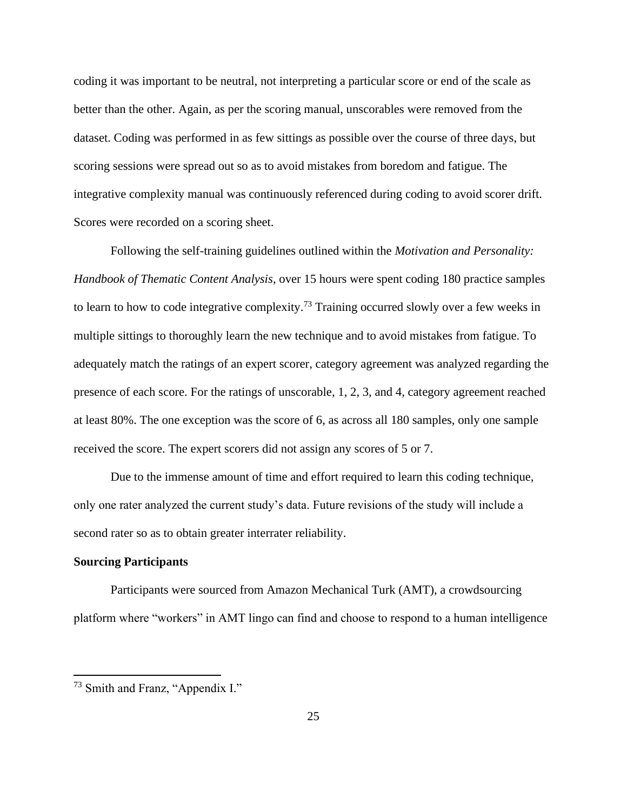coding it was important to be neutral, not interpreting a particular score or end of the scale as better than the other. Again, as per the scoring manual, unscorables were removed from the dataset. Coding was performed in as few sittings as possible over the course of three days, but scoring sessions were spread out so as to avoid mistakes from boredom and fatigue. The integrative complexity manual was continuously referenced during coding to avoid scorer drift. Scores were recorded on a scoring sheet.

Following the self-training guidelines outlined within the *Motivation and Personality: Handbook of Thematic Content Analysis*, over 15 hours were spent coding 180 practice samples to learn to how to code integrative complexity.<sup>73</sup> Training occurred slowly over a few weeks in multiple sittings to thoroughly learn the new technique and to avoid mistakes from fatigue. To adequately match the ratings of an expert scorer, category agreement was analyzed regarding the presence of each score. For the ratings of unscorable, 1, 2, 3, and 4, category agreement reached at least 80%. The one exception was the score of 6, as across all 180 samples, only one sample received the score. The expert scorers did not assign any scores of 5 or 7.

Due to the immense amount of time and effort required to learn this coding technique, only one rater analyzed the current study's data. Future revisions of the study will include a second rater so as to obtain greater interrater reliability.

## **Sourcing Participants**

Participants were sourced from Amazon Mechanical Turk (AMT), a crowdsourcing platform where "workers" in AMT lingo can find and choose to respond to a human intelligence

<sup>73</sup> Smith and Franz, "Appendix I."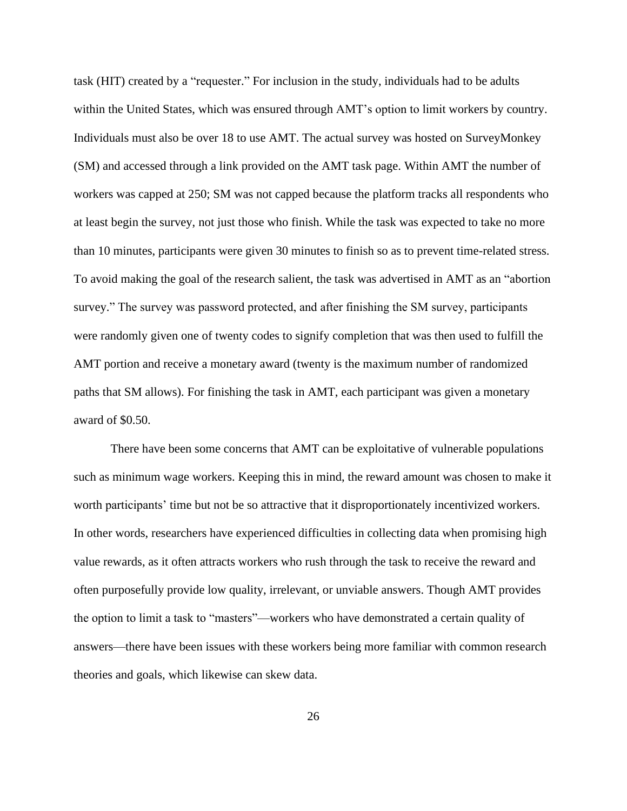task (HIT) created by a "requester." For inclusion in the study, individuals had to be adults within the United States, which was ensured through AMT's option to limit workers by country. Individuals must also be over 18 to use AMT. The actual survey was hosted on SurveyMonkey (SM) and accessed through a link provided on the AMT task page. Within AMT the number of workers was capped at 250; SM was not capped because the platform tracks all respondents who at least begin the survey, not just those who finish. While the task was expected to take no more than 10 minutes, participants were given 30 minutes to finish so as to prevent time-related stress. To avoid making the goal of the research salient, the task was advertised in AMT as an "abortion survey." The survey was password protected, and after finishing the SM survey, participants were randomly given one of twenty codes to signify completion that was then used to fulfill the AMT portion and receive a monetary award (twenty is the maximum number of randomized paths that SM allows). For finishing the task in AMT, each participant was given a monetary award of \$0.50.

There have been some concerns that AMT can be exploitative of vulnerable populations such as minimum wage workers. Keeping this in mind, the reward amount was chosen to make it worth participants' time but not be so attractive that it disproportionately incentivized workers. In other words, researchers have experienced difficulties in collecting data when promising high value rewards, as it often attracts workers who rush through the task to receive the reward and often purposefully provide low quality, irrelevant, or unviable answers. Though AMT provides the option to limit a task to "masters"—workers who have demonstrated a certain quality of answers—there have been issues with these workers being more familiar with common research theories and goals, which likewise can skew data.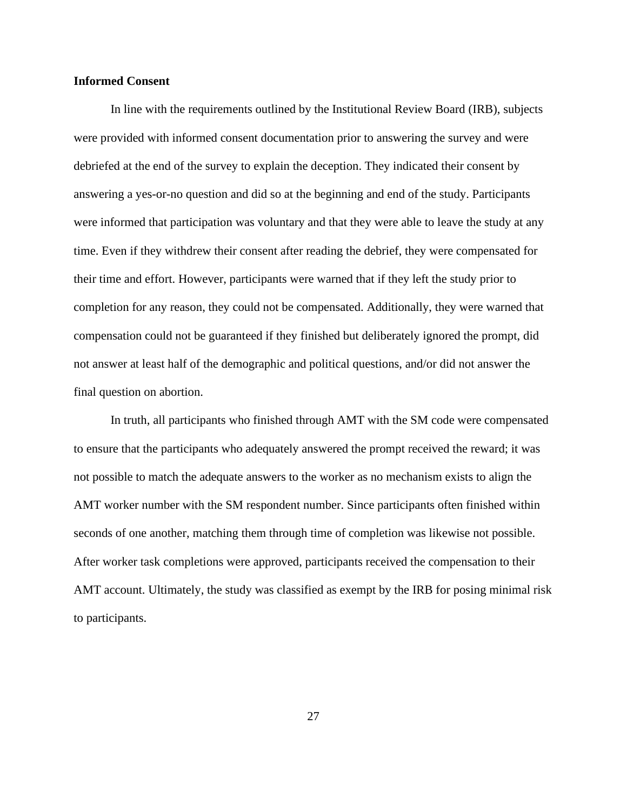## **Informed Consent**

In line with the requirements outlined by the Institutional Review Board (IRB), subjects were provided with informed consent documentation prior to answering the survey and were debriefed at the end of the survey to explain the deception. They indicated their consent by answering a yes-or-no question and did so at the beginning and end of the study. Participants were informed that participation was voluntary and that they were able to leave the study at any time. Even if they withdrew their consent after reading the debrief, they were compensated for their time and effort. However, participants were warned that if they left the study prior to completion for any reason, they could not be compensated. Additionally, they were warned that compensation could not be guaranteed if they finished but deliberately ignored the prompt, did not answer at least half of the demographic and political questions, and/or did not answer the final question on abortion.

In truth, all participants who finished through AMT with the SM code were compensated to ensure that the participants who adequately answered the prompt received the reward; it was not possible to match the adequate answers to the worker as no mechanism exists to align the AMT worker number with the SM respondent number. Since participants often finished within seconds of one another, matching them through time of completion was likewise not possible. After worker task completions were approved, participants received the compensation to their AMT account. Ultimately, the study was classified as exempt by the IRB for posing minimal risk to participants.

27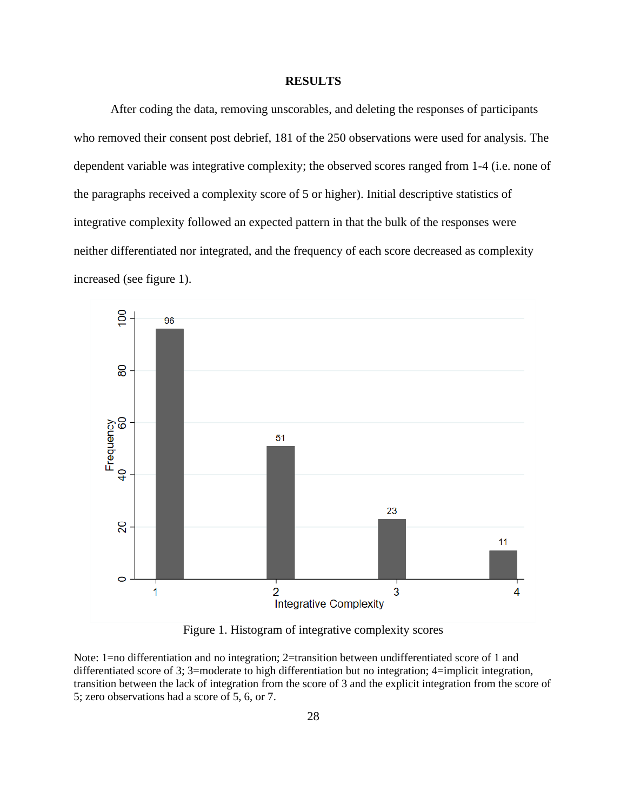# **RESULTS**

After coding the data, removing unscorables, and deleting the responses of participants who removed their consent post debrief, 181 of the 250 observations were used for analysis. The dependent variable was integrative complexity; the observed scores ranged from 1-4 (i.e. none of the paragraphs received a complexity score of 5 or higher). Initial descriptive statistics of integrative complexity followed an expected pattern in that the bulk of the responses were neither differentiated nor integrated, and the frequency of each score decreased as complexity increased (see figure 1).



Figure 1. Histogram of integrative complexity scores

Note: 1=no differentiation and no integration; 2=transition between undifferentiated score of 1 and differentiated score of 3; 3=moderate to high differentiation but no integration; 4=implicit integration, transition between the lack of integration from the score of 3 and the explicit integration from the score of 5; zero observations had a score of 5, 6, or 7.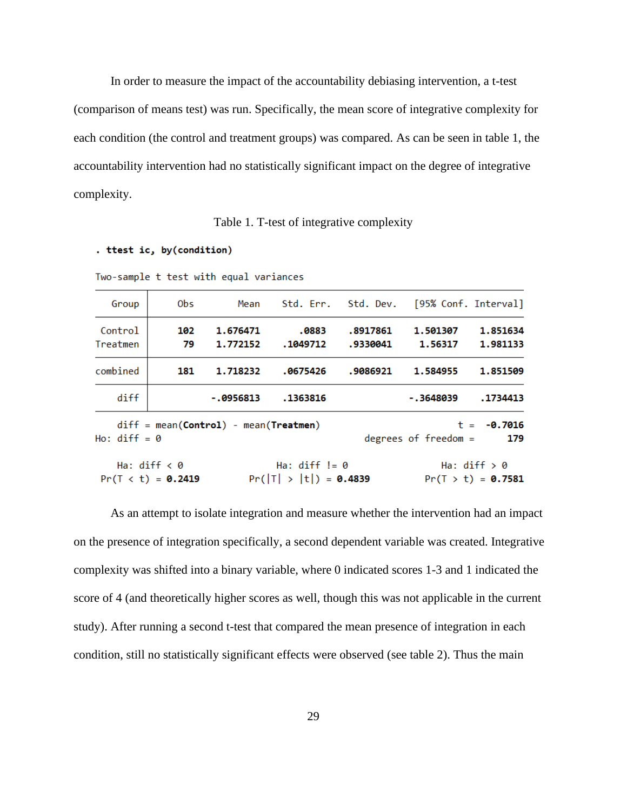In order to measure the impact of the accountability debiasing intervention, a t-test (comparison of means test) was run. Specifically, the mean score of integrative complexity for each condition (the control and treatment groups) was compared. As can be seen in table 1, the accountability intervention had no statistically significant impact on the degree of integrative complexity.

Table 1. T-test of integrative complexity

|  |  | . ttest ic, by(condition) |
|--|--|---------------------------|
|  |  |                           |

| Group                 | 0bs                                    | Mean                                    |                                             |                      | Std. Err. Std. Dev. [95% Conf. Interval] |                                        |
|-----------------------|----------------------------------------|-----------------------------------------|---------------------------------------------|----------------------|------------------------------------------|----------------------------------------|
| Control<br>Treatmen   | 102<br>79                              | 1.676471<br>1.772152                    | .0883<br>.1049712                           | .8917861<br>.9330041 | 1.501307<br>1.56317                      | 1.851634<br>1.981133                   |
| combined              | 181                                    | 1.718232                                | .0675426                                    | .9086921             | 1.584955                                 | 1.851509                               |
| diff                  |                                        | $-.0956813$                             | .1363816                                    |                      | $-.3648039$                              | .1734413                               |
| Ho: $\text{diff} = 0$ |                                        | $diff = mean(Control) - mean(Treatmen)$ |                                             |                      | degrees of freedom $=$                   | $t = -0.7016$<br>179                   |
|                       | Ha: $diff < 0$<br>$Pr(T < t) = 0.2419$ |                                         | Ha: $diff$ != 0<br>$Pr( T  >  t ) = 0.4839$ |                      |                                          | Ha: $diff > 0$<br>$Pr(T > t) = 0.7581$ |

Two-sample t test with equal variances

As an attempt to isolate integration and measure whether the intervention had an impact on the presence of integration specifically, a second dependent variable was created. Integrative complexity was shifted into a binary variable, where 0 indicated scores 1-3 and 1 indicated the score of 4 (and theoretically higher scores as well, though this was not applicable in the current study). After running a second t-test that compared the mean presence of integration in each condition, still no statistically significant effects were observed (see table 2). Thus the main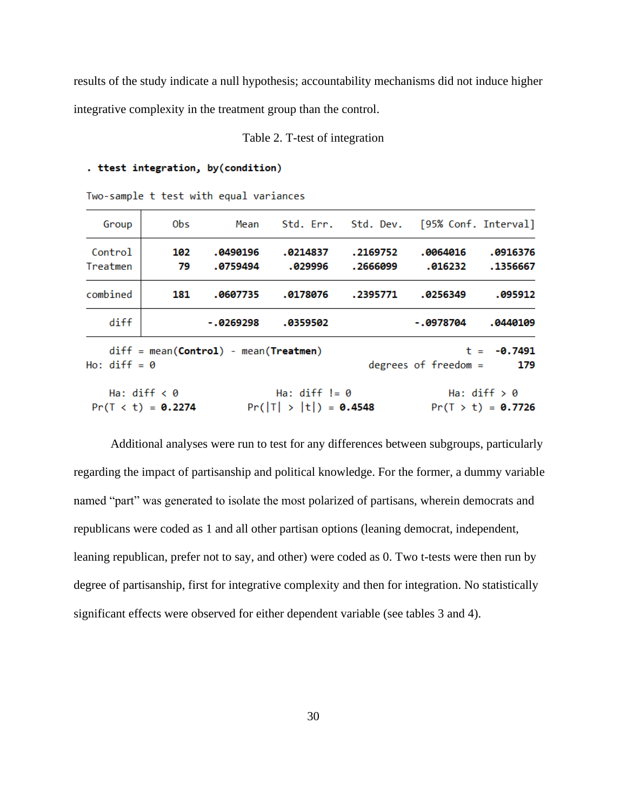results of the study indicate a null hypothesis; accountability mechanisms did not induce higher integrative complexity in the treatment group than the control.

#### Table 2. T-test of integration

#### . ttest integration, by(condition)

|                                        |                        |                       | Std. Err. Std. Dev. [95% Conf. Interval]    | Mean                                   | 0bs                                    | Group               |
|----------------------------------------|------------------------|-----------------------|---------------------------------------------|----------------------------------------|----------------------------------------|---------------------|
| .0916376<br>.1356667                   | .0064016<br>.016232    | .2169752<br>. 2666099 | .0214837<br>.029996                         | .0490196<br>.0759494                   | 102<br>79                              | Control<br>Treatmen |
| .095912                                | .0256349               | .2395771              | .0178076                                    | .0607735                               | 181                                    | combined            |
| .0440109                               | $-.0978704$            |                       | .0359502                                    | $-.0269298$                            |                                        | diff                |
| $t = -0.7491$<br>179                   | degrees of freedom $=$ |                       |                                             | $diff = mean(Control) - mean(Teatmen)$ |                                        | Ho: $diff = 0$      |
| Ha: $diff > 0$<br>$Pr(T > t) = 0.7726$ |                        |                       | Ha: $diff$ != 0<br>$Pr( T  >  t ) = 0.4548$ |                                        | Ha: $diff < 0$<br>$Pr(T < t) = 0.2274$ |                     |

Two-sample t test with equal variances

Additional analyses were run to test for any differences between subgroups, particularly regarding the impact of partisanship and political knowledge. For the former, a dummy variable named "part" was generated to isolate the most polarized of partisans, wherein democrats and republicans were coded as 1 and all other partisan options (leaning democrat, independent, leaning republican, prefer not to say, and other) were coded as 0. Two t-tests were then run by degree of partisanship, first for integrative complexity and then for integration. No statistically significant effects were observed for either dependent variable (see tables 3 and 4).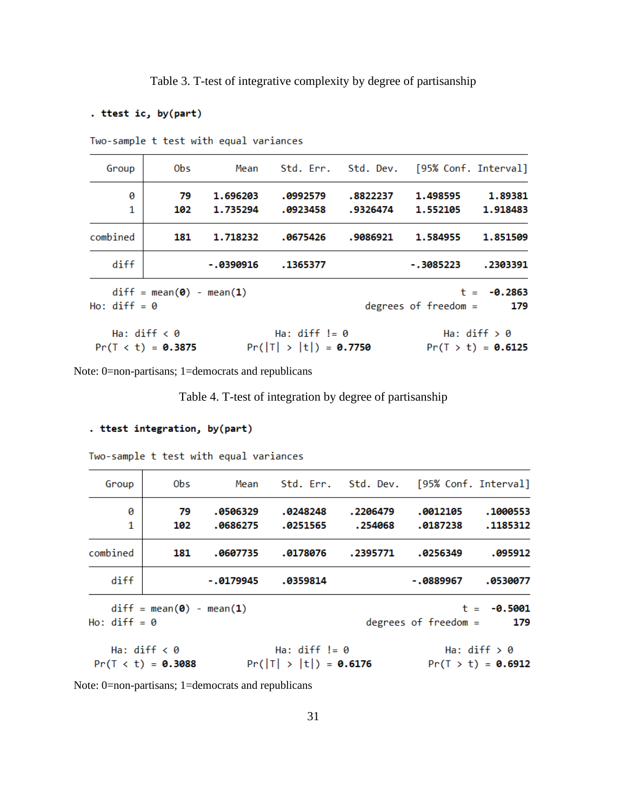### . ttest ic, by(part)

|                                        |                        | Std. Err. Std. Dev. [95% Conf. Interval] |                                             | Mean                 | 0bs                                    | Group                         |
|----------------------------------------|------------------------|------------------------------------------|---------------------------------------------|----------------------|----------------------------------------|-------------------------------|
| 1.89381<br>1.918483                    | 1.498595<br>1.552105   | .8822237<br>.9326474                     | .0992579<br>.0923458                        | 1.696203<br>1.735294 | 79<br>102                              | 0<br>1                        |
| 1.851509                               | 1.584955               | .9086921                                 | .0675426                                    | 1.718232             | 181                                    | combined                      |
| .2303391                               | $-.3085223$            |                                          | .1365377                                    | $-.0390916$          |                                        | diff                          |
| $t = -0.2863$<br>179                   | degrees of freedom $=$ |                                          |                                             |                      | $diff = mean(0) - mean(1)$             | Ho: $\text{diff} = \emptyset$ |
| Ha: $diff > 0$<br>$Pr(T > t) = 0.6125$ |                        |                                          | Ha: $diff$ != 0<br>$Pr( T  >  t ) = 0.7750$ |                      | Ha: $diff < 0$<br>$Pr(T < t) = 0.3875$ |                               |

Two-sample t test with equal variances

Note: 0=non-partisans; 1=democrats and republicans

Table 4. T-test of integration by degree of partisanship

#### . ttest integration, by(part)

|                                        |                        |                      | Mean Std. Err. Std. Dev. [95% Conf. Interval] |                      | Obs                                    | Group                         |
|----------------------------------------|------------------------|----------------------|-----------------------------------------------|----------------------|----------------------------------------|-------------------------------|
| .1000553<br>.1185312                   | .0012105<br>.0187238   | .2206479<br>. 254068 | .0248248<br>.0251565                          | .0506329<br>.0686275 | 79<br>102                              | 0<br>1                        |
| .095912                                | .0256349               | .2395771             | .0178076                                      | .0607735             | 181                                    | combined                      |
| .0530077                               | -.0889967              |                      | .0359814                                      | $-.0179945$          |                                        | diff                          |
| $t = -0.5001$<br>179                   | degrees of freedom $=$ |                      |                                               |                      | $diff = mean(0) - mean(1)$             | Ho: $\text{diff} = \emptyset$ |
| Ha: $diff > 0$<br>$Pr(T > t) = 0.6912$ |                        |                      | Ha: $diff$ != 0<br>$Pr( T  >  t ) = 0.6176$   |                      | Ha: $diff < 0$<br>$Pr(T < t) = 0.3088$ |                               |

Two-sample t test with equal variances

Note: 0=non-partisans; 1=democrats and republicans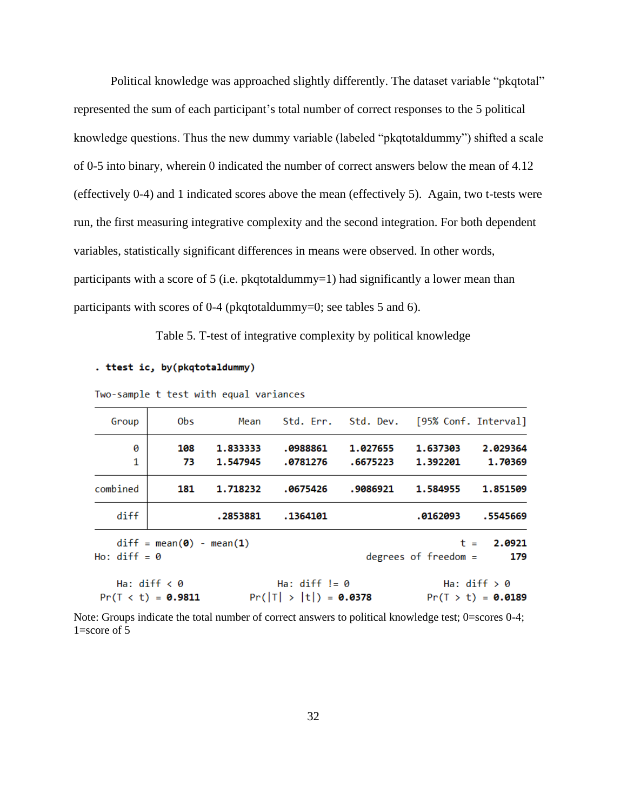Political knowledge was approached slightly differently. The dataset variable "pkqtotal" represented the sum of each participant's total number of correct responses to the 5 political knowledge questions. Thus the new dummy variable (labeled "pkqtotaldummy") shifted a scale of 0-5 into binary, wherein 0 indicated the number of correct answers below the mean of 4.12 (effectively 0-4) and 1 indicated scores above the mean (effectively 5). Again, two t-tests were run, the first measuring integrative complexity and the second integration. For both dependent variables, statistically significant differences in means were observed. In other words, participants with a score of 5 (i.e. pkqtotaldummy=1) had significantly a lower mean than participants with scores of 0-4 (pkqtotaldummy=0; see tables 5 and 6).

Table 5. T-test of integrative complexity by political knowledge

#### . ttest ic, by(pkqtotaldummy)

|  |  |  | Two Sample t test mith equal variances |  |
|--|--|--|----------------------------------------|--|
|  |  |  |                                        |  |
|  |  |  |                                        |  |

Two-sample t test with equal variances

| Group                         | 0bs                                    | Mean                 |                                             | Std. Err. Std. Dev. [95% Conf. Interval] |                                        |                     |
|-------------------------------|----------------------------------------|----------------------|---------------------------------------------|------------------------------------------|----------------------------------------|---------------------|
| 0<br>1                        | 108<br>73                              | 1.833333<br>1.547945 | .0988861<br>.0781276                        | 1.027655<br>.6675223                     | 1.637303<br>1.392201                   | 2.029364<br>1.70369 |
| combined                      | 181                                    | 1.718232             | .0675426                                    | .9086921                                 | 1.584955                               | 1.851509            |
| diff                          |                                        | .2853881             | .1364101                                    |                                          | .0162093                               | .5545669            |
| Ho: $\text{diff} = \emptyset$ | $diff = mean(0) - mean(1)$             |                      |                                             |                                          | degrees of freedom $=$                 | $t = 2.0921$<br>179 |
|                               | Ha: $diff < 0$<br>$Pr(T < t) = 0.9811$ |                      | Ha: $diff$ != 0<br>$Pr( T  >  t ) = 0.0378$ |                                          | Ha: $diff > 0$<br>$Pr(T > t) = 0.0189$ |                     |

Note: Groups indicate the total number of correct answers to political knowledge test; 0=scores 0-4;  $1 = score of 5$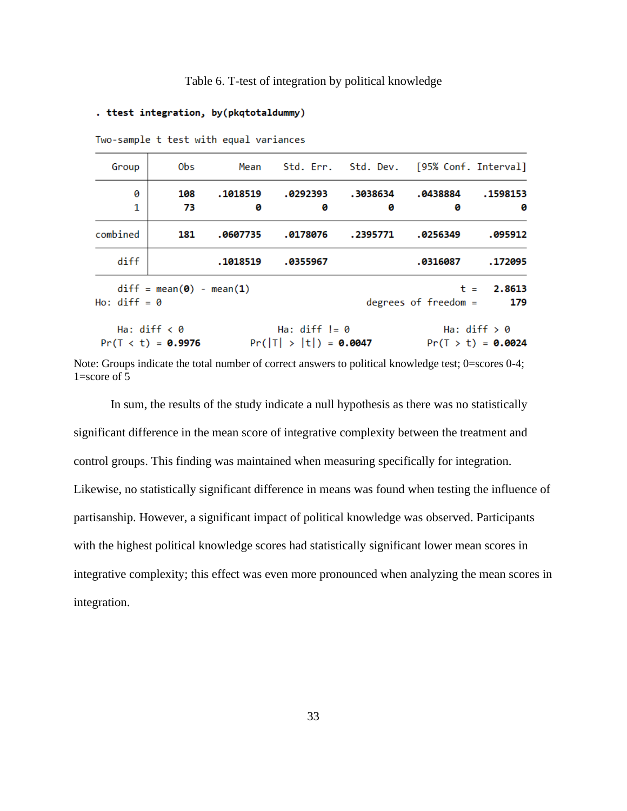#### Table 6. T-test of integration by political knowledge

#### . ttest integration, by(pkqtotaldummy)

|                                        |                            |           | Mean Std. Err. Std. Dev. [95% Conf. Interval] |   | Obs                                    | Group                         |
|----------------------------------------|----------------------------|-----------|-----------------------------------------------|---|----------------------------------------|-------------------------------|
| ø                                      | .0438884 .1598153<br>ø     | ø         | .1018519 .0292393 .3038634<br>ø               | ø | 108<br>73                              | Ø<br>1                        |
| . 095912                               | .0256349                   | . 2395771 | .0607735 .0178076                             |   | 181                                    | combined                      |
| . 172095                               | .0316087                   |           | .1018519 .0355967                             |   |                                        | diff                          |
| $t = 2.8613$                           | degrees of freedom $=$ 179 |           |                                               |   | $diff = mean(0) - mean(1)$             | Ho: $\text{diff} = \emptyset$ |
| Ha: $diff > 0$<br>$Pr(T > t) = 0.0024$ |                            |           | Ha: $diff$ != 0<br>$Pr( T  >  t ) = 0.0047$   |   | Ha: $diff < 0$<br>$Pr(T < t) = 0.9976$ |                               |

Two-sample t test with equal variances

Note: Groups indicate the total number of correct answers to political knowledge test; 0=scores 0-4;  $1 = score of 5$ 

In sum, the results of the study indicate a null hypothesis as there was no statistically significant difference in the mean score of integrative complexity between the treatment and control groups. This finding was maintained when measuring specifically for integration. Likewise, no statistically significant difference in means was found when testing the influence of partisanship. However, a significant impact of political knowledge was observed. Participants with the highest political knowledge scores had statistically significant lower mean scores in integrative complexity; this effect was even more pronounced when analyzing the mean scores in integration.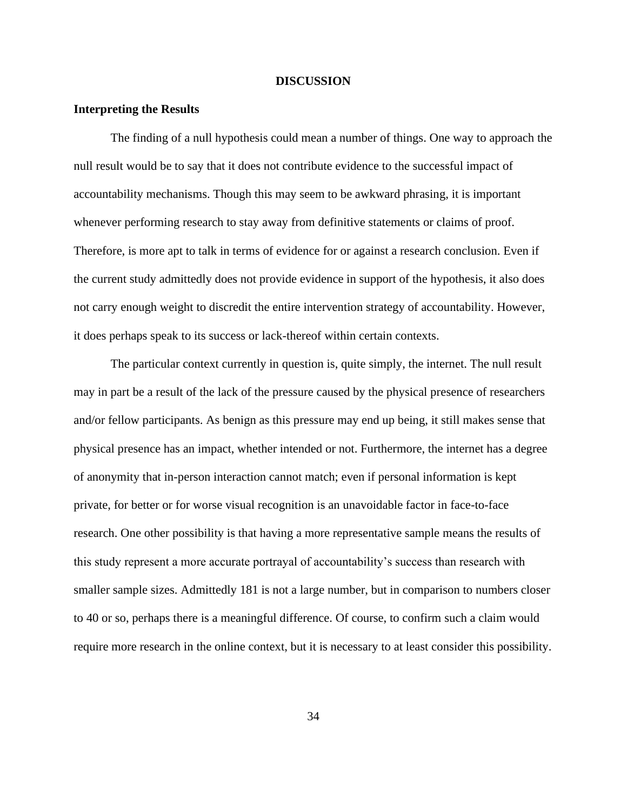#### **DISCUSSION**

#### **Interpreting the Results**

The finding of a null hypothesis could mean a number of things. One way to approach the null result would be to say that it does not contribute evidence to the successful impact of accountability mechanisms. Though this may seem to be awkward phrasing, it is important whenever performing research to stay away from definitive statements or claims of proof. Therefore, is more apt to talk in terms of evidence for or against a research conclusion. Even if the current study admittedly does not provide evidence in support of the hypothesis, it also does not carry enough weight to discredit the entire intervention strategy of accountability. However, it does perhaps speak to its success or lack-thereof within certain contexts.

The particular context currently in question is, quite simply, the internet. The null result may in part be a result of the lack of the pressure caused by the physical presence of researchers and/or fellow participants. As benign as this pressure may end up being, it still makes sense that physical presence has an impact, whether intended or not. Furthermore, the internet has a degree of anonymity that in-person interaction cannot match; even if personal information is kept private, for better or for worse visual recognition is an unavoidable factor in face-to-face research. One other possibility is that having a more representative sample means the results of this study represent a more accurate portrayal of accountability's success than research with smaller sample sizes. Admittedly 181 is not a large number, but in comparison to numbers closer to 40 or so, perhaps there is a meaningful difference. Of course, to confirm such a claim would require more research in the online context, but it is necessary to at least consider this possibility.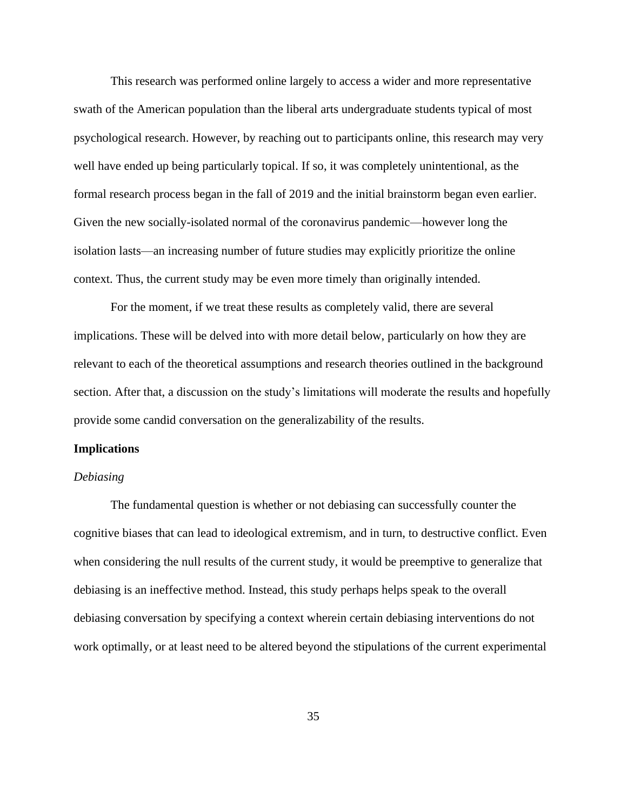This research was performed online largely to access a wider and more representative swath of the American population than the liberal arts undergraduate students typical of most psychological research. However, by reaching out to participants online, this research may very well have ended up being particularly topical. If so, it was completely unintentional, as the formal research process began in the fall of 2019 and the initial brainstorm began even earlier. Given the new socially-isolated normal of the coronavirus pandemic—however long the isolation lasts—an increasing number of future studies may explicitly prioritize the online context. Thus, the current study may be even more timely than originally intended.

For the moment, if we treat these results as completely valid, there are several implications. These will be delved into with more detail below, particularly on how they are relevant to each of the theoretical assumptions and research theories outlined in the background section. After that, a discussion on the study's limitations will moderate the results and hopefully provide some candid conversation on the generalizability of the results.

#### **Implications**

#### *Debiasing*

The fundamental question is whether or not debiasing can successfully counter the cognitive biases that can lead to ideological extremism, and in turn, to destructive conflict. Even when considering the null results of the current study, it would be preemptive to generalize that debiasing is an ineffective method. Instead, this study perhaps helps speak to the overall debiasing conversation by specifying a context wherein certain debiasing interventions do not work optimally, or at least need to be altered beyond the stipulations of the current experimental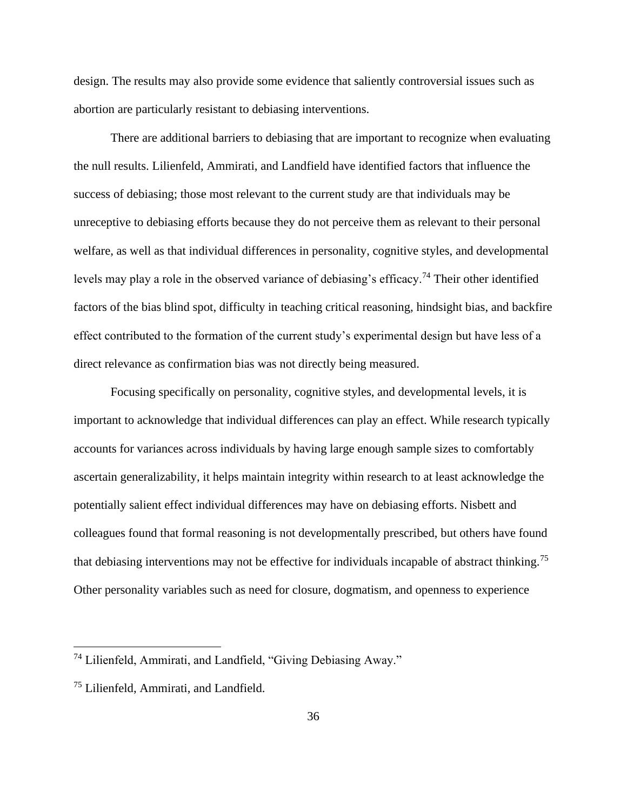design. The results may also provide some evidence that saliently controversial issues such as abortion are particularly resistant to debiasing interventions.

There are additional barriers to debiasing that are important to recognize when evaluating the null results. Lilienfeld, Ammirati, and Landfield have identified factors that influence the success of debiasing; those most relevant to the current study are that individuals may be unreceptive to debiasing efforts because they do not perceive them as relevant to their personal welfare, as well as that individual differences in personality, cognitive styles, and developmental levels may play a role in the observed variance of debiasing's efficacy.<sup>74</sup> Their other identified factors of the bias blind spot, difficulty in teaching critical reasoning, hindsight bias, and backfire effect contributed to the formation of the current study's experimental design but have less of a direct relevance as confirmation bias was not directly being measured.

Focusing specifically on personality, cognitive styles, and developmental levels, it is important to acknowledge that individual differences can play an effect. While research typically accounts for variances across individuals by having large enough sample sizes to comfortably ascertain generalizability, it helps maintain integrity within research to at least acknowledge the potentially salient effect individual differences may have on debiasing efforts. Nisbett and colleagues found that formal reasoning is not developmentally prescribed, but others have found that debiasing interventions may not be effective for individuals incapable of abstract thinking.<sup>75</sup> Other personality variables such as need for closure, dogmatism, and openness to experience

<sup>74</sup> Lilienfeld, Ammirati, and Landfield, "Giving Debiasing Away."

<sup>75</sup> Lilienfeld, Ammirati, and Landfield.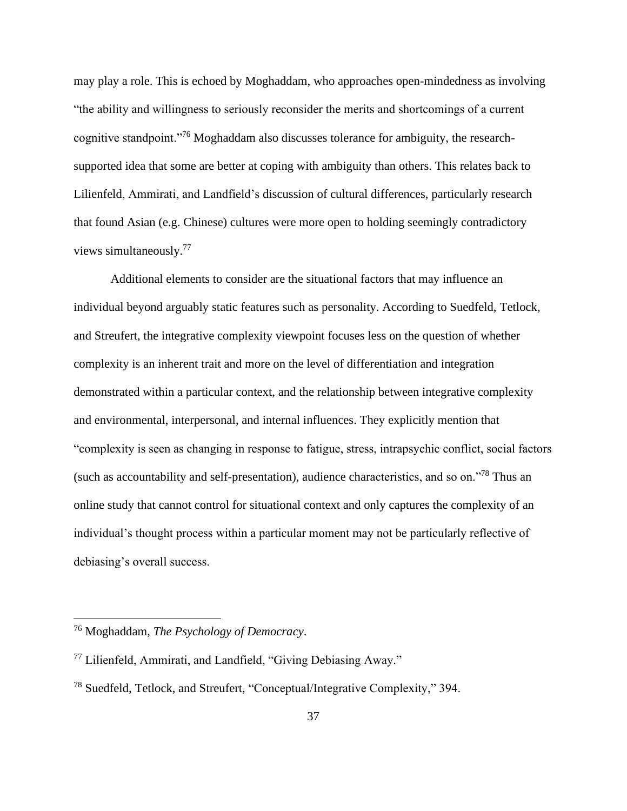may play a role. This is echoed by Moghaddam, who approaches open-mindedness as involving "the ability and willingness to seriously reconsider the merits and shortcomings of a current cognitive standpoint."<sup>76</sup> Moghaddam also discusses tolerance for ambiguity, the researchsupported idea that some are better at coping with ambiguity than others. This relates back to Lilienfeld, Ammirati, and Landfield's discussion of cultural differences, particularly research that found Asian (e.g. Chinese) cultures were more open to holding seemingly contradictory views simultaneously.<sup>77</sup>

Additional elements to consider are the situational factors that may influence an individual beyond arguably static features such as personality. According to Suedfeld, Tetlock, and Streufert, the integrative complexity viewpoint focuses less on the question of whether complexity is an inherent trait and more on the level of differentiation and integration demonstrated within a particular context, and the relationship between integrative complexity and environmental, interpersonal, and internal influences. They explicitly mention that "complexity is seen as changing in response to fatigue, stress, intrapsychic conflict, social factors (such as accountability and self-presentation), audience characteristics, and so on."<sup>78</sup> Thus an online study that cannot control for situational context and only captures the complexity of an individual's thought process within a particular moment may not be particularly reflective of debiasing's overall success.

<sup>76</sup> Moghaddam, *The Psychology of Democracy*.

<sup>77</sup> Lilienfeld, Ammirati, and Landfield, "Giving Debiasing Away."

<sup>78</sup> Suedfeld, Tetlock, and Streufert, "Conceptual/Integrative Complexity," 394.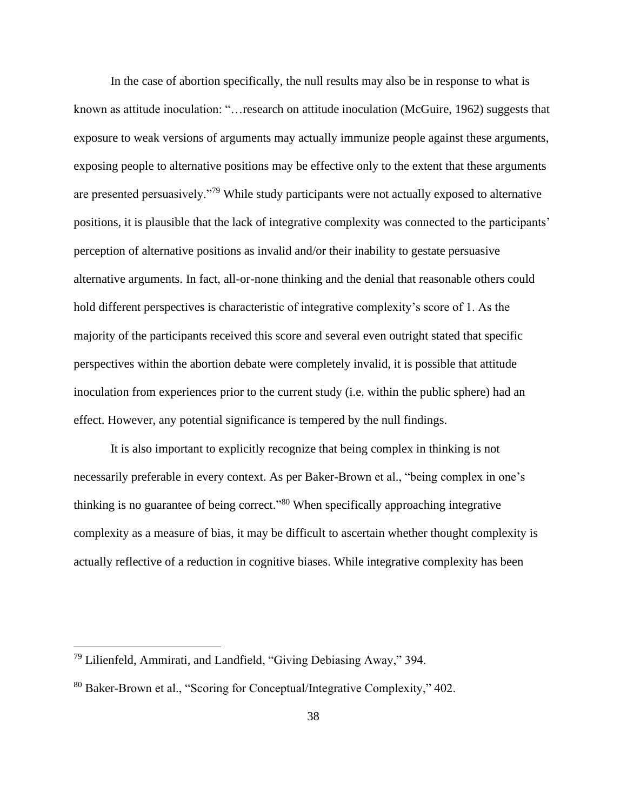In the case of abortion specifically, the null results may also be in response to what is known as attitude inoculation: "…research on attitude inoculation (McGuire, 1962) suggests that exposure to weak versions of arguments may actually immunize people against these arguments, exposing people to alternative positions may be effective only to the extent that these arguments are presented persuasively."<sup>79</sup> While study participants were not actually exposed to alternative positions, it is plausible that the lack of integrative complexity was connected to the participants' perception of alternative positions as invalid and/or their inability to gestate persuasive alternative arguments. In fact, all-or-none thinking and the denial that reasonable others could hold different perspectives is characteristic of integrative complexity's score of 1. As the majority of the participants received this score and several even outright stated that specific perspectives within the abortion debate were completely invalid, it is possible that attitude inoculation from experiences prior to the current study (i.e. within the public sphere) had an effect. However, any potential significance is tempered by the null findings.

It is also important to explicitly recognize that being complex in thinking is not necessarily preferable in every context. As per Baker-Brown et al., "being complex in one's thinking is no guarantee of being correct."<sup>80</sup> When specifically approaching integrative complexity as a measure of bias, it may be difficult to ascertain whether thought complexity is actually reflective of a reduction in cognitive biases. While integrative complexity has been

<sup>79</sup> Lilienfeld, Ammirati, and Landfield, "Giving Debiasing Away," 394.

<sup>80</sup> Baker-Brown et al., "Scoring for Conceptual/Integrative Complexity," 402.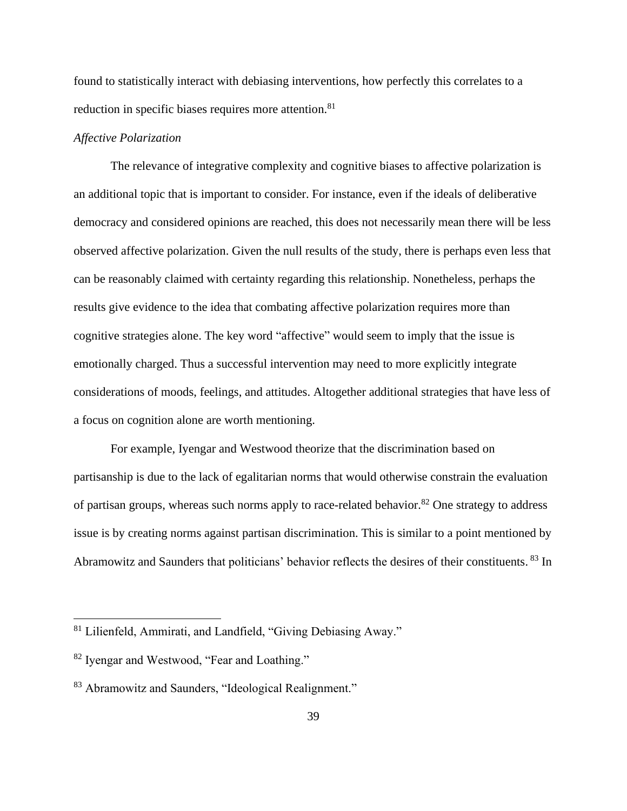found to statistically interact with debiasing interventions, how perfectly this correlates to a reduction in specific biases requires more attention.<sup>81</sup>

## *Affective Polarization*

The relevance of integrative complexity and cognitive biases to affective polarization is an additional topic that is important to consider. For instance, even if the ideals of deliberative democracy and considered opinions are reached, this does not necessarily mean there will be less observed affective polarization. Given the null results of the study, there is perhaps even less that can be reasonably claimed with certainty regarding this relationship. Nonetheless, perhaps the results give evidence to the idea that combating affective polarization requires more than cognitive strategies alone. The key word "affective" would seem to imply that the issue is emotionally charged. Thus a successful intervention may need to more explicitly integrate considerations of moods, feelings, and attitudes. Altogether additional strategies that have less of a focus on cognition alone are worth mentioning.

For example, Iyengar and Westwood theorize that the discrimination based on partisanship is due to the lack of egalitarian norms that would otherwise constrain the evaluation of partisan groups, whereas such norms apply to race-related behavior.<sup>82</sup> One strategy to address issue is by creating norms against partisan discrimination. This is similar to a point mentioned by Abramowitz and Saunders that politicians' behavior reflects the desires of their constituents. <sup>83</sup> In

<sup>81</sup> Lilienfeld, Ammirati, and Landfield, "Giving Debiasing Away."

<sup>82</sup> Iyengar and Westwood, "Fear and Loathing."

<sup>83</sup> Abramowitz and Saunders, "Ideological Realignment."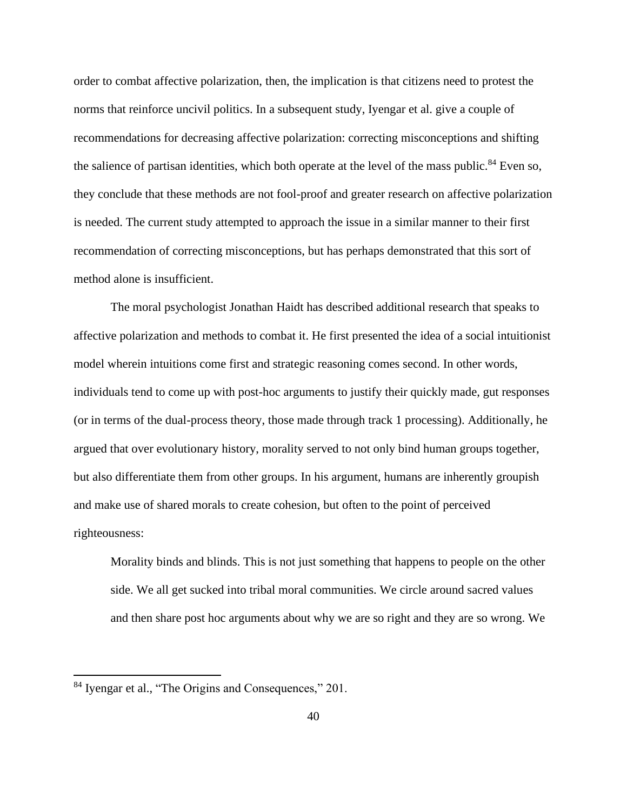order to combat affective polarization, then, the implication is that citizens need to protest the norms that reinforce uncivil politics. In a subsequent study, Iyengar et al. give a couple of recommendations for decreasing affective polarization: correcting misconceptions and shifting the salience of partisan identities, which both operate at the level of the mass public. $84$  Even so, they conclude that these methods are not fool-proof and greater research on affective polarization is needed. The current study attempted to approach the issue in a similar manner to their first recommendation of correcting misconceptions, but has perhaps demonstrated that this sort of method alone is insufficient.

The moral psychologist Jonathan Haidt has described additional research that speaks to affective polarization and methods to combat it. He first presented the idea of a social intuitionist model wherein intuitions come first and strategic reasoning comes second. In other words, individuals tend to come up with post-hoc arguments to justify their quickly made, gut responses (or in terms of the dual-process theory, those made through track 1 processing). Additionally, he argued that over evolutionary history, morality served to not only bind human groups together, but also differentiate them from other groups. In his argument, humans are inherently groupish and make use of shared morals to create cohesion, but often to the point of perceived righteousness:

Morality binds and blinds. This is not just something that happens to people on the other side. We all get sucked into tribal moral communities. We circle around sacred values and then share post hoc arguments about why we are so right and they are so wrong. We

<sup>84</sup> Iyengar et al., "The Origins and Consequences," 201.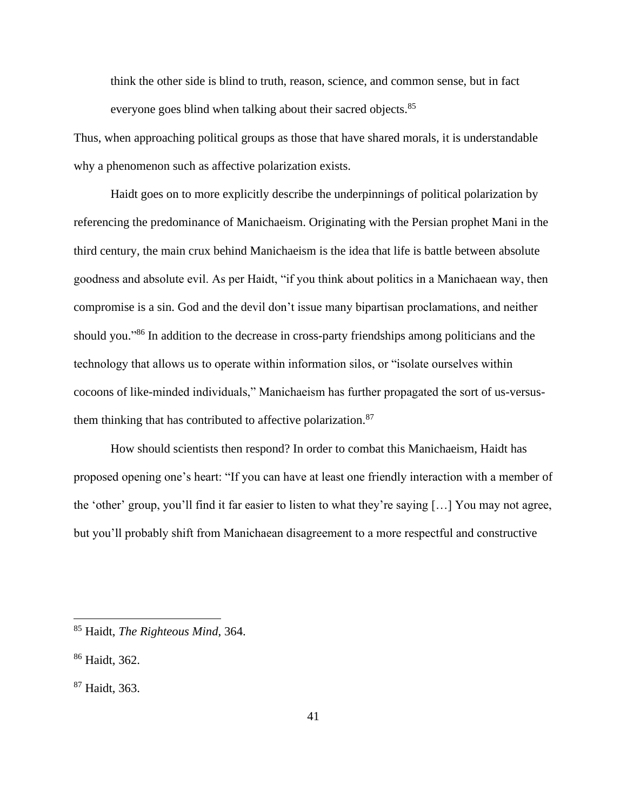think the other side is blind to truth, reason, science, and common sense, but in fact everyone goes blind when talking about their sacred objects.<sup>85</sup>

Thus, when approaching political groups as those that have shared morals, it is understandable why a phenomenon such as affective polarization exists.

Haidt goes on to more explicitly describe the underpinnings of political polarization by referencing the predominance of Manichaeism. Originating with the Persian prophet Mani in the third century, the main crux behind Manichaeism is the idea that life is battle between absolute goodness and absolute evil. As per Haidt, "if you think about politics in a Manichaean way, then compromise is a sin. God and the devil don't issue many bipartisan proclamations, and neither should you."<sup>86</sup> In addition to the decrease in cross-party friendships among politicians and the technology that allows us to operate within information silos, or "isolate ourselves within cocoons of like-minded individuals," Manichaeism has further propagated the sort of us-versusthem thinking that has contributed to affective polarization.<sup>87</sup>

How should scientists then respond? In order to combat this Manichaeism, Haidt has proposed opening one's heart: "If you can have at least one friendly interaction with a member of the 'other' group, you'll find it far easier to listen to what they're saying […] You may not agree, but you'll probably shift from Manichaean disagreement to a more respectful and constructive

<sup>85</sup> Haidt, *The Righteous Mind*, 364.

<sup>86</sup> Haidt, 362.

<sup>87</sup> Haidt, 363.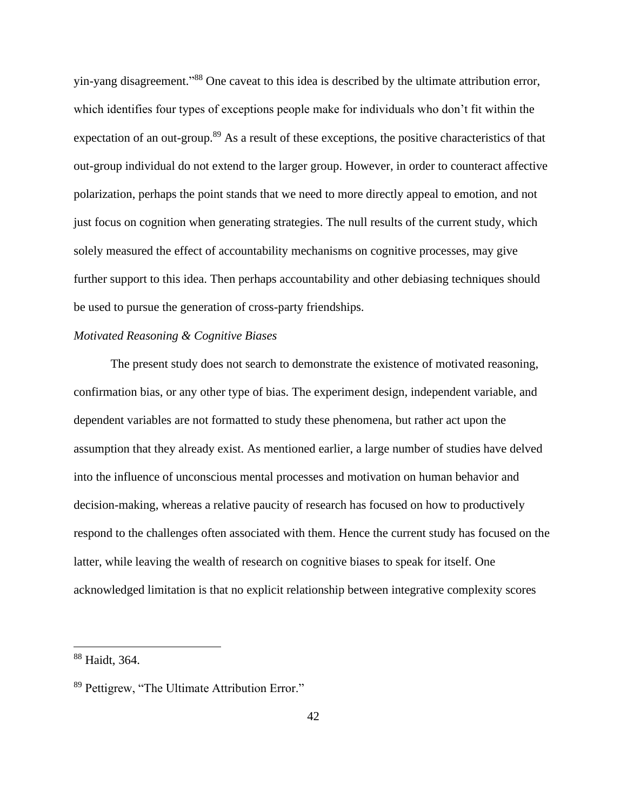yin-yang disagreement."<sup>88</sup> One caveat to this idea is described by the ultimate attribution error, which identifies four types of exceptions people make for individuals who don't fit within the expectation of an out-group.<sup>89</sup> As a result of these exceptions, the positive characteristics of that out-group individual do not extend to the larger group. However, in order to counteract affective polarization, perhaps the point stands that we need to more directly appeal to emotion, and not just focus on cognition when generating strategies. The null results of the current study, which solely measured the effect of accountability mechanisms on cognitive processes, may give further support to this idea. Then perhaps accountability and other debiasing techniques should be used to pursue the generation of cross-party friendships.

## *Motivated Reasoning & Cognitive Biases*

The present study does not search to demonstrate the existence of motivated reasoning, confirmation bias, or any other type of bias. The experiment design, independent variable, and dependent variables are not formatted to study these phenomena, but rather act upon the assumption that they already exist. As mentioned earlier, a large number of studies have delved into the influence of unconscious mental processes and motivation on human behavior and decision-making, whereas a relative paucity of research has focused on how to productively respond to the challenges often associated with them. Hence the current study has focused on the latter, while leaving the wealth of research on cognitive biases to speak for itself. One acknowledged limitation is that no explicit relationship between integrative complexity scores

<sup>88</sup> Haidt, 364.

<sup>89</sup> Pettigrew, "The Ultimate Attribution Error."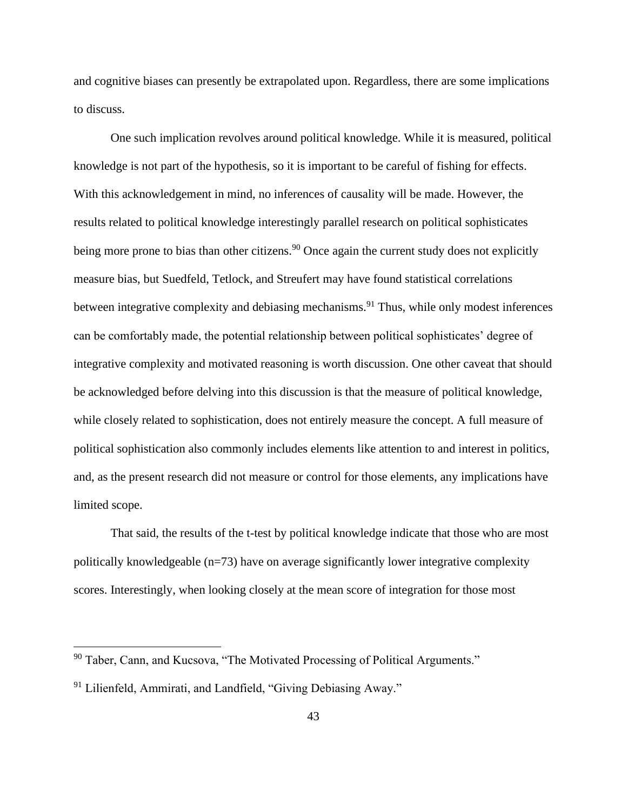and cognitive biases can presently be extrapolated upon. Regardless, there are some implications to discuss.

One such implication revolves around political knowledge. While it is measured, political knowledge is not part of the hypothesis, so it is important to be careful of fishing for effects. With this acknowledgement in mind, no inferences of causality will be made. However, the results related to political knowledge interestingly parallel research on political sophisticates being more prone to bias than other citizens.<sup>90</sup> Once again the current study does not explicitly measure bias, but Suedfeld, Tetlock, and Streufert may have found statistical correlations between integrative complexity and debiasing mechanisms.<sup>91</sup> Thus, while only modest inferences can be comfortably made, the potential relationship between political sophisticates' degree of integrative complexity and motivated reasoning is worth discussion. One other caveat that should be acknowledged before delving into this discussion is that the measure of political knowledge, while closely related to sophistication, does not entirely measure the concept. A full measure of political sophistication also commonly includes elements like attention to and interest in politics, and, as the present research did not measure or control for those elements, any implications have limited scope.

That said, the results of the t-test by political knowledge indicate that those who are most politically knowledgeable (n=73) have on average significantly lower integrative complexity scores. Interestingly, when looking closely at the mean score of integration for those most

<sup>90</sup> Taber, Cann, and Kucsova, "The Motivated Processing of Political Arguments."

<sup>&</sup>lt;sup>91</sup> Lilienfeld, Ammirati, and Landfield, "Giving Debiasing Away."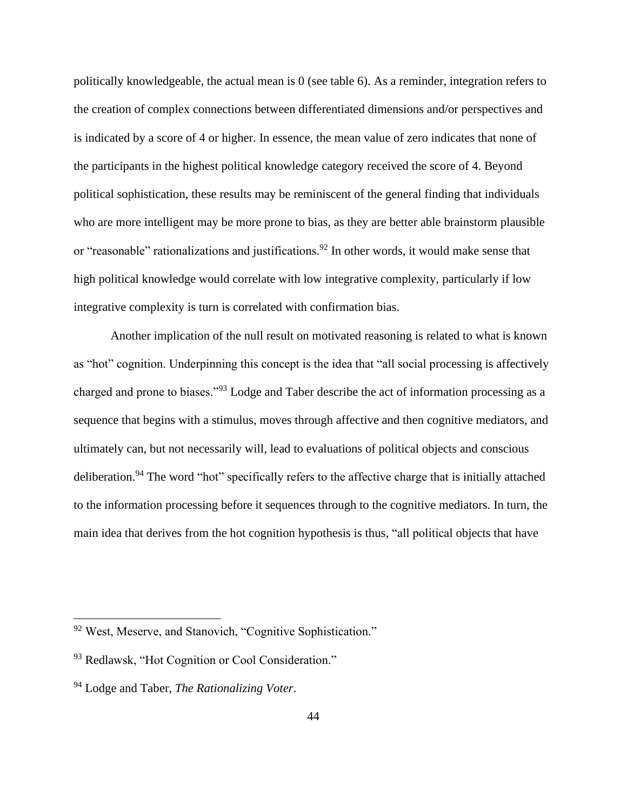politically knowledgeable, the actual mean is 0 (see table 6). As a reminder, integration refers to the creation of complex connections between differentiated dimensions and/or perspectives and is indicated by a score of 4 or higher. In essence, the mean value of zero indicates that none of the participants in the highest political knowledge category received the score of 4. Beyond political sophistication, these results may be reminiscent of the general finding that individuals who are more intelligent may be more prone to bias, as they are better able brainstorm plausible or "reasonable" rationalizations and justifications.<sup>92</sup> In other words, it would make sense that high political knowledge would correlate with low integrative complexity, particularly if low integrative complexity is turn is correlated with confirmation bias.

Another implication of the null result on motivated reasoning is related to what is known as "hot" cognition. Underpinning this concept is the idea that "all social processing is affectively charged and prone to biases."<sup>93</sup> Lodge and Taber describe the act of information processing as a sequence that begins with a stimulus, moves through affective and then cognitive mediators, and ultimately can, but not necessarily will, lead to evaluations of political objects and conscious deliberation.<sup>94</sup> The word "hot" specifically refers to the affective charge that is initially attached to the information processing before it sequences through to the cognitive mediators. In turn, the main idea that derives from the hot cognition hypothesis is thus, "all political objects that have

 $92$  West, Meserve, and Stanovich, "Cognitive Sophistication."

<sup>&</sup>lt;sup>93</sup> Redlawsk, "Hot Cognition or Cool Consideration."

<sup>94</sup> Lodge and Taber, *The Rationalizing Voter*.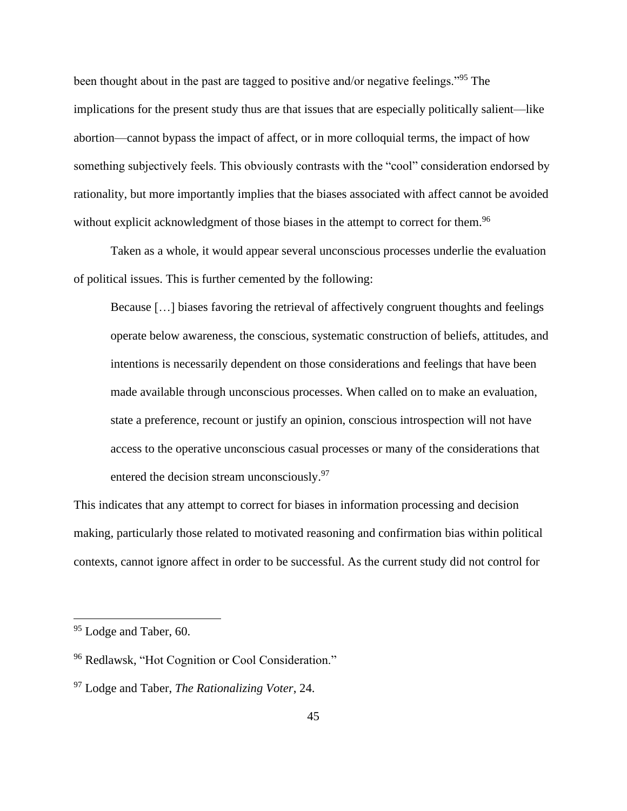been thought about in the past are tagged to positive and/or negative feelings."<sup>95</sup> The implications for the present study thus are that issues that are especially politically salient—like abortion—cannot bypass the impact of affect, or in more colloquial terms, the impact of how something subjectively feels. This obviously contrasts with the "cool" consideration endorsed by rationality, but more importantly implies that the biases associated with affect cannot be avoided without explicit acknowledgment of those biases in the attempt to correct for them.<sup>96</sup>

Taken as a whole, it would appear several unconscious processes underlie the evaluation of political issues. This is further cemented by the following:

Because […] biases favoring the retrieval of affectively congruent thoughts and feelings operate below awareness, the conscious, systematic construction of beliefs, attitudes, and intentions is necessarily dependent on those considerations and feelings that have been made available through unconscious processes. When called on to make an evaluation, state a preference, recount or justify an opinion, conscious introspection will not have access to the operative unconscious casual processes or many of the considerations that entered the decision stream unconsciously.<sup>97</sup>

This indicates that any attempt to correct for biases in information processing and decision making, particularly those related to motivated reasoning and confirmation bias within political contexts, cannot ignore affect in order to be successful. As the current study did not control for

<sup>&</sup>lt;sup>95</sup> Lodge and Taber, 60.

<sup>96</sup> Redlawsk, "Hot Cognition or Cool Consideration."

<sup>97</sup> Lodge and Taber, *The Rationalizing Voter*, 24.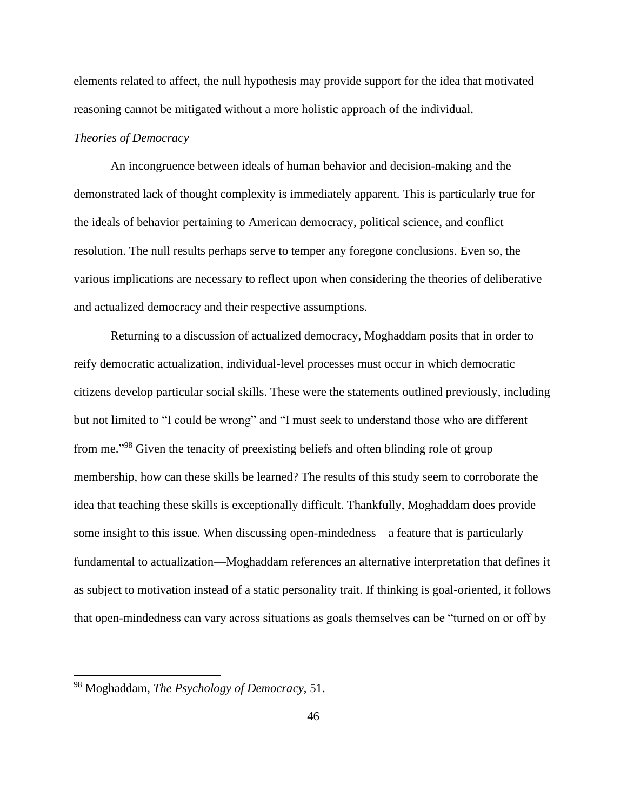elements related to affect, the null hypothesis may provide support for the idea that motivated reasoning cannot be mitigated without a more holistic approach of the individual.

## *Theories of Democracy*

An incongruence between ideals of human behavior and decision-making and the demonstrated lack of thought complexity is immediately apparent. This is particularly true for the ideals of behavior pertaining to American democracy, political science, and conflict resolution. The null results perhaps serve to temper any foregone conclusions. Even so, the various implications are necessary to reflect upon when considering the theories of deliberative and actualized democracy and their respective assumptions.

Returning to a discussion of actualized democracy, Moghaddam posits that in order to reify democratic actualization, individual-level processes must occur in which democratic citizens develop particular social skills. These were the statements outlined previously, including but not limited to "I could be wrong" and "I must seek to understand those who are different from me."<sup>98</sup> Given the tenacity of preexisting beliefs and often blinding role of group membership, how can these skills be learned? The results of this study seem to corroborate the idea that teaching these skills is exceptionally difficult. Thankfully, Moghaddam does provide some insight to this issue. When discussing open-mindedness—a feature that is particularly fundamental to actualization—Moghaddam references an alternative interpretation that defines it as subject to motivation instead of a static personality trait. If thinking is goal-oriented, it follows that open-mindedness can vary across situations as goals themselves can be "turned on or off by

<sup>98</sup> Moghaddam, *The Psychology of Democracy*, 51.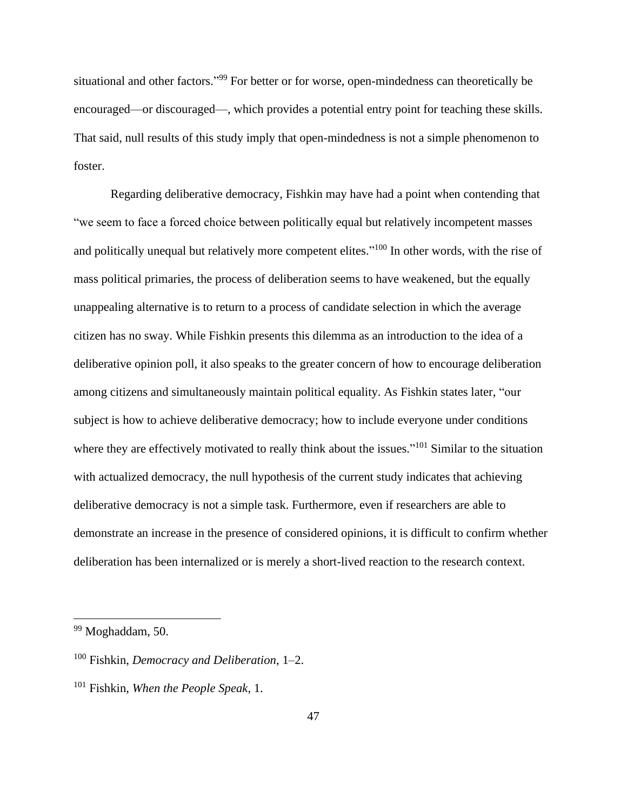situational and other factors."<sup>99</sup> For better or for worse, open-mindedness can theoretically be encouraged—or discouraged—, which provides a potential entry point for teaching these skills. That said, null results of this study imply that open-mindedness is not a simple phenomenon to foster.

Regarding deliberative democracy, Fishkin may have had a point when contending that "we seem to face a forced choice between politically equal but relatively incompetent masses and politically unequal but relatively more competent elites."<sup>100</sup> In other words, with the rise of mass political primaries, the process of deliberation seems to have weakened, but the equally unappealing alternative is to return to a process of candidate selection in which the average citizen has no sway. While Fishkin presents this dilemma as an introduction to the idea of a deliberative opinion poll, it also speaks to the greater concern of how to encourage deliberation among citizens and simultaneously maintain political equality. As Fishkin states later, "our subject is how to achieve deliberative democracy; how to include everyone under conditions where they are effectively motivated to really think about the issues."<sup>101</sup> Similar to the situation with actualized democracy, the null hypothesis of the current study indicates that achieving deliberative democracy is not a simple task. Furthermore, even if researchers are able to demonstrate an increase in the presence of considered opinions, it is difficult to confirm whether deliberation has been internalized or is merely a short-lived reaction to the research context.

<sup>99</sup> Moghaddam, 50.

<sup>100</sup> Fishkin, *Democracy and Deliberation*, 1–2.

<sup>101</sup> Fishkin, *When the People Speak*, 1.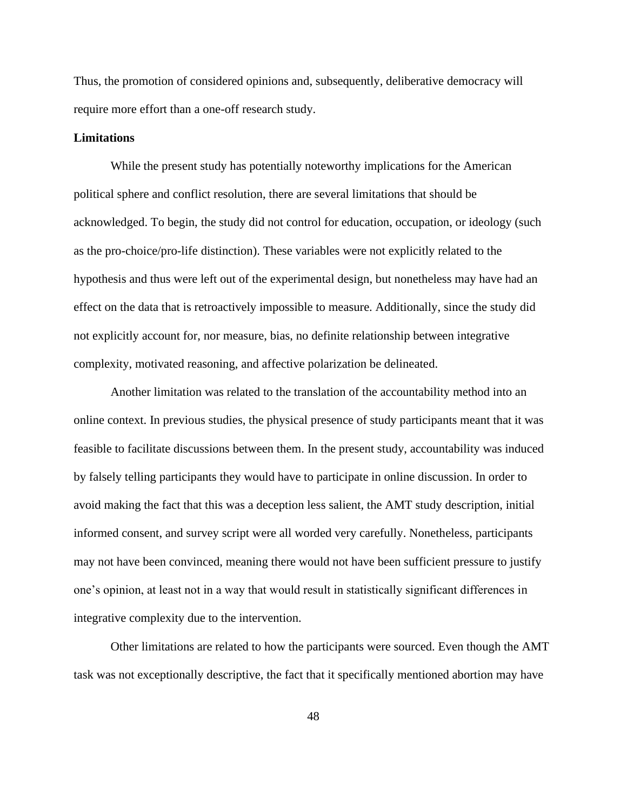Thus, the promotion of considered opinions and, subsequently, deliberative democracy will require more effort than a one-off research study.

#### **Limitations**

While the present study has potentially noteworthy implications for the American political sphere and conflict resolution, there are several limitations that should be acknowledged. To begin, the study did not control for education, occupation, or ideology (such as the pro-choice/pro-life distinction). These variables were not explicitly related to the hypothesis and thus were left out of the experimental design, but nonetheless may have had an effect on the data that is retroactively impossible to measure. Additionally, since the study did not explicitly account for, nor measure, bias, no definite relationship between integrative complexity, motivated reasoning, and affective polarization be delineated.

Another limitation was related to the translation of the accountability method into an online context. In previous studies, the physical presence of study participants meant that it was feasible to facilitate discussions between them. In the present study, accountability was induced by falsely telling participants they would have to participate in online discussion. In order to avoid making the fact that this was a deception less salient, the AMT study description, initial informed consent, and survey script were all worded very carefully. Nonetheless, participants may not have been convinced, meaning there would not have been sufficient pressure to justify one's opinion, at least not in a way that would result in statistically significant differences in integrative complexity due to the intervention.

Other limitations are related to how the participants were sourced. Even though the AMT task was not exceptionally descriptive, the fact that it specifically mentioned abortion may have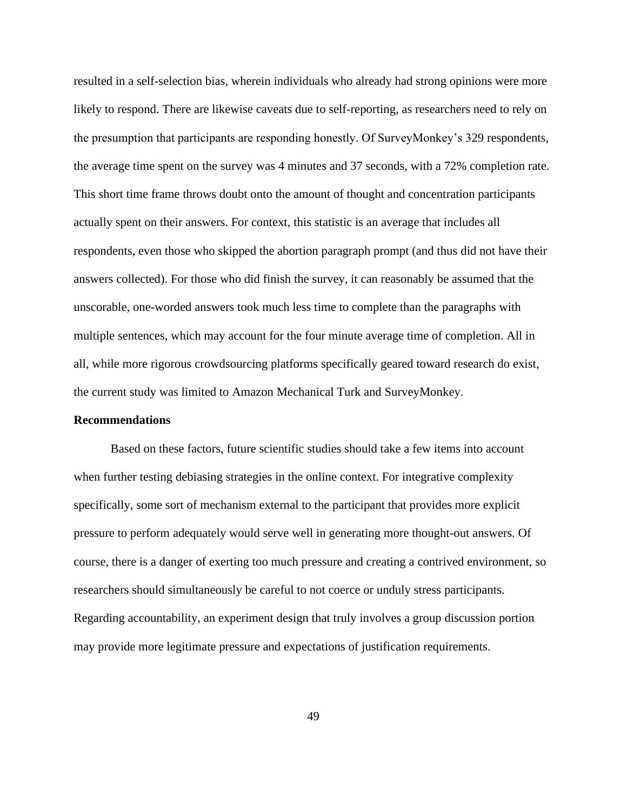resulted in a self-selection bias, wherein individuals who already had strong opinions were more likely to respond. There are likewise caveats due to self-reporting, as researchers need to rely on the presumption that participants are responding honestly. Of SurveyMonkey's 329 respondents, the average time spent on the survey was 4 minutes and 37 seconds, with a 72% completion rate. This short time frame throws doubt onto the amount of thought and concentration participants actually spent on their answers. For context, this statistic is an average that includes all respondents, even those who skipped the abortion paragraph prompt (and thus did not have their answers collected). For those who did finish the survey, it can reasonably be assumed that the unscorable, one-worded answers took much less time to complete than the paragraphs with multiple sentences, which may account for the four minute average time of completion. All in all, while more rigorous crowdsourcing platforms specifically geared toward research do exist, the current study was limited to Amazon Mechanical Turk and SurveyMonkey.

#### **Recommendations**

Based on these factors, future scientific studies should take a few items into account when further testing debiasing strategies in the online context. For integrative complexity specifically, some sort of mechanism external to the participant that provides more explicit pressure to perform adequately would serve well in generating more thought-out answers. Of course, there is a danger of exerting too much pressure and creating a contrived environment, so researchers should simultaneously be careful to not coerce or unduly stress participants. Regarding accountability, an experiment design that truly involves a group discussion portion may provide more legitimate pressure and expectations of justification requirements.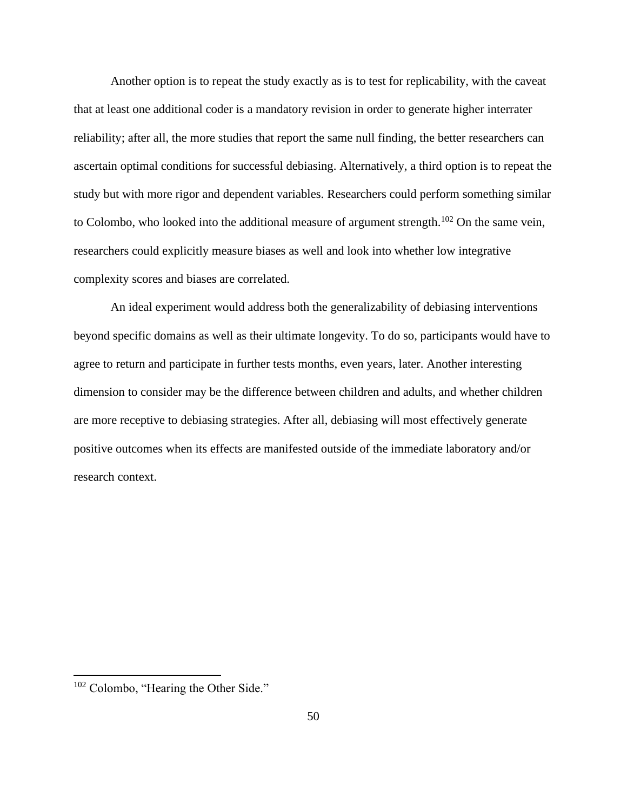Another option is to repeat the study exactly as is to test for replicability, with the caveat that at least one additional coder is a mandatory revision in order to generate higher interrater reliability; after all, the more studies that report the same null finding, the better researchers can ascertain optimal conditions for successful debiasing. Alternatively, a third option is to repeat the study but with more rigor and dependent variables. Researchers could perform something similar to Colombo, who looked into the additional measure of argument strength.<sup>102</sup> On the same vein, researchers could explicitly measure biases as well and look into whether low integrative complexity scores and biases are correlated.

An ideal experiment would address both the generalizability of debiasing interventions beyond specific domains as well as their ultimate longevity. To do so, participants would have to agree to return and participate in further tests months, even years, later. Another interesting dimension to consider may be the difference between children and adults, and whether children are more receptive to debiasing strategies. After all, debiasing will most effectively generate positive outcomes when its effects are manifested outside of the immediate laboratory and/or research context.

<sup>102</sup> Colombo, "Hearing the Other Side."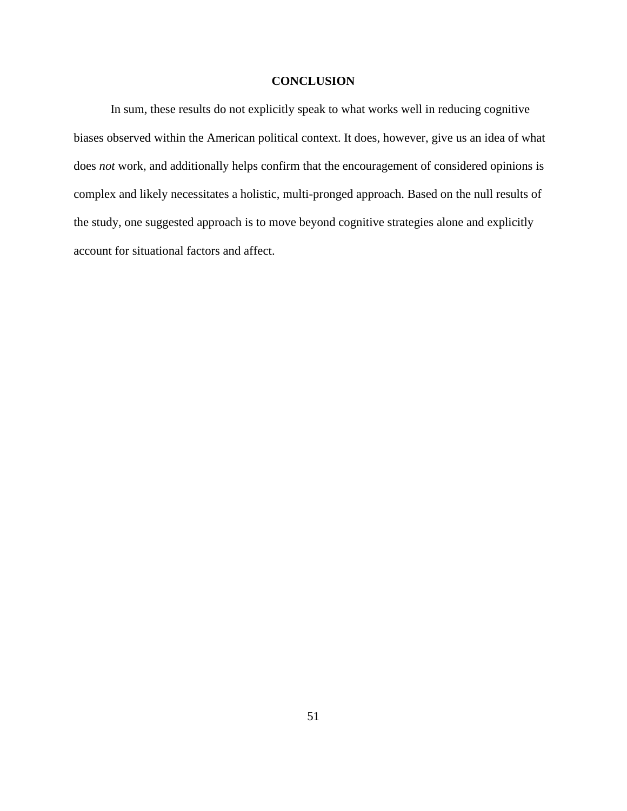## **CONCLUSION**

In sum, these results do not explicitly speak to what works well in reducing cognitive biases observed within the American political context. It does, however, give us an idea of what does *not* work, and additionally helps confirm that the encouragement of considered opinions is complex and likely necessitates a holistic, multi-pronged approach. Based on the null results of the study, one suggested approach is to move beyond cognitive strategies alone and explicitly account for situational factors and affect.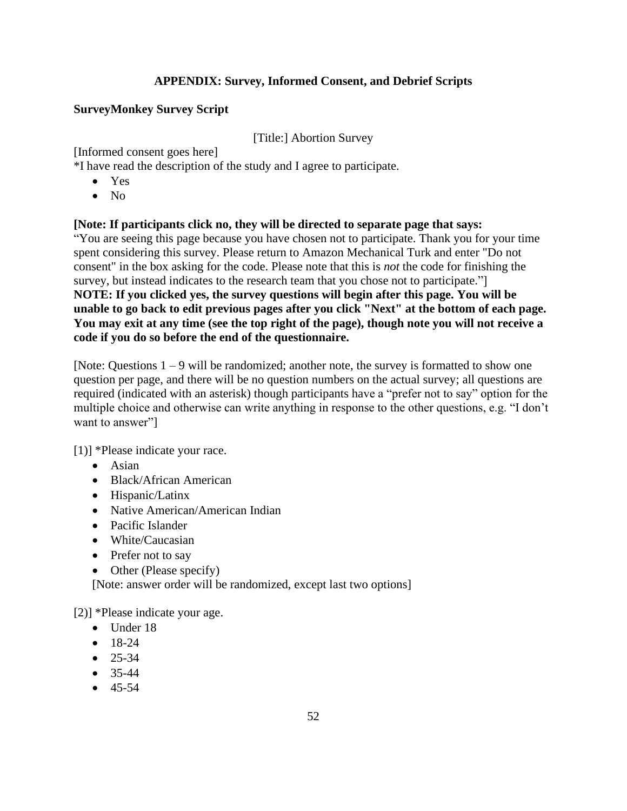# **APPENDIX: Survey, Informed Consent, and Debrief Scripts**

## **SurveyMonkey Survey Script**

[Title:] Abortion Survey

[Informed consent goes here]

\*I have read the description of the study and I agree to participate.

- Yes
- $\bullet$  No

# **[Note: If participants click no, they will be directed to separate page that says:**

"You are seeing this page because you have chosen not to participate. Thank you for your time spent considering this survey. Please return to Amazon Mechanical Turk and enter "Do not consent" in the box asking for the code. Please note that this is *not* the code for finishing the survey, but instead indicates to the research team that you chose not to participate." **NOTE: If you clicked yes, the survey questions will begin after this page. You will be unable to go back to edit previous pages after you click "Next" at the bottom of each page. You may exit at any time (see the top right of the page), though note you will not receive a code if you do so before the end of the questionnaire.**

[Note: Questions 1 – 9 will be randomized; another note, the survey is formatted to show one question per page, and there will be no question numbers on the actual survey; all questions are required (indicated with an asterisk) though participants have a "prefer not to say" option for the multiple choice and otherwise can write anything in response to the other questions, e.g. "I don't want to answer"

[1)] \*Please indicate your race.

- Asian
- Black/African American
- Hispanic/Latinx
- Native American/American Indian
- Pacific Islander
- White/Caucasian
- Prefer not to say
- Other (Please specify)

[Note: answer order will be randomized, except last two options]

[2)] \*Please indicate your age.

- Under 18
- $18-24$
- $25-34$
- $35-44$
- 45-54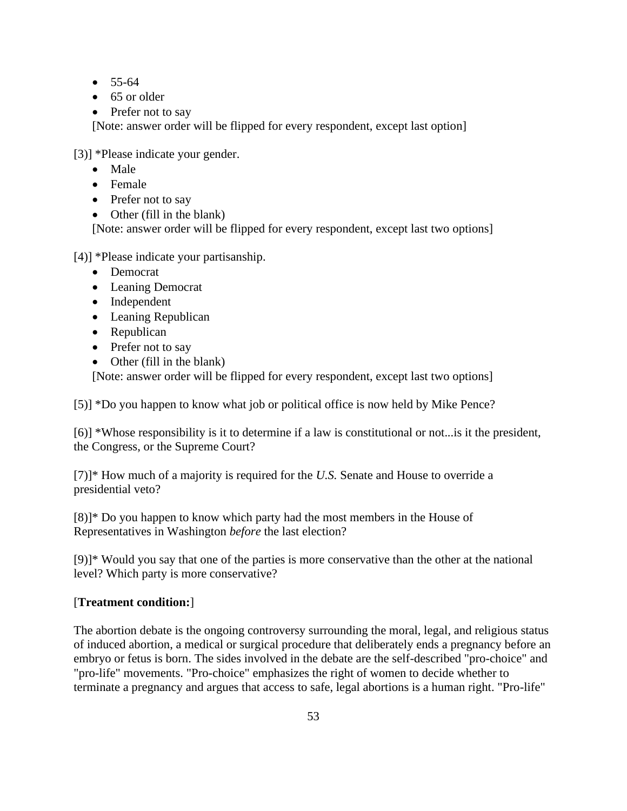- 55-64
- 65 or older
- Prefer not to say

[Note: answer order will be flipped for every respondent, except last option]

[3)] \*Please indicate your gender.

- Male
- Female
- Prefer not to say
- Other (fill in the blank)

[Note: answer order will be flipped for every respondent, except last two options]

[4)] \*Please indicate your partisanship.

- Democrat
- Leaning Democrat
- Independent
- Leaning Republican
- Republican
- Prefer not to say
- Other (fill in the blank)

[Note: answer order will be flipped for every respondent, except last two options]

[5)] \*Do you happen to know what job or political office is now held by Mike Pence?

[6)] \*Whose responsibility is it to determine if a law is constitutional or not...is it the president, the Congress, or the Supreme Court?

[7)]\* How much of a majority is required for the *U.S.* Senate and House to override a presidential veto?

[8)]\* Do you happen to know which party had the most members in the House of Representatives in Washington *before* the last election?

[9)]\* Would you say that one of the parties is more conservative than the other at the national level? Which party is more conservative?

# [**Treatment condition:**]

The abortion debate is the ongoing controversy surrounding the moral, legal, and religious status of induced abortion, a medical or surgical procedure that deliberately ends a pregnancy before an embryo or fetus is born. The sides involved in the debate are the self-described "pro-choice" and "pro-life" movements. "Pro-choice" emphasizes the right of women to decide whether to terminate a pregnancy and argues that access to safe, legal abortions is a human right. "Pro-life"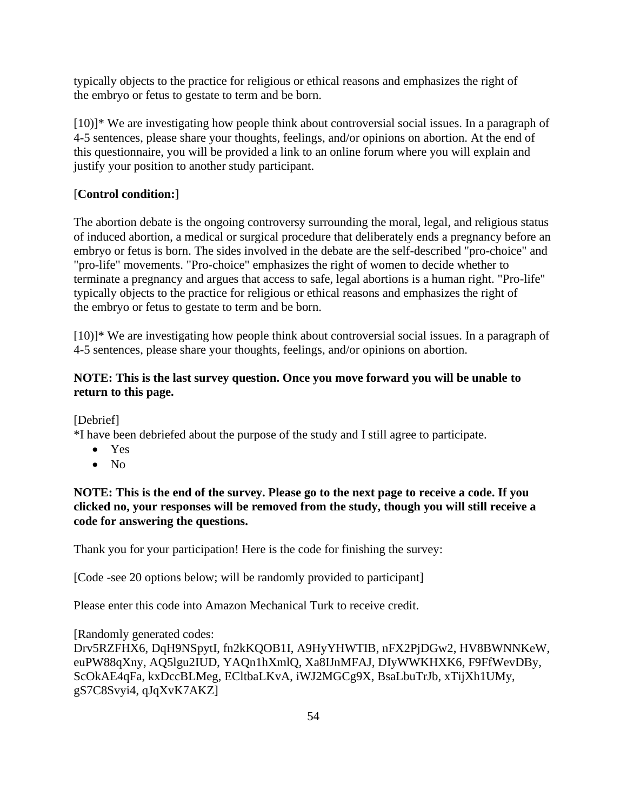typically objects to the practice for religious or ethical reasons and emphasizes the right of the embryo or fetus to gestate to term and be born.

[10)]\* We are investigating how people think about controversial social issues. In a paragraph of 4-5 sentences, please share your thoughts, feelings, and/or opinions on abortion. At the end of this questionnaire, you will be provided a link to an online forum where you will explain and justify your position to another study participant.

# [**Control condition:**]

The abortion debate is the ongoing controversy surrounding the moral, legal, and religious status of induced abortion, a medical or surgical procedure that deliberately ends a pregnancy before an embryo or fetus is born. The sides involved in the debate are the self-described "pro-choice" and "pro-life" movements. "Pro-choice" emphasizes the right of women to decide whether to terminate a pregnancy and argues that access to safe, legal abortions is a human right. "Pro-life" typically objects to the practice for religious or ethical reasons and emphasizes the right of the embryo or fetus to gestate to term and be born.

[10)]\* We are investigating how people think about controversial social issues. In a paragraph of 4-5 sentences, please share your thoughts, feelings, and/or opinions on abortion.

# **NOTE: This is the last survey question. Once you move forward you will be unable to return to this page.**

[Debrief]

\*I have been debriefed about the purpose of the study and I still agree to participate.

- Yes
- No

**NOTE: This is the end of the survey. Please go to the next page to receive a code. If you clicked no, your responses will be removed from the study, though you will still receive a code for answering the questions.**

Thank you for your participation! Here is the code for finishing the survey:

[Code -see 20 options below; will be randomly provided to participant]

Please enter this code into Amazon Mechanical Turk to receive credit.

[Randomly generated codes:

Drv5RZFHX6, DqH9NSpytI, fn2kKQOB1I, A9HyYHWTIB, nFX2PjDGw2, HV8BWNNKeW, euPW88qXny, AQ5lgu2IUD, YAQn1hXmlQ, Xa8IJnMFAJ, DIyWWKHXK6, F9FfWevDBy, ScOkAE4qFa, kxDccBLMeg, ECltbaLKvA, iWJ2MGCg9X, BsaLbuTrJb, xTijXh1UMy, gS7C8Svyi4, qJqXvK7AKZ]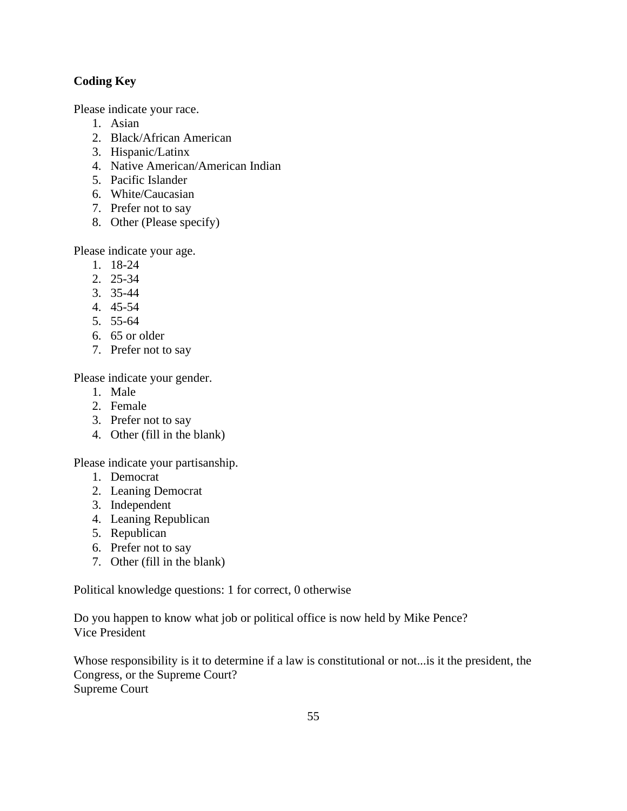# **Coding Key**

Please indicate your race.

- 1. Asian
- 2. Black/African American
- 3. Hispanic/Latinx
- 4. Native American/American Indian
- 5. Pacific Islander
- 6. White/Caucasian
- 7. Prefer not to say
- 8. Other (Please specify)

Please indicate your age.

- 1. 18-24
- 2. 25-34
- 3. 35-44
- 4. 45-54
- 5. 55-64
- 6. 65 or older
- 7. Prefer not to say

Please indicate your gender.

- 1. Male
- 2. Female
- 3. Prefer not to say
- 4. Other (fill in the blank)

Please indicate your partisanship.

- 1. Democrat
- 2. Leaning Democrat
- 3. Independent
- 4. Leaning Republican
- 5. Republican
- 6. Prefer not to say
- 7. Other (fill in the blank)

Political knowledge questions: 1 for correct, 0 otherwise

Do you happen to know what job or political office is now held by Mike Pence? Vice President

Whose responsibility is it to determine if a law is constitutional or not...is it the president, the Congress, or the Supreme Court? Supreme Court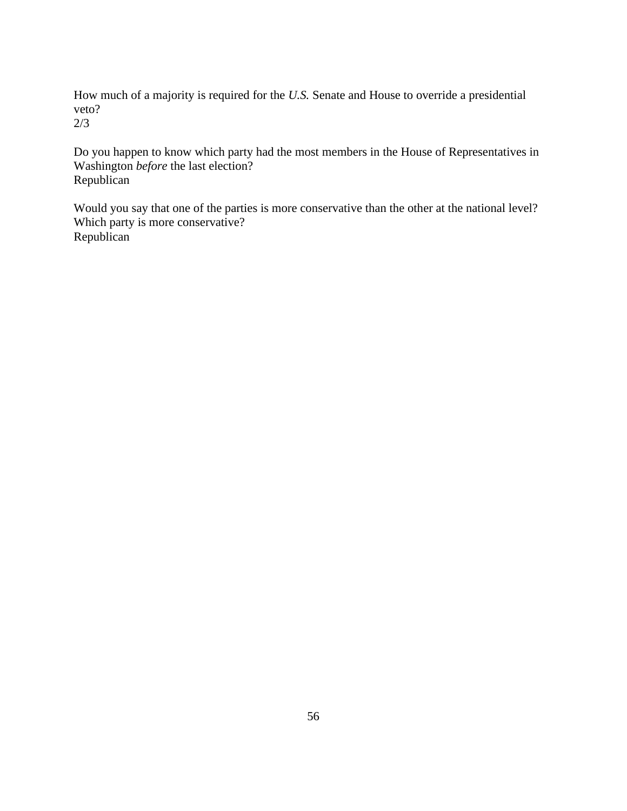How much of a majority is required for the *U.S.* Senate and House to override a presidential veto? 2/3

Do you happen to know which party had the most members in the House of Representatives in Washington *before* the last election? Republican

Would you say that one of the parties is more conservative than the other at the national level? Which party is more conservative? Republican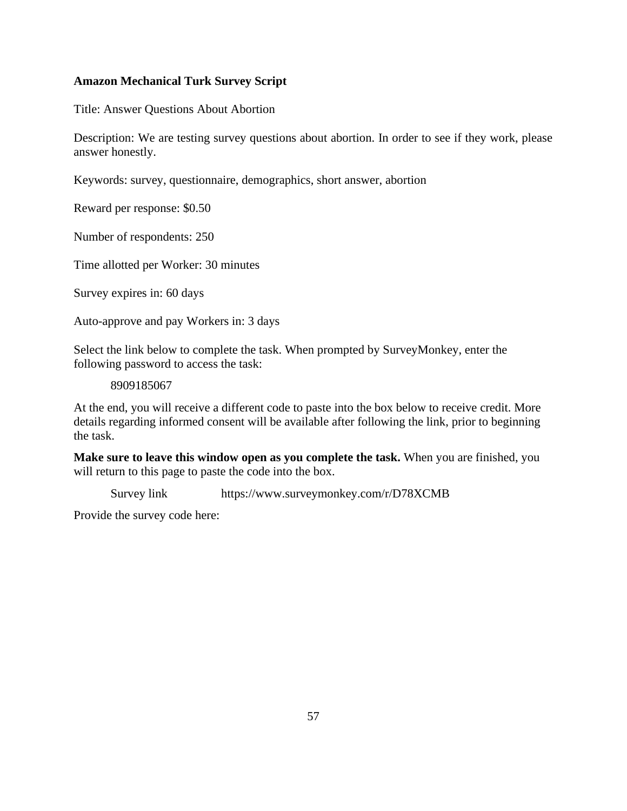# **Amazon Mechanical Turk Survey Script**

Title: Answer Questions About Abortion

Description: We are testing survey questions about abortion. In order to see if they work, please answer honestly.

Keywords: survey, questionnaire, demographics, short answer, abortion

Reward per response: \$0.50

Number of respondents: 250

Time allotted per Worker: 30 minutes

Survey expires in: 60 days

Auto-approve and pay Workers in: 3 days

Select the link below to complete the task. When prompted by SurveyMonkey, enter the following password to access the task:

#### 8909185067

At the end, you will receive a different code to paste into the box below to receive credit. More details regarding informed consent will be available after following the link, prior to beginning the task.

**Make sure to leave this window open as you complete the task.** When you are finished, you will return to this page to paste the code into the box.

Survey link https://www.surveymonkey.com/r/D78XCMB

Provide the survey code here: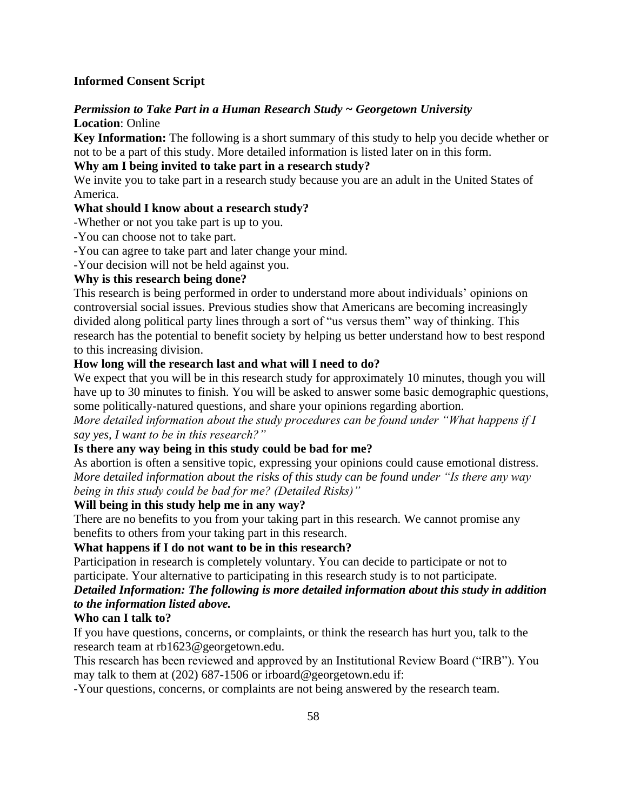## **Informed Consent Script**

## *Permission to Take Part in a Human Research Study ~ Georgetown University* **Location**: Online

**Key Information:** The following is a short summary of this study to help you decide whether or not to be a part of this study. More detailed information is listed later on in this form.

# **Why am I being invited to take part in a research study?**

We invite you to take part in a research study because you are an adult in the United States of America.

## **What should I know about a research study?**

-Whether or not you take part is up to you.

- -You can choose not to take part.
- -You can agree to take part and later change your mind.

-Your decision will not be held against you.

## **Why is this research being done?**

This research is being performed in order to understand more about individuals' opinions on controversial social issues. Previous studies show that Americans are becoming increasingly divided along political party lines through a sort of "us versus them" way of thinking. This research has the potential to benefit society by helping us better understand how to best respond to this increasing division.

## **How long will the research last and what will I need to do?**

We expect that you will be in this research study for approximately 10 minutes, though you will have up to 30 minutes to finish. You will be asked to answer some basic demographic questions, some politically-natured questions, and share your opinions regarding abortion.

*More detailed information about the study procedures can be found under "What happens if I say yes, I want to be in this research?"*

## **Is there any way being in this study could be bad for me?**

As abortion is often a sensitive topic, expressing your opinions could cause emotional distress. *More detailed information about the risks of this study can be found under "Is there any way being in this study could be bad for me? (Detailed Risks)"*

## **Will being in this study help me in any way?**

There are no benefits to you from your taking part in this research. We cannot promise any benefits to others from your taking part in this research.

## **What happens if I do not want to be in this research?**

Participation in research is completely voluntary. You can decide to participate or not to participate. Your alternative to participating in this research study is to not participate.

# *Detailed Information: The following is more detailed information about this study in addition to the information listed above.*

#### **Who can I talk to?**

If you have questions, concerns, or complaints, or think the research has hurt you, talk to the research team at rb1623@georgetown.edu.

This research has been reviewed and approved by an Institutional Review Board ("IRB"). You may talk to them at (202) 687-1506 or irboard@georgetown.edu if:

-Your questions, concerns, or complaints are not being answered by the research team.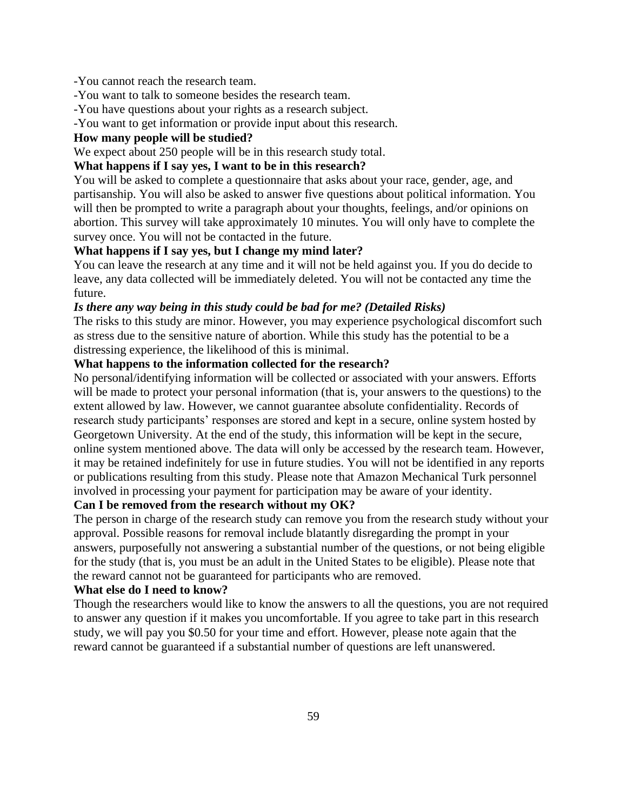-You cannot reach the research team.

-You want to talk to someone besides the research team.

-You have questions about your rights as a research subject.

-You want to get information or provide input about this research.

## **How many people will be studied?**

We expect about 250 people will be in this research study total.

## **What happens if I say yes, I want to be in this research?**

You will be asked to complete a questionnaire that asks about your race, gender, age, and partisanship. You will also be asked to answer five questions about political information. You will then be prompted to write a paragraph about your thoughts, feelings, and/or opinions on abortion. This survey will take approximately 10 minutes. You will only have to complete the survey once. You will not be contacted in the future.

### **What happens if I say yes, but I change my mind later?**

You can leave the research at any time and it will not be held against you. If you do decide to leave, any data collected will be immediately deleted. You will not be contacted any time the future.

### *Is there any way being in this study could be bad for me? (Detailed Risks)*

The risks to this study are minor. However, you may experience psychological discomfort such as stress due to the sensitive nature of abortion. While this study has the potential to be a distressing experience, the likelihood of this is minimal.

#### **What happens to the information collected for the research?**

No personal/identifying information will be collected or associated with your answers. Efforts will be made to protect your personal information (that is, your answers to the questions) to the extent allowed by law. However, we cannot guarantee absolute confidentiality. Records of research study participants' responses are stored and kept in a secure, online system hosted by Georgetown University. At the end of the study, this information will be kept in the secure, online system mentioned above. The data will only be accessed by the research team. However, it may be retained indefinitely for use in future studies. You will not be identified in any reports or publications resulting from this study. Please note that Amazon Mechanical Turk personnel involved in processing your payment for participation may be aware of your identity.

# **Can I be removed from the research without my OK?**

The person in charge of the research study can remove you from the research study without your approval. Possible reasons for removal include blatantly disregarding the prompt in your answers, purposefully not answering a substantial number of the questions, or not being eligible for the study (that is, you must be an adult in the United States to be eligible). Please note that the reward cannot not be guaranteed for participants who are removed.

#### **What else do I need to know?**

Though the researchers would like to know the answers to all the questions, you are not required to answer any question if it makes you uncomfortable. If you agree to take part in this research study, we will pay you \$0.50 for your time and effort. However, please note again that the reward cannot be guaranteed if a substantial number of questions are left unanswered.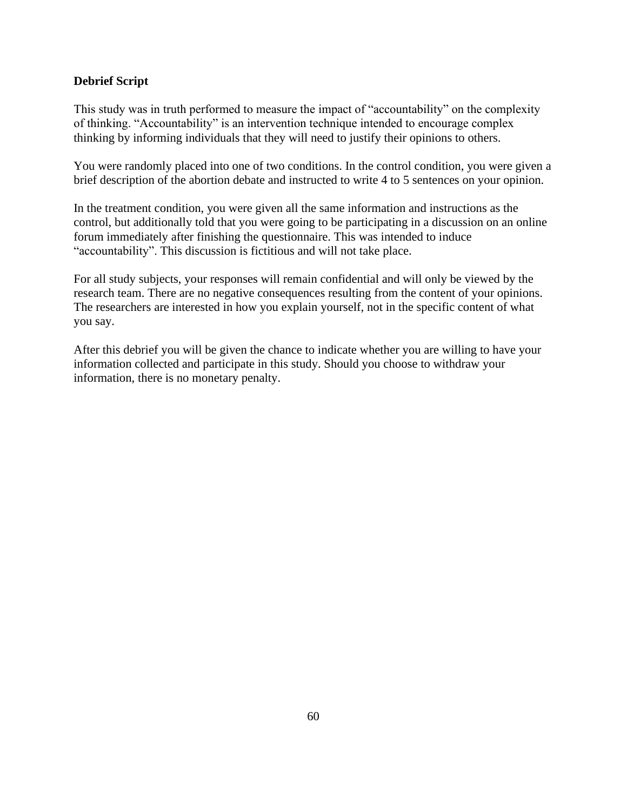## **Debrief Script**

This study was in truth performed to measure the impact of "accountability" on the complexity of thinking. "Accountability" is an intervention technique intended to encourage complex thinking by informing individuals that they will need to justify their opinions to others.

You were randomly placed into one of two conditions. In the control condition, you were given a brief description of the abortion debate and instructed to write 4 to 5 sentences on your opinion.

In the treatment condition, you were given all the same information and instructions as the control, but additionally told that you were going to be participating in a discussion on an online forum immediately after finishing the questionnaire. This was intended to induce "accountability". This discussion is fictitious and will not take place.

For all study subjects, your responses will remain confidential and will only be viewed by the research team. There are no negative consequences resulting from the content of your opinions. The researchers are interested in how you explain yourself, not in the specific content of what you say.

After this debrief you will be given the chance to indicate whether you are willing to have your information collected and participate in this study. Should you choose to withdraw your information, there is no monetary penalty.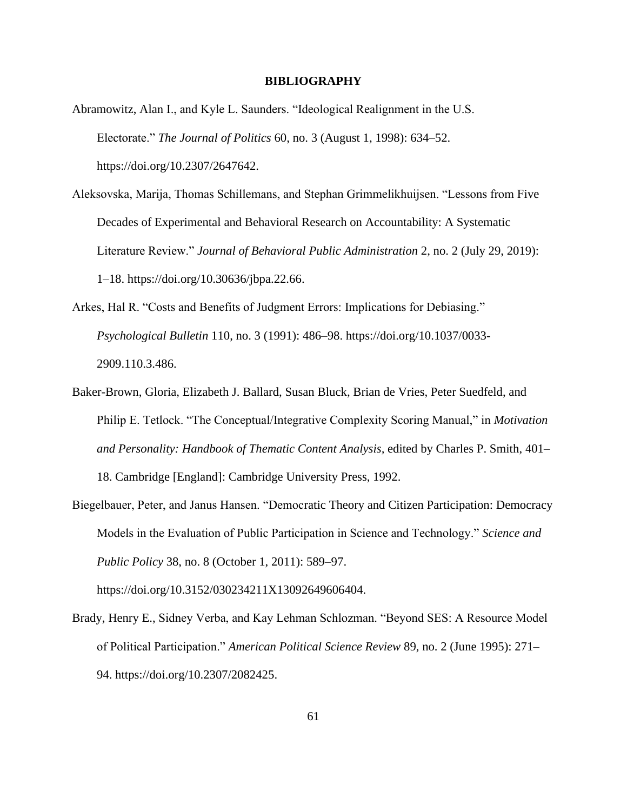#### **BIBLIOGRAPHY**

- Abramowitz, Alan I., and Kyle L. Saunders. "Ideological Realignment in the U.S. Electorate." *The Journal of Politics* 60, no. 3 (August 1, 1998): 634–52. https://doi.org/10.2307/2647642.
- Aleksovska, Marija, Thomas Schillemans, and Stephan Grimmelikhuijsen. "Lessons from Five Decades of Experimental and Behavioral Research on Accountability: A Systematic Literature Review." *Journal of Behavioral Public Administration* 2, no. 2 (July 29, 2019): 1–18. https://doi.org/10.30636/jbpa.22.66.
- Arkes, Hal R. "Costs and Benefits of Judgment Errors: Implications for Debiasing." *Psychological Bulletin* 110, no. 3 (1991): 486–98. https://doi.org/10.1037/0033- 2909.110.3.486.
- Baker-Brown, Gloria, Elizabeth J. Ballard, Susan Bluck, Brian de Vries, Peter Suedfeld, and Philip E. Tetlock. "The Conceptual/Integrative Complexity Scoring Manual," in *Motivation and Personality: Handbook of Thematic Content Analysis,* edited by Charles P. Smith, 401– 18. Cambridge [England]: Cambridge University Press, 1992.
- Biegelbauer, Peter, and Janus Hansen. "Democratic Theory and Citizen Participation: Democracy Models in the Evaluation of Public Participation in Science and Technology." *Science and Public Policy* 38, no. 8 (October 1, 2011): 589–97. https://doi.org/10.3152/030234211X13092649606404.
- Brady, Henry E., Sidney Verba, and Kay Lehman Schlozman. "Beyond SES: A Resource Model of Political Participation." *American Political Science Review* 89, no. 2 (June 1995): 271– 94. https://doi.org/10.2307/2082425.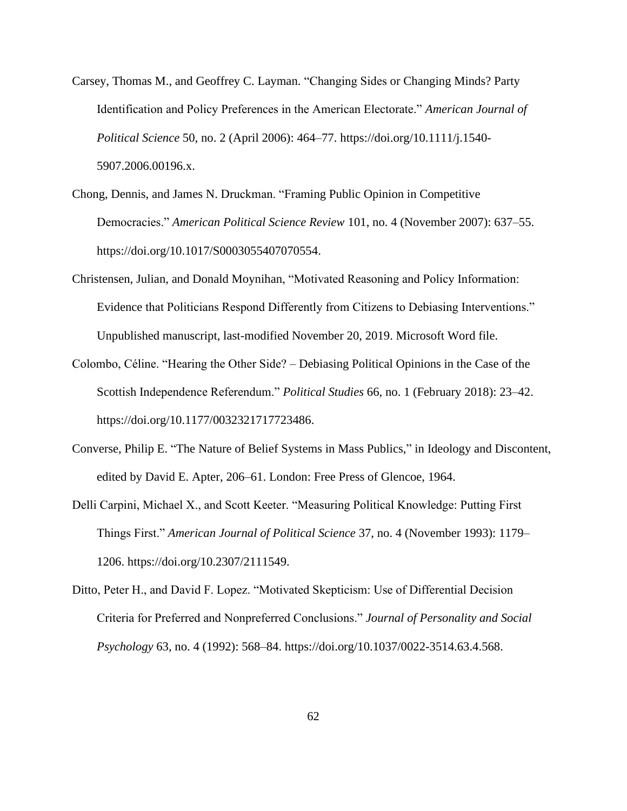- Carsey, Thomas M., and Geoffrey C. Layman. "Changing Sides or Changing Minds? Party Identification and Policy Preferences in the American Electorate." *American Journal of Political Science* 50, no. 2 (April 2006): 464–77. https://doi.org/10.1111/j.1540- 5907.2006.00196.x.
- Chong, Dennis, and James N. Druckman. "Framing Public Opinion in Competitive Democracies." *American Political Science Review* 101, no. 4 (November 2007): 637–55. https://doi.org/10.1017/S0003055407070554.
- Christensen, Julian, and Donald Moynihan, "Motivated Reasoning and Policy Information: Evidence that Politicians Respond Differently from Citizens to Debiasing Interventions." Unpublished manuscript, last-modified November 20, 2019. Microsoft Word file.
- Colombo, Céline. "Hearing the Other Side? Debiasing Political Opinions in the Case of the Scottish Independence Referendum." *Political Studies* 66, no. 1 (February 2018): 23–42. https://doi.org/10.1177/0032321717723486.
- Converse, Philip E. "The Nature of Belief Systems in Mass Publics," in Ideology and Discontent, edited by David E. Apter, 206–61. London: Free Press of Glencoe, 1964.
- Delli Carpini, Michael X., and Scott Keeter. "Measuring Political Knowledge: Putting First Things First." *American Journal of Political Science* 37, no. 4 (November 1993): 1179– 1206. https://doi.org/10.2307/2111549.
- Ditto, Peter H., and David F. Lopez. "Motivated Skepticism: Use of Differential Decision Criteria for Preferred and Nonpreferred Conclusions." *Journal of Personality and Social Psychology* 63, no. 4 (1992): 568–84. https://doi.org/10.1037/0022-3514.63.4.568.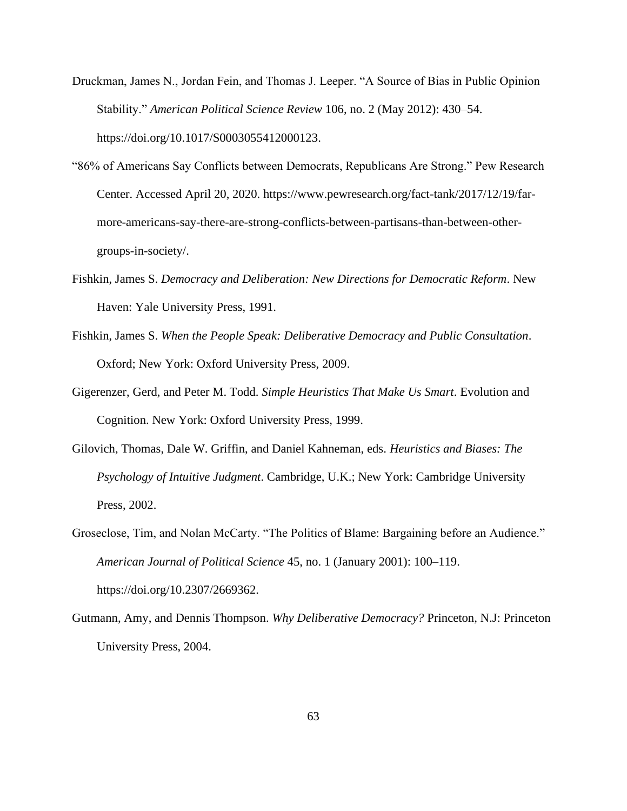- Druckman, James N., Jordan Fein, and Thomas J. Leeper. "A Source of Bias in Public Opinion Stability." *American Political Science Review* 106, no. 2 (May 2012): 430–54. https://doi.org/10.1017/S0003055412000123.
- "86% of Americans Say Conflicts between Democrats, Republicans Are Strong." Pew Research Center. Accessed April 20, 2020. https://www.pewresearch.org/fact-tank/2017/12/19/farmore-americans-say-there-are-strong-conflicts-between-partisans-than-between-othergroups-in-society/.
- Fishkin, James S. *Democracy and Deliberation: New Directions for Democratic Reform*. New Haven: Yale University Press, 1991.
- Fishkin, James S. *When the People Speak: Deliberative Democracy and Public Consultation*. Oxford; New York: Oxford University Press, 2009.
- Gigerenzer, Gerd, and Peter M. Todd. *Simple Heuristics That Make Us Smart*. Evolution and Cognition. New York: Oxford University Press, 1999.
- Gilovich, Thomas, Dale W. Griffin, and Daniel Kahneman, eds. *Heuristics and Biases: The Psychology of Intuitive Judgment*. Cambridge, U.K.; New York: Cambridge University Press, 2002.
- Groseclose, Tim, and Nolan McCarty. "The Politics of Blame: Bargaining before an Audience." *American Journal of Political Science* 45, no. 1 (January 2001): 100–119. https://doi.org/10.2307/2669362.
- Gutmann, Amy, and Dennis Thompson. *Why Deliberative Democracy?* Princeton, N.J: Princeton University Press, 2004.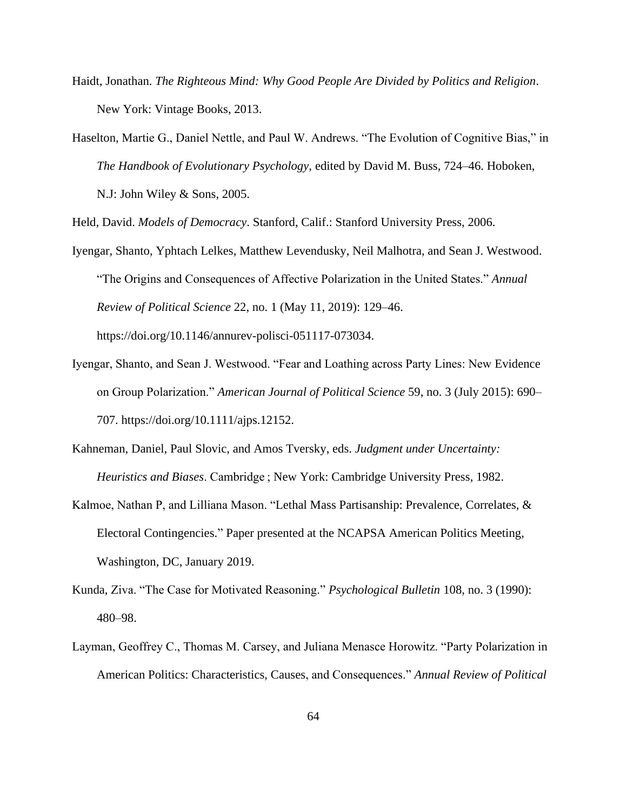- Haidt, Jonathan. *The Righteous Mind: Why Good People Are Divided by Politics and Religion*. New York: Vintage Books, 2013.
- Haselton, Martie G., Daniel Nettle, and Paul W. Andrews. "The Evolution of Cognitive Bias," in *The Handbook of Evolutionary Psychology*, edited by David M. Buss, 724–46. Hoboken, N.J: John Wiley & Sons, 2005.

Held, David. *Models of Democracy*. Stanford, Calif.: Stanford University Press, 2006.

- Iyengar, Shanto, Yphtach Lelkes, Matthew Levendusky, Neil Malhotra, and Sean J. Westwood. "The Origins and Consequences of Affective Polarization in the United States." *Annual Review of Political Science* 22, no. 1 (May 11, 2019): 129–46. https://doi.org/10.1146/annurev-polisci-051117-073034.
- Iyengar, Shanto, and Sean J. Westwood. "Fear and Loathing across Party Lines: New Evidence on Group Polarization." *American Journal of Political Science* 59, no. 3 (July 2015): 690– 707. https://doi.org/10.1111/ajps.12152.
- Kahneman, Daniel, Paul Slovic, and Amos Tversky, eds. *Judgment under Uncertainty: Heuristics and Biases*. Cambridge ; New York: Cambridge University Press, 1982.
- Kalmoe, Nathan P, and Lilliana Mason. "Lethal Mass Partisanship: Prevalence, Correlates, & Electoral Contingencies." Paper presented at the NCAPSA American Politics Meeting, Washington, DC, January 2019.
- Kunda, Ziva. "The Case for Motivated Reasoning." *Psychological Bulletin* 108, no. 3 (1990): 480–98.
- Layman, Geoffrey C., Thomas M. Carsey, and Juliana Menasce Horowitz. "Party Polarization in American Politics: Characteristics, Causes, and Consequences." *Annual Review of Political*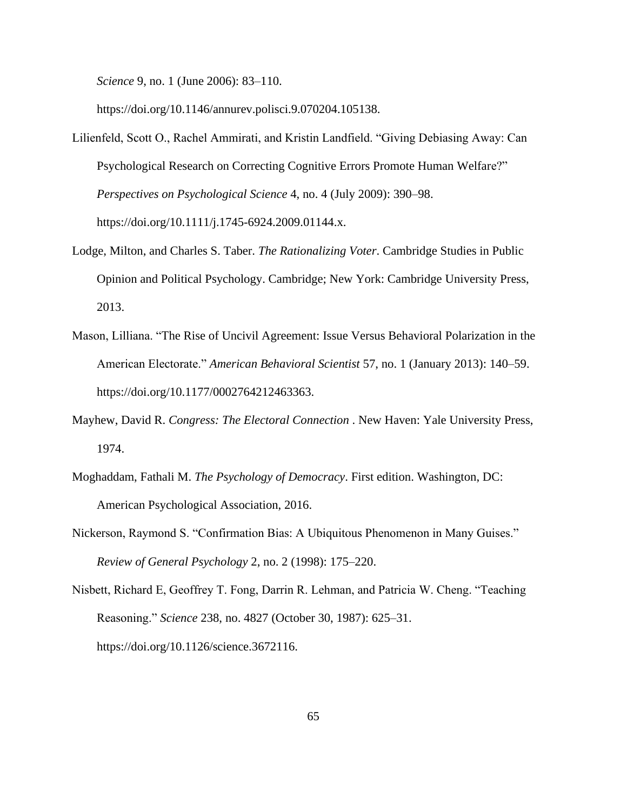*Science* 9, no. 1 (June 2006): 83–110.

https://doi.org/10.1146/annurev.polisci.9.070204.105138.

- Lilienfeld, Scott O., Rachel Ammirati, and Kristin Landfield. "Giving Debiasing Away: Can Psychological Research on Correcting Cognitive Errors Promote Human Welfare?" *Perspectives on Psychological Science* 4, no. 4 (July 2009): 390–98. https://doi.org/10.1111/j.1745-6924.2009.01144.x.
- Lodge, Milton, and Charles S. Taber. *The Rationalizing Voter*. Cambridge Studies in Public Opinion and Political Psychology. Cambridge; New York: Cambridge University Press, 2013.
- Mason, Lilliana. "The Rise of Uncivil Agreement: Issue Versus Behavioral Polarization in the American Electorate." *American Behavioral Scientist* 57, no. 1 (January 2013): 140–59. https://doi.org/10.1177/0002764212463363.
- Mayhew, David R. *Congress: The Electoral Connection* . New Haven: Yale University Press, 1974.
- Moghaddam, Fathali M. *The Psychology of Democracy*. First edition. Washington, DC: American Psychological Association, 2016.
- Nickerson, Raymond S. "Confirmation Bias: A Ubiquitous Phenomenon in Many Guises." *Review of General Psychology* 2, no. 2 (1998): 175–220.
- Nisbett, Richard E, Geoffrey T. Fong, Darrin R. Lehman, and Patricia W. Cheng. "Teaching Reasoning." *Science* 238, no. 4827 (October 30, 1987): 625–31. https://doi.org/10.1126/science.3672116.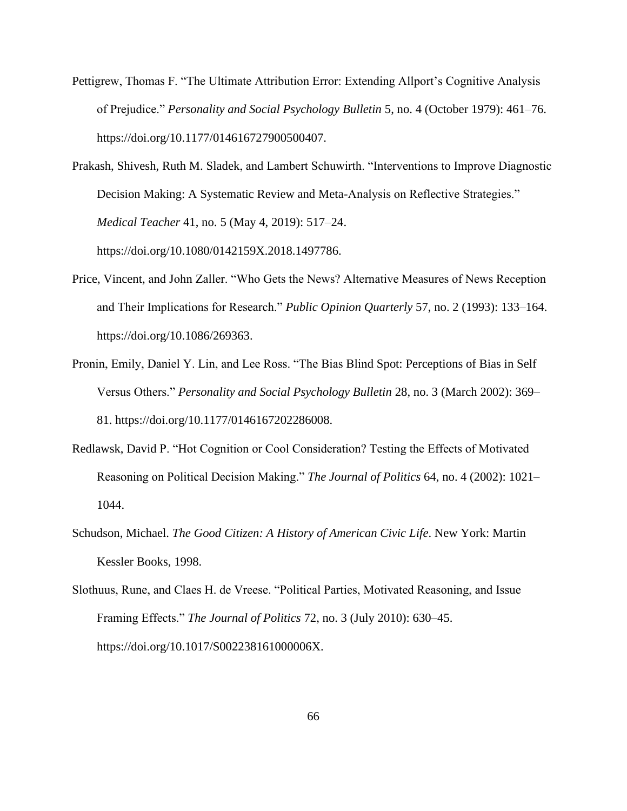- Pettigrew, Thomas F. "The Ultimate Attribution Error: Extending Allport's Cognitive Analysis of Prejudice." *Personality and Social Psychology Bulletin* 5, no. 4 (October 1979): 461–76. https://doi.org/10.1177/014616727900500407.
- Prakash, Shivesh, Ruth M. Sladek, and Lambert Schuwirth. "Interventions to Improve Diagnostic Decision Making: A Systematic Review and Meta-Analysis on Reflective Strategies." *Medical Teacher* 41, no. 5 (May 4, 2019): 517–24. https://doi.org/10.1080/0142159X.2018.1497786.
- Price, Vincent, and John Zaller. "Who Gets the News? Alternative Measures of News Reception and Their Implications for Research." *Public Opinion Quarterly* 57, no. 2 (1993): 133–164. https://doi.org/10.1086/269363.
- Pronin, Emily, Daniel Y. Lin, and Lee Ross. "The Bias Blind Spot: Perceptions of Bias in Self Versus Others." *Personality and Social Psychology Bulletin* 28, no. 3 (March 2002): 369– 81. https://doi.org/10.1177/0146167202286008.
- Redlawsk, David P. "Hot Cognition or Cool Consideration? Testing the Effects of Motivated Reasoning on Political Decision Making." *The Journal of Politics* 64, no. 4 (2002): 1021– 1044.
- Schudson, Michael. *The Good Citizen: A History of American Civic Life*. New York: Martin Kessler Books, 1998.
- Slothuus, Rune, and Claes H. de Vreese. "Political Parties, Motivated Reasoning, and Issue Framing Effects." *The Journal of Politics* 72, no. 3 (July 2010): 630–45. https://doi.org/10.1017/S002238161000006X.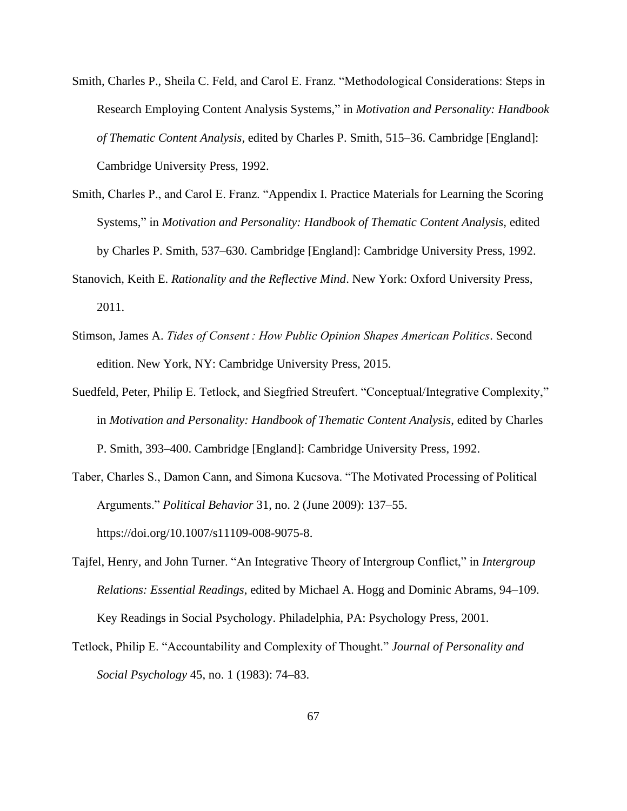- Smith, Charles P., Sheila C. Feld, and Carol E. Franz. "Methodological Considerations: Steps in Research Employing Content Analysis Systems," in *Motivation and Personality: Handbook of Thematic Content Analysis,* edited by Charles P. Smith, 515–36. Cambridge [England]: Cambridge University Press, 1992.
- Smith, Charles P., and Carol E. Franz. "Appendix I. Practice Materials for Learning the Scoring Systems," in *Motivation and Personality: Handbook of Thematic Content Analysis,* edited by Charles P. Smith, 537–630. Cambridge [England]: Cambridge University Press, 1992.
- Stanovich, Keith E. *Rationality and the Reflective Mind*. New York: Oxford University Press, 2011.
- Stimson, James A. *Tides of Consent : How Public Opinion Shapes American Politics*. Second edition. New York, NY: Cambridge University Press, 2015.
- Suedfeld, Peter, Philip E. Tetlock, and Siegfried Streufert. "Conceptual/Integrative Complexity," in *Motivation and Personality: Handbook of Thematic Content Analysis*, edited by Charles P. Smith, 393–400. Cambridge [England]: Cambridge University Press, 1992.
- Taber, Charles S., Damon Cann, and Simona Kucsova. "The Motivated Processing of Political Arguments." *Political Behavior* 31, no. 2 (June 2009): 137–55. https://doi.org/10.1007/s11109-008-9075-8.
- Tajfel, Henry, and John Turner. "An Integrative Theory of Intergroup Conflict," in *Intergroup Relations: Essential Readings*, edited by Michael A. Hogg and Dominic Abrams, 94–109. Key Readings in Social Psychology. Philadelphia, PA: Psychology Press, 2001.
- Tetlock, Philip E. "Accountability and Complexity of Thought." *Journal of Personality and Social Psychology* 45, no. 1 (1983): 74–83.